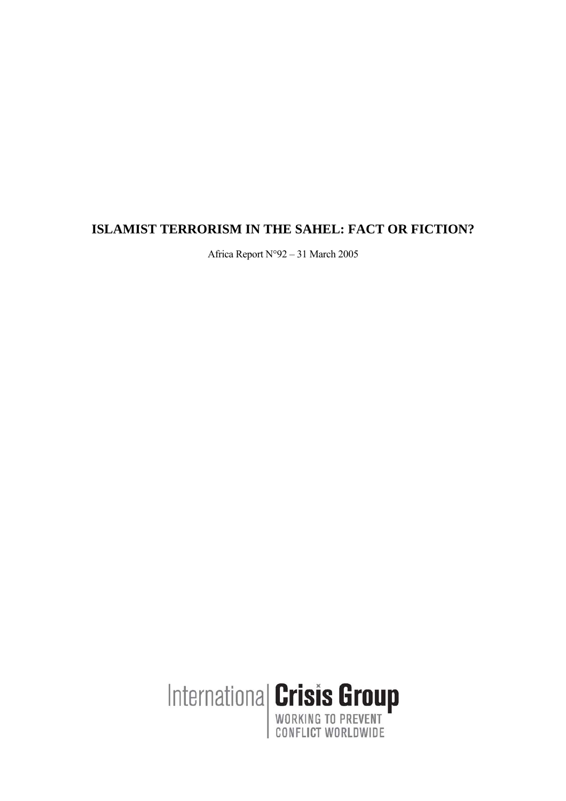# **ISLAMIST TERRORISM IN THE SAHEL: FACT OR FICTION?**

Africa Report N°92 – 31 March 2005

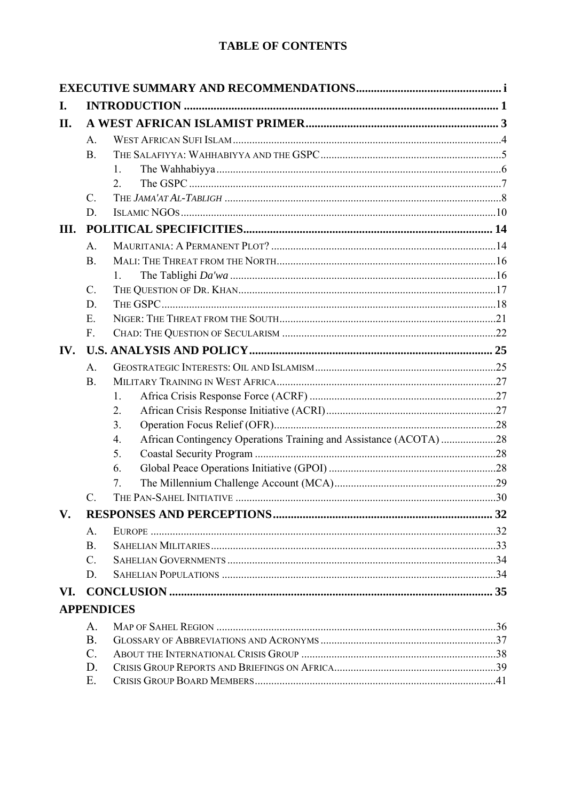# **TABLE OF CONTENTS**

| I.   |                 |                                                                         |  |  |
|------|-----------------|-------------------------------------------------------------------------|--|--|
| II.  |                 |                                                                         |  |  |
|      | A.              |                                                                         |  |  |
|      | <b>B</b> .      |                                                                         |  |  |
|      |                 | $\mathbf{1}$                                                            |  |  |
|      |                 | $\mathfrak{2}$                                                          |  |  |
|      | $C_{\cdot}$     |                                                                         |  |  |
|      | D.              |                                                                         |  |  |
| III. |                 |                                                                         |  |  |
|      | A.              |                                                                         |  |  |
|      | B.              |                                                                         |  |  |
|      |                 | $1_{-}$                                                                 |  |  |
|      | $C$ .           |                                                                         |  |  |
|      | D.              |                                                                         |  |  |
|      | $E$ .           |                                                                         |  |  |
|      | $F_{\cdot}$     |                                                                         |  |  |
| IV.  |                 |                                                                         |  |  |
|      | A.              |                                                                         |  |  |
|      | $\mathbf{B}$ .  |                                                                         |  |  |
|      |                 | 1.                                                                      |  |  |
|      |                 | 2.                                                                      |  |  |
|      |                 | 3.                                                                      |  |  |
|      |                 | African Contingency Operations Training and Assistance (ACOTA) 28<br>4. |  |  |
|      |                 | 5.                                                                      |  |  |
|      |                 | 6.                                                                      |  |  |
|      |                 | $7_{\scriptscriptstyle{\ddot{\phantom{1}}}}$                            |  |  |
|      | $\mathcal{C}$ . |                                                                         |  |  |
| V.   |                 |                                                                         |  |  |
|      | $\mathsf{A}$ .  |                                                                         |  |  |
|      | $\mathbf{B}$ .  |                                                                         |  |  |
|      | $C_{\cdot}$     |                                                                         |  |  |
|      | D.              |                                                                         |  |  |
| VI.  |                 |                                                                         |  |  |
|      |                 | <b>APPENDICES</b>                                                       |  |  |
|      | A.              |                                                                         |  |  |
|      | <b>B</b> .      |                                                                         |  |  |
|      | $\mathcal{C}$ . |                                                                         |  |  |
|      | D.              |                                                                         |  |  |
|      | Ε.              |                                                                         |  |  |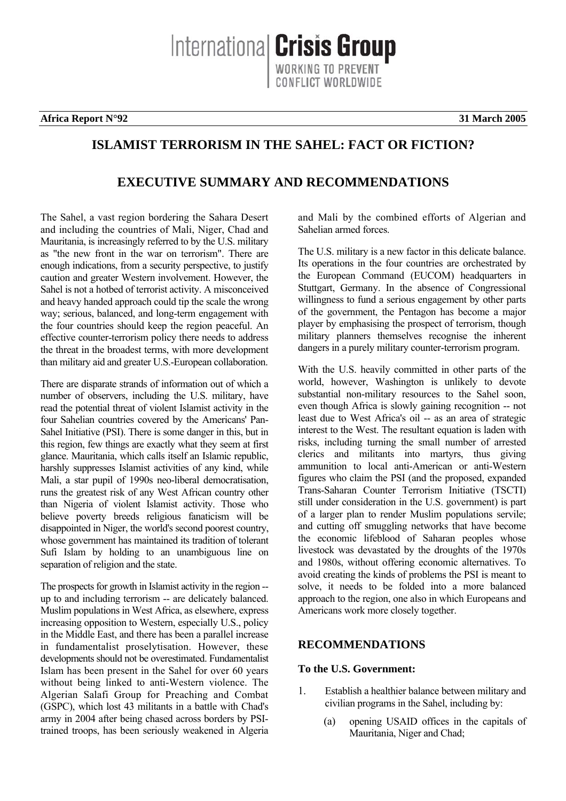Internationa **Crisis Group** CONFLICT WORLDWIDE

**Africa Report N°92 31 March 2005**

# **ISLAMIST TERRORISM IN THE SAHEL: FACT OR FICTION?**

# **EXECUTIVE SUMMARY AND RECOMMENDATIONS**

The Sahel, a vast region bordering the Sahara Desert and including the countries of Mali, Niger, Chad and Mauritania, is increasingly referred to by the U.S. military as "the new front in the war on terrorism". There are enough indications, from a security perspective, to justify caution and greater Western involvement. However, the Sahel is not a hotbed of terrorist activity. A misconceived and heavy handed approach could tip the scale the wrong way; serious, balanced, and long-term engagement with the four countries should keep the region peaceful. An effective counter-terrorism policy there needs to address the threat in the broadest terms, with more development than military aid and greater U.S.-European collaboration.

There are disparate strands of information out of which a number of observers, including the U.S. military, have read the potential threat of violent Islamist activity in the four Sahelian countries covered by the Americans' Pan-Sahel Initiative (PSI). There is some danger in this, but in this region, few things are exactly what they seem at first glance. Mauritania, which calls itself an Islamic republic, harshly suppresses Islamist activities of any kind, while Mali, a star pupil of 1990s neo-liberal democratisation, runs the greatest risk of any West African country other than Nigeria of violent Islamist activity. Those who believe poverty breeds religious fanaticism will be disappointed in Niger, the world's second poorest country, whose government has maintained its tradition of tolerant Sufi Islam by holding to an unambiguous line on separation of religion and the state.

The prospects for growth in Islamist activity in the region - up to and including terrorism -- are delicately balanced. Muslim populations in West Africa, as elsewhere, express increasing opposition to Western, especially U.S., policy in the Middle East, and there has been a parallel increase in fundamentalist proselytisation. However, these developments should not be overestimated. Fundamentalist Islam has been present in the Sahel for over 60 years without being linked to anti-Western violence. The Algerian Salafi Group for Preaching and Combat (GSPC), which lost 43 militants in a battle with Chad's army in 2004 after being chased across borders by PSItrained troops, has been seriously weakened in Algeria and Mali by the combined efforts of Algerian and Sahelian armed forces.

The U.S. military is a new factor in this delicate balance. Its operations in the four countries are orchestrated by the European Command (EUCOM) headquarters in Stuttgart, Germany. In the absence of Congressional willingness to fund a serious engagement by other parts of the government, the Pentagon has become a major player by emphasising the prospect of terrorism, though military planners themselves recognise the inherent dangers in a purely military counter-terrorism program.

With the U.S. heavily committed in other parts of the world, however, Washington is unlikely to devote substantial non-military resources to the Sahel soon, even though Africa is slowly gaining recognition -- not least due to West Africa's oil -- as an area of strategic interest to the West. The resultant equation is laden with risks, including turning the small number of arrested clerics and militants into martyrs, thus giving ammunition to local anti-American or anti-Western figures who claim the PSI (and the proposed, expanded Trans-Saharan Counter Terrorism Initiative (TSCTI) still under consideration in the U.S. government) is part of a larger plan to render Muslim populations servile; and cutting off smuggling networks that have become the economic lifeblood of Saharan peoples whose livestock was devastated by the droughts of the 1970s and 1980s, without offering economic alternatives. To avoid creating the kinds of problems the PSI is meant to solve, it needs to be folded into a more balanced approach to the region, one also in which Europeans and Americans work more closely together.

## **RECOMMENDATIONS**

#### **To the U.S. Government:**

- 1. Establish a healthier balance between military and civilian programs in the Sahel, including by:
	- (a) opening USAID offices in the capitals of Mauritania, Niger and Chad;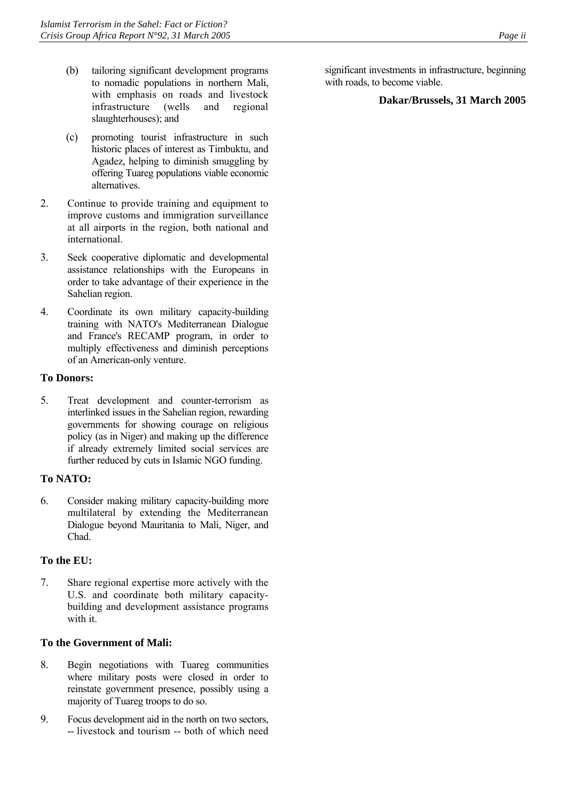- (b) tailoring significant development programs to nomadic populations in northern Mali, with emphasis on roads and livestock infrastructure (wells and regional slaughterhouses); and
- (c) promoting tourist infrastructure in such historic places of interest as Timbuktu, and Agadez, helping to diminish smuggling by offering Tuareg populations viable economic alternatives.
- 2. Continue to provide training and equipment to improve customs and immigration surveillance at all airports in the region, both national and international.
- 3. Seek cooperative diplomatic and developmental assistance relationships with the Europeans in order to take advantage of their experience in the Sahelian region.
- 4. Coordinate its own military capacity-building training with NATO's Mediterranean Dialogue and France's RECAMP program, in order to multiply effectiveness and diminish perceptions of an American-only venture.

#### **To Donors:**

5. Treat development and counter-terrorism as interlinked issues in the Sahelian region, rewarding governments for showing courage on religious policy (as in Niger) and making up the difference if already extremely limited social services are further reduced by cuts in Islamic NGO funding.

#### **To NATO:**

6. Consider making military capacity-building more multilateral by extending the Mediterranean Dialogue beyond Mauritania to Mali, Niger, and Chad.

## **To the EU:**

7. Share regional expertise more actively with the U.S. and coordinate both military capacitybuilding and development assistance programs with it.

#### **To the Government of Mali:**

- 8. Begin negotiations with Tuareg communities where military posts were closed in order to reinstate government presence, possibly using a majority of Tuareg troops to do so.
- 9. Focus development aid in the north on two sectors, -- livestock and tourism -- both of which need

significant investments in infrastructure, beginning with roads, to become viable.

#### **Dakar/Brussels, 31 March 2005**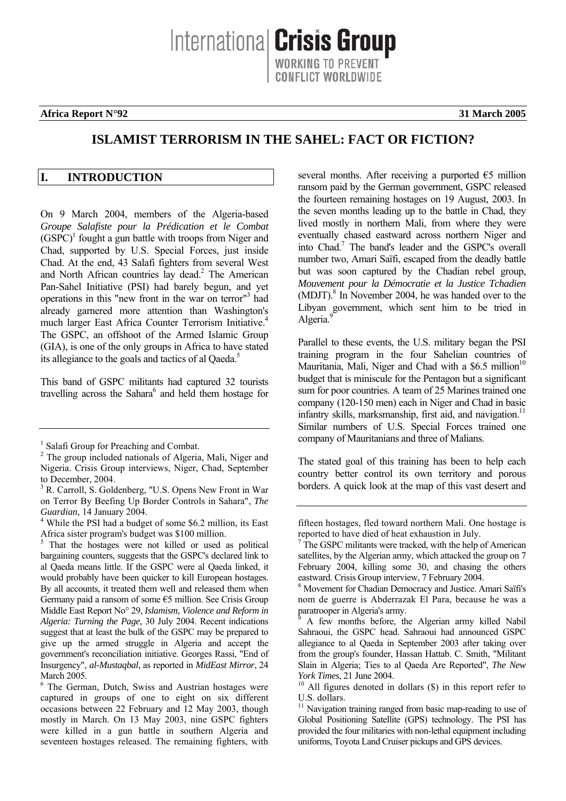International **Crisis Group** WORKING TO PREVENT ONFLICT WORLDWIDE

#### **Africa Report N°92** 31 March 2005

## **ISLAMIST TERRORISM IN THE SAHEL: FACT OR FICTION?**

#### <span id="page-4-0"></span>**I. INTRODUCTION**

On 9 March 2004, members of the Algeria-based *Groupe Salafiste pour la Prédication et le Combat*  $(GSPC)^1$  $(GSPC)^1$  fought a gun battle with troops from Niger and Chad, supported by U.S. Special Forces, just inside Chad. At the end, 43 Salafi fighters from several West and North African countries lay dead.<sup>[2](#page-4-2)</sup> The American Pan-Sahel Initiative (PSI) had barely begun, and yet operations in this "new front in the war on terror"[3](#page-4-3) had already garnered more attention than Washington's much larger East Africa Counter Terrorism Initiative.<sup>4</sup> The GSPC, an offshoot of the Armed Islamic Group (GIA), is one of the only groups in Africa to have stated its allegiance to the goals and tactics of al Qaeda.<sup>5</sup>

This band of GSPC militants had captured 32 tourists travelling across the Sahara<sup>[6](#page-4-6)</sup> and held them hostage for several months. After receiving a purported  $\epsilon$ 5 million ransom paid by the German government, GSPC released the fourteen remaining hostages on 19 August, 2003. In the seven months leading up to the battle in Chad, they lived mostly in northern Mali, from where they were eventually chased eastward across northern Niger and into Chad.<sup>7</sup> The band's leader and the GSPC's overall number two, Amari Saïfi, escaped from the deadly battle but was soon captured by the Chadian rebel group, *Mouvement pour la Démocratie et la Justice Tchadien* (MDJT).<sup>8</sup> In November 2004, he was handed over to the Libyan government, which sent him to be tried in Algeria.<sup>[9](#page-4-9)</sup>

Parallel to these events, the U.S. military began the PSI training program in the four Sahelian countries of Mauritania, Mali, Niger and Chad with a  $$6.5$  million<sup>10</sup> budget that is miniscule for the Pentagon but a significant sum for poor countries. A team of 25 Marines trained one company (120-150 men) each in Niger and Chad in basic infantry skills, marksmanship, first aid, and navigation.<sup>11</sup> Similar numbers of U.S. Special Forces trained one company of Mauritanians and three of Malians.

The stated goal of this training has been to help each country better control its own territory and porous borders. A quick look at the map of this vast desert and

<span id="page-4-1"></span><sup>&</sup>lt;sup>1</sup> Salafi Group for Preaching and Combat.

<span id="page-4-2"></span><sup>&</sup>lt;sup>2</sup> The group included nationals of Algeria, Mali, Niger and Nigeria. Crisis Group interviews, Niger, Chad, September to December, 2004.

<span id="page-4-3"></span><sup>&</sup>lt;sup>3</sup> R. Carroll, S. Goldenberg, "U.S. Opens New Front in War on Terror By Beefing Up Border Controls in Sahara", *The*  Guardian, 14 January 2004.

<span id="page-4-4"></span>While the PSI had a budget of some \$6.2 million, its East Africa sister program's budget was \$100 million.

<span id="page-4-5"></span><sup>5</sup> That the hostages were not killed or used as political bargaining counters, suggests that the GSPC's declared link to al Qaeda means little. If the GSPC were al Qaeda linked, it would probably have been quicker to kill European hostages. By all accounts, it treated them well and released them when Germany paid a ransom of some €5 million. See Crisis Group Middle East Report No° 29, *Islamism, Violence and Reform in Algeria: Turning the Page,* 30 July 2004. Recent indications suggest that at least the bulk of the GSPC may be prepared to give up the armed struggle in Algeria and accept the government's reconciliation initiative. Georges Rassi, "End of Insurgency", *al-Mustaqbal*, as reported in *MidEast Mirror*, 24 March 2005

<span id="page-4-6"></span><sup>6</sup> The German, Dutch, Swiss and Austrian hostages were captured in groups of one to eight on six different occasions between 22 February and 12 May 2003, though mostly in March. On 13 May 2003, nine GSPC fighters were killed in a gun battle in southern Algeria and seventeen hostages released. The remaining fighters, with

fifteen hostages, fled toward northern Mali. One hostage is reported to have died of heat exhaustion in July.

<span id="page-4-7"></span> $7$  The GSPC militants were tracked, with the help of American satellites, by the Algerian army, which attacked the group on 7 February 2004, killing some 30, and chasing the others eastward. Crisis Group interview, 7 February 2004.

<span id="page-4-8"></span><sup>8</sup> Movement for Chadian Democracy and Justice. Amari Saïfi's nom de guerre is Abderrazak El Para, because he was a paratrooper in Algeria's army.

<span id="page-4-9"></span><sup>9</sup> A few months before, the Algerian army killed Nabil Sahraoui, the GSPC head. Sahraoui had announced GSPC allegiance to al Qaeda in September 2003 after taking over from the group's founder, Hassan Hattab. C. Smith, "Militant Slain in Algeria; Ties to al Qaeda Are Reported", *The New* 

<span id="page-4-10"></span>*York Times*, 21 June 2004.<br><sup>10</sup> All figures denoted in dollars (\$) in this report refer to U.S. dollars.

<span id="page-4-11"></span> $11$  Navigation training ranged from basic map-reading to use of Global Positioning Satellite (GPS) technology. The PSI has provided the four militaries with non-lethal equipment including uniforms, Toyota Land Cruiser pickups and GPS devices.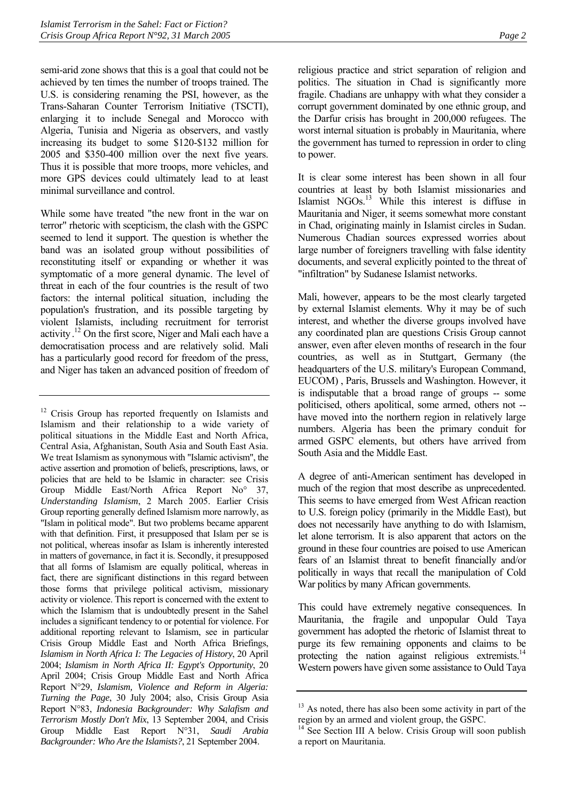semi-arid zone shows that this is a goal that could not be achieved by ten times the number of troops trained. The U.S. is considering renaming the PSI, however, as the Trans-Saharan Counter Terrorism Initiative (TSCTI), enlarging it to include Senegal and Morocco with Algeria, Tunisia and Nigeria as observers, and vastly increasing its budget to some \$120-\$132 million for 2005 and \$350-400 million over the next five years. Thus it is possible that more troops, more vehicles, and more GPS devices could ultimately lead to at least minimal surveillance and control.

While some have treated "the new front in the war on terror" rhetoric with scepticism, the clash with the GSPC seemed to lend it support. The question is whether the band was an isolated group without possibilities of reconstituting itself or expanding or whether it was symptomatic of a more general dynamic. The level of threat in each of the four countries is the result of two factors: the internal political situation, including the population's frustration, and its possible targeting by violent Islamists, including recruitment for terrorist activity.<sup>12</sup> On the first score, Niger and Mali each have a democratisation process and are relatively solid. Mali has a particularly good record for freedom of the press, and Niger has taken an advanced position of freedom of religious practice and strict separation of religion and politics. The situation in Chad is significantly more fragile. Chadians are unhappy with what they consider a corrupt government dominated by one ethnic group, and the Darfur crisis has brought in 200,000 refugees. The worst internal situation is probably in Mauritania, where the government has turned to repression in order to cling to power.

It is clear some interest has been shown in all four countries at least by both Islamist missionaries and Islamist NGOs.<sup>13</sup> While this interest is diffuse in Mauritania and Niger, it seems somewhat more constant in Chad, originating mainly in Islamist circles in Sudan. Numerous Chadian sources expressed worries about large number of foreigners travelling with false identity documents, and several explicitly pointed to the threat of "infiltration" by Sudanese Islamist networks.

Mali, however, appears to be the most clearly targeted by external Islamist elements. Why it may be of such interest, and whether the diverse groups involved have any coordinated plan are questions Crisis Group cannot answer, even after eleven months of research in the four countries, as well as in Stuttgart, Germany (the headquarters of the U.S. military's European Command, EUCOM) , Paris, Brussels and Washington. However, it is indisputable that a broad range of groups -- some politicised, others apolitical, some armed, others not - have moved into the northern region in relatively large numbers. Algeria has been the primary conduit for armed GSPC elements, but others have arrived from South Asia and the Middle East.

A degree of anti-American sentiment has developed in much of the region that most describe as unprecedented. This seems to have emerged from West African reaction to U.S. foreign policy (primarily in the Middle East), but does not necessarily have anything to do with Islamism, let alone terrorism. It is also apparent that actors on the ground in these four countries are poised to use American fears of an Islamist threat to benefit financially and/or politically in ways that recall the manipulation of Cold War politics by many African governments.

This could have extremely negative consequences. In Mauritania, the fragile and unpopular Ould Taya government has adopted the rhetoric of Islamist threat to purge its few remaining opponents and claims to be protecting the nation against religious extremists.<sup>14</sup> Western powers have given some assistance to Ould Taya

<span id="page-5-0"></span><sup>&</sup>lt;sup>12</sup> Crisis Group has reported frequently on Islamists and Islamism and their relationship to a wide variety of political situations in the Middle East and North Africa, Central Asia, Afghanistan, South Asia and South East Asia. We treat Islamism as synonymous with "Islamic activism", the active assertion and promotion of beliefs, prescriptions, laws, or policies that are held to be Islamic in character: see Crisis Group Middle East/North Africa Report No° 37, *Understanding Islamism*, 2 March 2005. Earlier Crisis Group reporting generally defined Islamism more narrowly, as "Islam in political mode". But two problems became apparent with that definition. First, it presupposed that Islam per se is not political, whereas insofar as Islam is inherently interested in matters of governance, in fact it is. Secondly, it presupposed that all forms of Islamism are equally political, whereas in fact, there are significant distinctions in this regard between those forms that privilege political activism, missionary activity or violence. This report is concerned with the extent to which the Islamism that is undoubtedly present in the Sahel includes a significant tendency to or potential for violence. For additional reporting relevant to Islamism, see in particular Crisis Group Middle East and North Africa Briefings, *Islamism in North Africa I: The Legacies of History*, 20 April 2004; *Islamism in North Africa II: Egypt's Opportunity*, 20 April 2004; Crisis Group Middle East and North Africa Report N°29, *Islamism, Violence and Reform in Algeria: Turning the Page*, 30 July 2004; also, Crisis Group Asia Report N°83, *Indonesia Backgrounder: Why Salafism and Terrorism Mostly Don't Mix*, 13 September 2004, and Crisis Group Middle East Report N°31, *Saudi Arabia Backgrounder: Who Are the Islamists?*, 21 September 2004.

<span id="page-5-1"></span><sup>&</sup>lt;sup>13</sup> As noted, there has also been some activity in part of the region by an armed and violent group, the GSPC.

<span id="page-5-2"></span><sup>&</sup>lt;sup>14</sup> See Section III A below. Crisis Group will soon publish a report on Mauritania.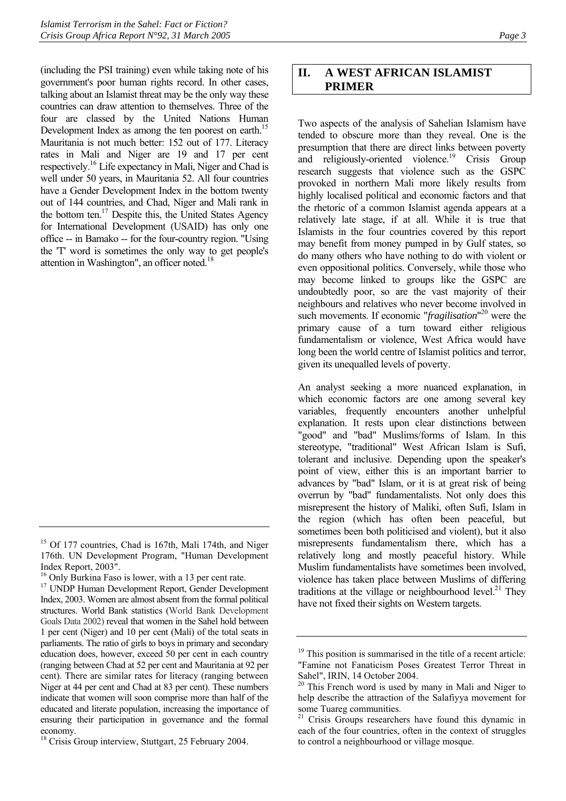(including the PSI training) even while taking note of his government's poor human rights record. In other cases, talking about an Islamist threat may be the only way these countries can draw attention to themselves. Three of the four are classed by the United Nations Human Development Index as among the ten poorest on earth.<sup>15</sup> Mauritania is not much better: 152 out of 177. Literacy rates in Mali and Niger are 19 and 17 per cent respectively.[16](#page-6-2) Life expectancy in Mali, Niger and Chad is well under 50 years, in Mauritania 52. All four countries have a Gender Development Index in the bottom twenty out of 144 countries, and Chad, Niger and Mali rank in the bottom ten.<sup>17</sup> Despite this, the United States Agency for International Development (USAID) has only one office -- in Bamako -- for the four-country region. "Using the 'T' word is sometimes the only way to get people's attention in Washington", an officer noted[.18](#page-6-4)

## <span id="page-6-0"></span>**II. A WEST AFRICAN ISLAMIST PRIMER**

Two aspects of the analysis of Sahelian Islamism have tended to obscure more than they reveal. One is the presumption that there are direct links between poverty and religiously-oriented violence.<sup>19</sup> Crisis Group research suggests that violence such as the GSPC provoked in northern Mali more likely results from highly localised political and economic factors and that the rhetoric of a common Islamist agenda appears at a relatively late stage, if at all. While it is true that Islamists in the four countries covered by this report may benefit from money pumped in by Gulf states, so do many others who have nothing to do with violent or even oppositional politics. Conversely, while those who may become linked to groups like the GSPC are undoubtedly poor, so are the vast majority of their neighbours and relatives who never become involved in such movements. If economic "*fragilisation*" [20](#page-6-6) were the primary cause of a turn toward either religious fundamentalism or violence, West Africa would have long been the world centre of Islamist politics and terror, given its unequalled levels of poverty.

An analyst seeking a more nuanced explanation, in which economic factors are one among several key variables, frequently encounters another unhelpful explanation. It rests upon clear distinctions between "good" and "bad" Muslims/forms of Islam. In this stereotype, "traditional" West African Islam is Sufi, tolerant and inclusive. Depending upon the speaker's point of view, either this is an important barrier to advances by "bad" Islam, or it is at great risk of being overrun by "bad" fundamentalists. Not only does this misrepresent the history of Maliki, often Sufi, Islam in the region (which has often been peaceful, but sometimes been both politicised and violent), but it also misrepresents fundamentalism there, which has a relatively long and mostly peaceful history. While Muslim fundamentalists have sometimes been involved, violence has taken place between Muslims of differing traditions at the village or neighbourhood level.<sup>21</sup> They have not fixed their sights on Western targets.

<span id="page-6-1"></span><sup>&</sup>lt;sup>15</sup> Of 177 countries, Chad is 167th, Mali 174th, and Niger 176th. UN Development Program, "Human Development Index Report, 2003".

<span id="page-6-2"></span><sup>&</sup>lt;sup>16</sup> Only Burkina Faso is lower, with a 13 per cent rate.

<span id="page-6-3"></span><sup>&</sup>lt;sup>17</sup> UNDP Human Development Report, Gender Development Index, 2003. Women are almost absent from the formal political structures. World Bank statistics (World Bank Development Goals Data 2002) reveal that women in the Sahel hold between 1 per cent (Niger) and 10 per cent (Mali) of the total seats in parliaments. The ratio of girls to boys in primary and secondary education does, however, exceed 50 per cent in each country (ranging between Chad at 52 per cent and Mauritania at 92 per cent). There are similar rates for literacy (ranging between Niger at 44 per cent and Chad at 83 per cent). These numbers indicate that women will soon comprise more than half of the educated and literate population, increasing the importance of ensuring their participation in governance and the formal economy.

<span id="page-6-4"></span><sup>&</sup>lt;sup>18</sup> Crisis Group interview, Stuttgart, 25 February 2004.

<span id="page-6-5"></span><sup>&</sup>lt;sup>19</sup> This position is summarised in the title of a recent article: "Famine not Fanaticism Poses Greatest Terror Threat in Sahel", IRIN, 14 October 2004.

<span id="page-6-6"></span><sup>&</sup>lt;sup>20</sup> This French word is used by many in Mali and Niger to help describe the attraction of the Salafiyya movement for some Tuareg communities.

<span id="page-6-7"></span><sup>&</sup>lt;sup>21</sup> Crisis Groups researchers have found this dynamic in each of the four countries, often in the context of struggles to control a neighbourhood or village mosque.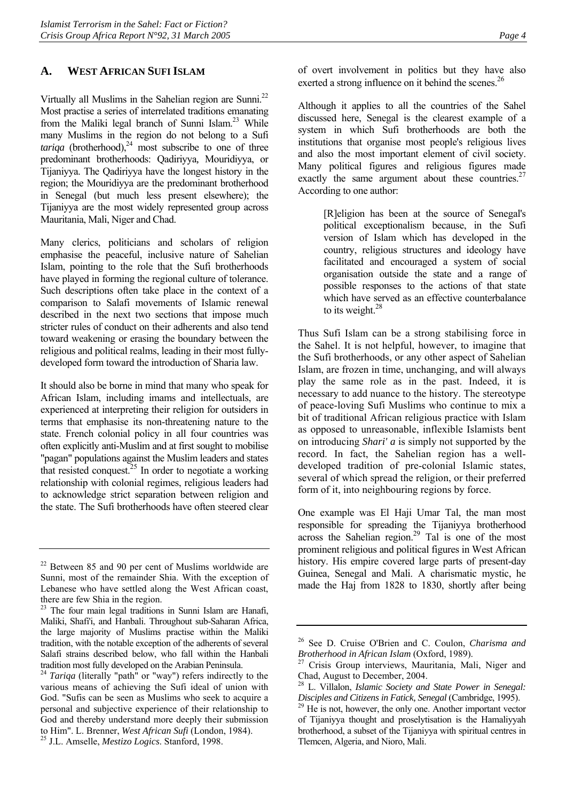#### <span id="page-7-0"></span>**A. WEST AFRICAN SUFI ISLAM**

Virtually all Muslims in the Sahelian region are Sunni.<sup>22</sup> Most practise a series of interrelated traditions emanating from the Maliki legal branch of Sunni Islam.[23](#page-7-2) While many Muslims in the region do not belong to a Sufi *tariqa* (brotherhood), $^{24}$  most subscribe to one of three predominant brotherhoods: Qadiriyya*,* Mouridiyya, or Tijaniyya. The Qadiriyya have the longest history in the region; the Mouridiyya are the predominant brotherhood in Senegal (but much less present elsewhere); the Tijaniyya are the most widely represented group across Mauritania, Mali, Niger and Chad.

Many clerics, politicians and scholars of religion emphasise the peaceful, inclusive nature of Sahelian Islam, pointing to the role that the Sufi brotherhoods have played in forming the regional culture of tolerance. Such descriptions often take place in the context of a comparison to Salafi movements of Islamic renewal described in the next two sections that impose much stricter rules of conduct on their adherents and also tend toward weakening or erasing the boundary between the religious and political realms, leading in their most fullydeveloped form toward the introduction of Sharia law.

It should also be borne in mind that many who speak for African Islam, including imams and intellectuals, are experienced at interpreting their religion for outsiders in terms that emphasise its non-threatening nature to the state. French colonial policy in all four countries was often explicitly anti-Muslim and at first sought to mobilise "pagan" populations against the Muslim leaders and states that resisted conquest.<sup>25</sup> In order to negotiate a working relationship with colonial regimes, religious leaders had to acknowledge strict separation between religion and the state. The Sufi brotherhoods have often steered clear of overt involvement in politics but they have also exerted a strong influence on it behind the scenes.<sup>[26](#page-7-5)</sup>

Although it applies to all the countries of the Sahel discussed here, Senegal is the clearest example of a system in which Sufi brotherhoods are both the institutions that organise most people's religious lives and also the most important element of civil society. Many political figures and religious figures made exactly the same argument about these countries. $27$ According to one author:

> [R]eligion has been at the source of Senegal's political exceptionalism because, in the Sufi version of Islam which has developed in the country, religious structures and ideology have facilitated and encouraged a system of social organisation outside the state and a range of possible responses to the actions of that state which have served as an effective counterbalance to its weight.<sup>[28](#page-7-7)</sup>

Thus Sufi Islam can be a strong stabilising force in the Sahel. It is not helpful, however, to imagine that the Sufi brotherhoods, or any other aspect of Sahelian Islam, are frozen in time, unchanging, and will always play the same role as in the past. Indeed, it is necessary to add nuance to the history. The stereotype of peace-loving Sufi Muslims who continue to mix a bit of traditional African religious practice with Islam as opposed to unreasonable, inflexible Islamists bent on introducing *Shari' a* is simply not supported by the record. In fact, the Sahelian region has a welldeveloped tradition of pre-colonial Islamic states, several of which spread the religion, or their preferred form of it, into neighbouring regions by force.

One example was El Haji Umar Tal, the man most responsible for spreading the Tijaniyya brotherhood across the Sahelian region.<sup>29</sup> Tal is one of the most prominent religious and political figures in West African history. His empire covered large parts of present-day Guinea, Senegal and Mali. A charismatic mystic, he made the Haj from 1828 to 1830, shortly after being

<span id="page-7-1"></span><sup>22</sup> Between 85 and 90 per cent of Muslims worldwide are Sunni, most of the remainder Shia. With the exception of Lebanese who have settled along the West African coast, there are few Shia in the region.

<span id="page-7-2"></span><sup>&</sup>lt;sup>23</sup> The four main legal traditions in Sunni Islam are Hanafi, Maliki, Shafi'i, and Hanbali. Throughout sub-Saharan Africa, the large majority of Muslims practise within the Maliki tradition, with the notable exception of the adherents of several Salafi strains described below, who fall within the Hanbali

<span id="page-7-3"></span>tradition most fully developed on the Arabian Peninsula. 24 *Tariqa* (literally "path" or "way") refers indirectly to the various means of achieving the Sufi ideal of union with God. "Sufis can be seen as Muslims who seek to acquire a personal and subjective experience of their relationship to God and thereby understand more deeply their submission to Him". L. Brenner, *West African Sufi* (London, 1984). 25 J.L. Amselle, *Mestizo Logics*. Stanford, 1998.

<span id="page-7-4"></span>

<span id="page-7-5"></span><sup>26</sup> See D. Cruise O'Brien and C. Coulon, *Charisma and Brotherhood in African Islam* (Oxford, 1989).<br><sup>27</sup> Crisis Group interviews, Mauritania, Mali, Niger and

<span id="page-7-6"></span>Chad, August to December, 2004. 28 L. Villalon, *Islamic Society and State Power in Senegal:* 

<span id="page-7-7"></span>

<span id="page-7-8"></span>*Disciples and Citizens in Fatick, Senegal* (Cambridge, 1995).<br><sup>29</sup> He is not, however, the only one. Another important vector of Tijaniyya thought and proselytisation is the Hamaliyyah brotherhood, a subset of the Tijaniyya with spiritual centres in Tlemcen, Algeria, and Nioro, Mali.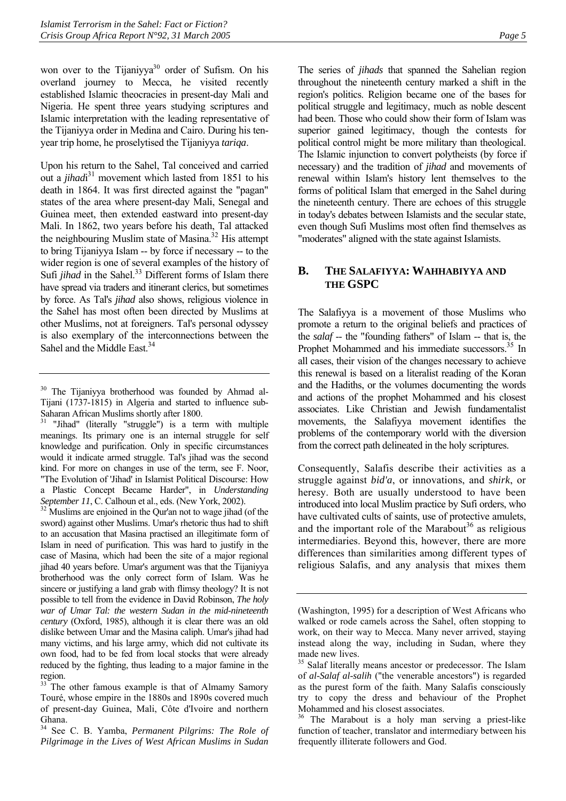won over to the Tijaniyya<sup>30</sup> order of Sufism. On his overland journey to Mecca, he visited recently established Islamic theocracies in present-day Mali and Nigeria. He spent three years studying scriptures and Islamic interpretation with the leading representative of the Tijaniyya order in Medina and Cairo. During his tenyear trip home, he proselytised the Tijaniyya *tariqa*.

Upon his return to the Sahel, Tal conceived and carried out a *jihad*<sup>31</sup> movement which lasted from 1851 to his death in 1864. It was first directed against the "pagan" states of the area where present-day Mali, Senegal and Guinea meet, then extended eastward into present-day Mali. In 1862, two years before his death, Tal attacked the neighbouring Muslim state of Masina.<sup>32</sup> His attempt to bring Tijaniyya Islam -- by force if necessary -- to the wider region is one of several examples of the history of Sufi *jihad* in the Sahel.<sup>33</sup> Different forms of Islam there have spread via traders and itinerant clerics, but sometimes by force. As Tal's *jihad* also shows, religious violence in the Sahel has most often been directed by Muslims at other Muslims, not at foreigners. Tal's personal odyssey is also exemplary of the interconnections between the Sahel and the Middle East.<sup>[34](#page-8-5)</sup>

<span id="page-8-3"></span>*September 11*, C. Calhoun et al., eds. (New York, 2002). <sup>32</sup> Muslims are enjoined in the Qur'an not to wage jihad (of the sword) against other Muslims. Umar's rhetoric thus had to shift to an accusation that Masina practised an illegitimate form of Islam in need of purification. This was hard to justify in the case of Masina, which had been the site of a major regional jihad 40 years before. Umar's argument was that the Tijaniyya brotherhood was the only correct form of Islam. Was he sincere or justifying a land grab with flimsy theology? It is not possible to tell from the evidence in David Robinson, *The holy war of Umar Tal: the western Sudan in the mid-nineteenth century* (Oxford, 1985), although it is clear there was an old dislike between Umar and the Masina caliph. Umar's jihad had many victims, and his large army, which did not cultivate its own food, had to be fed from local stocks that were already reduced by the fighting, thus leading to a major famine in the region.

The series of *jihads* that spanned the Sahelian region throughout the nineteenth century marked a shift in the region's politics. Religion became one of the bases for political struggle and legitimacy, much as noble descent had been. Those who could show their form of Islam was superior gained legitimacy, though the contests for political control might be more military than theological. The Islamic injunction to convert polytheists (by force if necessary) and the tradition of *jihad* and movements of renewal within Islam's history lent themselves to the forms of political Islam that emerged in the Sahel during the nineteenth century. There are echoes of this struggle in today's debates between Islamists and the secular state, even though Sufi Muslims most often find themselves as "moderates" aligned with the state against Islamists.

## <span id="page-8-0"></span>**B. THE SALAFIYYA: WAHHABIYYA AND THE GSPC**

The Salafiyya is a movement of those Muslims who promote a return to the original beliefs and practices of the *salaf* -- the "founding fathers" of Islam -- that is, the Prophet Mohammed and his immediate successors.<sup>35</sup> In all cases, their vision of the changes necessary to achieve this renewal is based on a literalist reading of the Koran and the Hadiths, or the volumes documenting the words and actions of the prophet Mohammed and his closest associates. Like Christian and Jewish fundamentalist movements, the Salafiyya movement identifies the problems of the contemporary world with the diversion from the correct path delineated in the holy scriptures.

Consequently, Salafis describe their activities as a struggle against *bid'a*, or innovations, and *shirk*, or heresy. Both are usually understood to have been introduced into local Muslim practice by Sufi orders, who have cultivated cults of saints, use of protective amulets, and the important role of the Marabout<sup>36</sup> as religious intermediaries. Beyond this, however, there are more differences than similarities among different types of religious Salafis, and any analysis that mixes them

<span id="page-8-1"></span><sup>&</sup>lt;sup>30</sup> The Tijaniyya brotherhood was founded by Ahmad al-Tijani (1737-1815) in Algeria and started to influence sub-Saharan African Muslims shortly after 1800.

<span id="page-8-2"></span><sup>&</sup>lt;sup>31</sup> "Jihad" (literally "struggle") is a term with multiple meanings. Its primary one is an internal struggle for self knowledge and purification. Only in specific circumstances would it indicate armed struggle. Tal's jihad was the second kind. For more on changes in use of the term, see F. Noor, "The Evolution of 'Jihad' in Islamist Political Discourse: How a Plastic Concept Became Harder", in *Understanding* 

<span id="page-8-4"></span><sup>&</sup>lt;sup>33</sup> The other famous example is that of Almamy Samory Touré, whose empire in the 1880s and 1890s covered much of present-day Guinea, Mali, Côte d'Ivoire and northern Ghana.

<span id="page-8-5"></span><sup>34</sup> See C. B. Yamba, *Permanent Pilgrims: The Role of Pilgrimage in the Lives of West African Muslims in Sudan*

<sup>(</sup>Washington, 1995) for a description of West Africans who walked or rode camels across the Sahel, often stopping to work, on their way to Mecca. Many never arrived, staying instead along the way, including in Sudan, where they made new lives.

<span id="page-8-6"></span><sup>&</sup>lt;sup>35</sup> Salaf literally means ancestor or predecessor. The Islam of *al-Salaf al-salih* ("the venerable ancestors") is regarded as the purest form of the faith. Many Salafis consciously try to copy the dress and behaviour of the Prophet Mohammed and his closest associates.

<span id="page-8-7"></span><sup>&</sup>lt;sup>36</sup> The Marabout is a holy man serving a priest-like function of teacher, translator and intermediary between his frequently illiterate followers and God.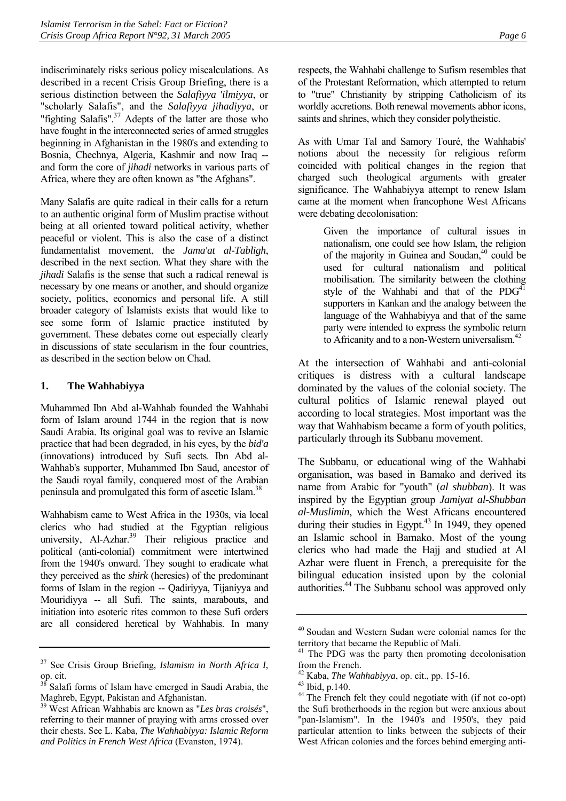indiscriminately risks serious policy miscalculations. As described in a recent Crisis Group Briefing, there is a serious distinction between the *Salafiyya 'ilmiyya*, or "scholarly Salafis", and the *Salafiyya jihadiyya*, or "fighting Salafis".<sup>37</sup> Adepts of the latter are those who have fought in the interconnected series of armed struggles beginning in Afghanistan in the 1980's and extending to Bosnia, Chechnya, Algeria, Kashmir and now Iraq - and form the core of *jihadi* networks in various parts of Africa, where they are often known as "the Afghans".

Many Salafis are quite radical in their calls for a return to an authentic original form of Muslim practise without being at all oriented toward political activity, whether peaceful or violent. This is also the case of a distinct fundamentalist movement, the *Jama'at al-Tabligh*, described in the next section. What they share with the *jihadi* Salafis is the sense that such a radical renewal is necessary by one means or another, and should organize society, politics, economics and personal life. A still broader category of Islamists exists that would like to see some form of Islamic practice instituted by government. These debates come out especially clearly in discussions of state secularism in the four countries, as described in the section below on Chad.

#### **1. The Wahhabiyya**

<span id="page-9-0"></span>Muhammed Ibn Abd al-Wahhab founded the Wahhabi form of Islam around 1744 in the region that is now Saudi Arabia. Its original goal was to revive an Islamic practice that had been degraded, in his eyes, by the *bid'a* (innovations) introduced by Sufi sects. Ibn Abd al-Wahhab's supporter, Muhammed Ibn Saud, ancestor of the Saudi royal family, conquered most of the Arabian peninsula and promulgated this form of ascetic Islam.[38](#page-9-2)

Wahhabism came to West Africa in the 1930s, via local clerics who had studied at the Egyptian religious university, Al-Azhar.<sup>39</sup> Their religious practice and political (anti-colonial) commitment were intertwined from the 1940's onward. They sought to eradicate what they perceived as the *shirk* (heresies) of the predominant forms of Islam in the region -- Qadiriyya, Tijaniyya and Mouridiyya -- all Sufi. The saints, marabouts, and initiation into esoteric rites common to these Sufi orders are all considered heretical by Wahhabis. In many respects, the Wahhabi challenge to Sufism resembles that of the Protestant Reformation, which attempted to return to "true" Christianity by stripping Catholicism of its worldly accretions. Both renewal movements abhor icons, saints and shrines, which they consider polytheistic.

As with Umar Tal and Samory Touré, the Wahhabis' notions about the necessity for religious reform coincided with political changes in the region that charged such theological arguments with greater significance. The Wahhabiyya attempt to renew Islam came at the moment when francophone West Africans were debating decolonisation:

> Given the importance of cultural issues in nationalism, one could see how Islam, the religion of the majority in Guinea and Soudan,<sup>40</sup> could be used for cultural nationalism and political mobilisation. The similarity between the clothing style of the Wahhabi and that of the  $PDG<sup>41</sup>$ supporters in Kankan and the analogy between the language of the Wahhabiyya and that of the same party were intended to express the symbolic return to Africanity and to a non-Western universalism.<sup>42</sup>

At the intersection of Wahhabi and anti-colonial critiques is distress with a cultural landscape dominated by the values of the colonial society. The cultural politics of Islamic renewal played out according to local strategies. Most important was the way that Wahhabism became a form of youth politics, particularly through its Subbanu movement.

The Subbanu, or educational wing of the Wahhabi organisation, was based in Bamako and derived its name from Arabic for "youth" (*al shubban*). It was inspired by the Egyptian group *Jamiyat al-Shubban al-Muslimin*, which the West Africans encountered during their studies in Egypt. $43$  In 1949, they opened an Islamic school in Bamako. Most of the young clerics who had made the Hajj and studied at Al Azhar were fluent in French, a prerequisite for the bilingual education insisted upon by the colonial authorities[.44](#page-9-8) The Subbanu school was approved only

<span id="page-9-1"></span><sup>37</sup> See Crisis Group Briefing, *Islamism in North Africa I*, op. cit.

<span id="page-9-2"></span><sup>&</sup>lt;sup>38</sup> Salafi forms of Islam have emerged in Saudi Arabia, the Maghreb, Egypt, Pakistan and Afghanistan.

<span id="page-9-3"></span><sup>39</sup> West African Wahhabis are known as "*Les bras croisés*", referring to their manner of praying with arms crossed over their chests. See L. Kaba, *The Wahhabiyya: Islamic Reform and Politics in French West Africa* (Evanston, 1974).

<span id="page-9-4"></span><sup>40</sup> Soudan and Western Sudan were colonial names for the territory that became the Republic of Mali.

<span id="page-9-5"></span> $41$  The PDG was the party then promoting decolonisation from the French.

<span id="page-9-6"></span><sup>42</sup> Kaba, *The Wahhabiyya*, op. cit., pp. 15-16. 43 Ibid, p.140.

<span id="page-9-7"></span>

<span id="page-9-8"></span><sup>&</sup>lt;sup>44</sup> The French felt they could negotiate with (if not co-opt) the Sufi brotherhoods in the region but were anxious about "pan-Islamism". In the 1940's and 1950's, they paid particular attention to links between the subjects of their West African colonies and the forces behind emerging anti-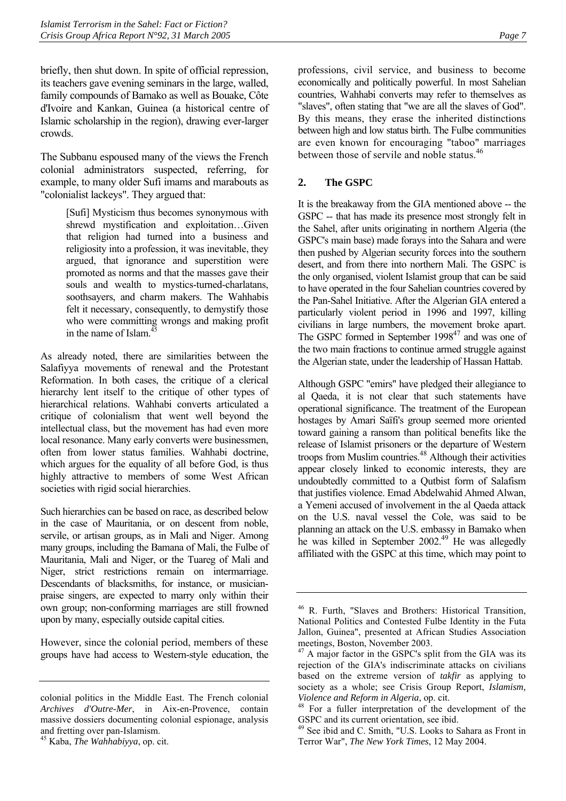briefly, then shut down. In spite of official repression, its teachers gave evening seminars in the large, walled, family compounds of Bamako as well as Bouake, Côte d'Ivoire and Kankan, Guinea (a historical centre of Islamic scholarship in the region), drawing ever-larger crowds.

The Subbanu espoused many of the views the French colonial administrators suspected, referring, for example, to many older Sufi imams and marabouts as "colonialist lackeys". They argued that:

> [Sufi] Mysticism thus becomes synonymous with shrewd mystification and exploitation…Given that religion had turned into a business and religiosity into a profession, it was inevitable, they argued, that ignorance and superstition were promoted as norms and that the masses gave their souls and wealth to mystics-turned-charlatans, soothsayers, and charm makers. The Wahhabis felt it necessary, consequently, to demystify those who were committing wrongs and making profit in the name of Islam.<sup>4</sup>

As already noted, there are similarities between the Salafiyya movements of renewal and the Protestant Reformation. In both cases, the critique of a clerical hierarchy lent itself to the critique of other types of hierarchical relations. Wahhabi converts articulated a critique of colonialism that went well beyond the intellectual class, but the movement has had even more local resonance. Many early converts were businessmen, often from lower status families. Wahhabi doctrine, which argues for the equality of all before God, is thus highly attractive to members of some West African societies with rigid social hierarchies.

Such hierarchies can be based on race, as described below in the case of Mauritania, or on descent from noble, servile, or artisan groups, as in Mali and Niger. Among many groups, including the Bamana of Mali, the Fulbe of Mauritania, Mali and Niger, or the Tuareg of Mali and Niger, strict restrictions remain on intermarriage. Descendants of blacksmiths, for instance, or musicianpraise singers, are expected to marry only within their own group; non-conforming marriages are still frowned upon by many, especially outside capital cities.

However, since the colonial period, members of these groups have had access to Western-style education, the professions, civil service, and business to become economically and politically powerful. In most Sahelian countries, Wahhabi converts may refer to themselves as "slaves", often stating that "we are all the slaves of God". By this means, they erase the inherited distinctions between high and low status birth. The Fulbe communities are even known for encouraging "taboo" marriages between those of servile and noble status.<sup>[46](#page-10-2)</sup>

## **2. The GSPC**

<span id="page-10-0"></span>It is the breakaway from the GIA mentioned above -- the GSPC -- that has made its presence most strongly felt in the Sahel, after units originating in northern Algeria (the GSPC's main base) made forays into the Sahara and were then pushed by Algerian security forces into the southern desert, and from there into northern Mali. The GSPC is the only organised, violent Islamist group that can be said to have operated in the four Sahelian countries covered by the Pan-Sahel Initiative. After the Algerian GIA entered a particularly violent period in 1996 and 1997, killing civilians in large numbers, the movement broke apart. The GSPC formed in September 1998<sup>47</sup> and was one of the two main fractions to continue armed struggle against the Algerian state, under the leadership of Hassan Hattab.

Although GSPC "emirs" have pledged their allegiance to al Qaeda, it is not clear that such statements have operational significance. The treatment of the European hostages by Amari Saïfi's group seemed more oriented toward gaining a ransom than political benefits like the release of Islamist prisoners or the departure of Western troops from Muslim countries.<sup>48</sup> Although their activities appear closely linked to economic interests, they are undoubtedly committed to a Qutbist form of Salafism that justifies violence. Emad Abdelwahid Ahmed Alwan, a Yemeni accused of involvement in the al Qaeda attack on the U.S. naval vessel the Cole, was said to be planning an attack on the U.S. embassy in Bamako when he was killed in September 2002.<sup>49</sup> He was allegedly affiliated with the GSPC at this time, which may point to

colonial politics in the Middle East. The French colonial *Archives d'Outre-Mer*, in Aix-en-Provence, contain massive dossiers documenting colonial espionage, analysis and fretting over pan-Islamism.

<span id="page-10-1"></span><sup>45</sup> Kaba, *The Wahhabiyya*, op. cit.

<span id="page-10-2"></span><sup>46</sup> R. Furth, "Slaves and Brothers: Historical Transition, National Politics and Contested Fulbe Identity in the Futa Jallon, Guinea", presented at African Studies Association meetings, Boston, November 2003.

<span id="page-10-3"></span><sup>&</sup>lt;sup>47</sup> A major factor in the GSPC's split from the GIA was its rejection of the GIA's indiscriminate attacks on civilians based on the extreme version of *takfir* as applying to society as a whole; see Crisis Group Report, *Islamism,* 

<span id="page-10-4"></span>*Violence and Reform in Algeria*, op. cit.<br><sup>48</sup> For a fuller interpretation of the development of the GSPC and its current orientation, see ibid.

<span id="page-10-5"></span><sup>49</sup> See ibid and C. Smith, "U.S. Looks to Sahara as Front in Terror War", *The New York Times*, 12 May 2004.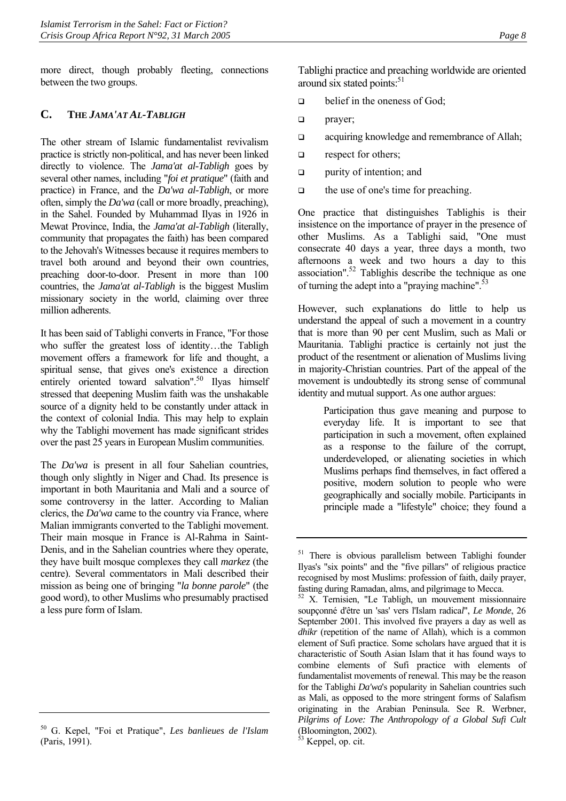more direct, though probably fleeting, connections between the two groups.

## <span id="page-11-0"></span>**C. THE** *JAMA'AT AL-TABLIGH*

The other stream of Islamic fundamentalist revivalism practice is strictly non-political, and has never been linked directly to violence. The *Jama'at al-Tabligh* goes by several other names, including "*foi et pratique*" (faith and practice) in France, and the *Da'wa al-Tabligh*, or more often, simply the *Da'wa* (call or more broadly, preaching), in the Sahel. Founded by Muhammad Ilyas in 1926 in Mewat Province, India, the *Jama'at al-Tabligh* (literally, community that propagates the faith) has been compared to the Jehovah's Witnesses because it requires members to travel both around and beyond their own countries, preaching door-to-door. Present in more than 100 countries, the *Jama'at al-Tabligh* is the biggest Muslim missionary society in the world, claiming over three million adherents.

It has been said of Tablighi converts in France, "For those who suffer the greatest loss of identity…the Tabligh movement offers a framework for life and thought, a spiritual sense, that gives one's existence a direction entirely oriented toward salvation".<sup>50</sup> Ilyas himself stressed that deepening Muslim faith was the unshakable source of a dignity held to be constantly under attack in the context of colonial India. This may help to explain why the Tablighi movement has made significant strides over the past 25 years in European Muslim communities.

The *Da'wa* is present in all four Sahelian countries, though only slightly in Niger and Chad. Its presence is important in both Mauritania and Mali and a source of some controversy in the latter. According to Malian clerics, the *Da'wa* came to the country via France, where Malian immigrants converted to the Tablighi movement. Their main mosque in France is Al-Rahma in Saint-Denis, and in the Sahelian countries where they operate, they have built mosque complexes they call *markez* (the centre). Several commentators in Mali described their mission as being one of bringing "*la bonne parole*" (the good word), to other Muslims who presumably practised a less pure form of Islam.

Tablighi practice and preaching worldwide are oriented around six stated points: $51$ 

- $\Box$  belief in the oneness of God;
- **prayer**;
- **acquiring knowledge and remembrance of Allah;**
- **q** respect for others:
- **purity of intention; and**
- $\Box$  the use of one's time for preaching.

One practice that distinguishes Tablighis is their insistence on the importance of prayer in the presence of other Muslims. As a Tablighi said, "One must consecrate 40 days a year, three days a month, two afternoons a week and two hours a day to this  $\frac{1}{2}$  association".<sup>52</sup> Tablighis describe the technique as one of turning the adept into a "praying machine". $53$ 

However, such explanations do little to help us understand the appeal of such a movement in a country that is more than 90 per cent Muslim, such as Mali or Mauritania. Tablighi practice is certainly not just the product of the resentment or alienation of Muslims living in majority-Christian countries. Part of the appeal of the movement is undoubtedly its strong sense of communal identity and mutual support. As one author argues:

> Participation thus gave meaning and purpose to everyday life. It is important to see that participation in such a movement, often explained as a response to the failure of the corrupt, underdeveloped, or alienating societies in which Muslims perhaps find themselves, in fact offered a positive, modern solution to people who were geographically and socially mobile. Participants in principle made a "lifestyle" choice; they found a

<span id="page-11-1"></span><sup>50</sup> G. Kepel, "Foi et Pratique", *Les banlieues de l'Islam* (Paris, 1991).

<span id="page-11-2"></span><sup>&</sup>lt;sup>51</sup> There is obvious parallelism between Tablighi founder Ilyas's "six points" and the "five pillars" of religious practice recognised by most Muslims: profession of faith, daily prayer, fasting during Ramadan, alms, and pilgrimage to Mecca.

<span id="page-11-3"></span><sup>52</sup> X. Ternisien, "Le Tabligh, un mouvement missionnaire soupçonné d'être un 'sas' vers l'Islam radica*l*", *Le Monde*, 26 September 2001. This involved five prayers a day as well as *dhikr* (repetition of the name of Allah), which is a common element of Sufi practice. Some scholars have argued that it is characteristic of South Asian Islam that it has found ways to combine elements of Sufi practice with elements of fundamentalist movements of renewal. This may be the reason for the Tablighi *Da'wa*'s popularity in Sahelian countries such as Mali, as opposed to the more stringent forms of Salafism originating in the Arabian Peninsula. See R. Werbner, *Pilgrims of Love: The Anthropology of a Global Sufi Cult* (Bloomington, 2002).

<span id="page-11-4"></span> $53$  Keppel, op. cit.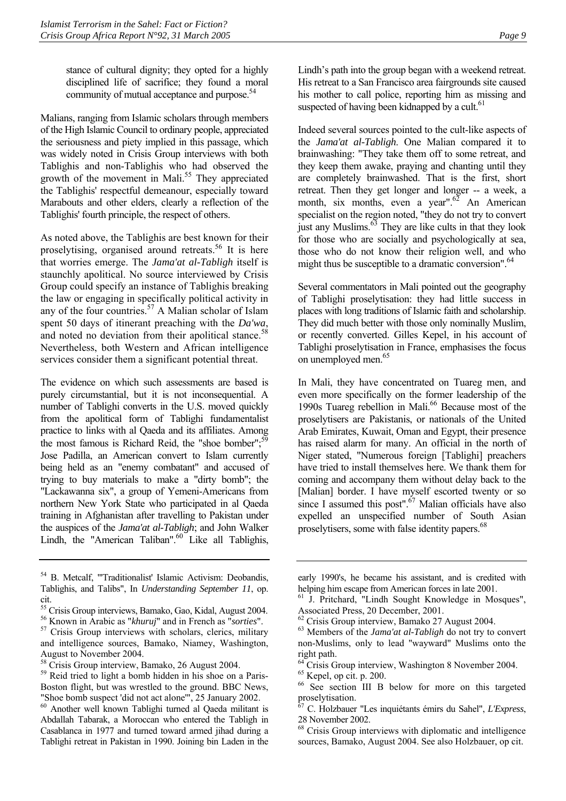stance of cultural dignity; they opted for a highly disciplined life of sacrifice; they found a moral community of mutual acceptance and purpose.<sup>[54](#page-12-0)</sup>

Malians, ranging from Islamic scholars through members of the High Islamic Council to ordinary people, appreciated the seriousness and piety implied in this passage, which was widely noted in Crisis Group interviews with both Tablighis and non-Tablighis who had observed the growth of the movement in Mali[.55](#page-12-1) They appreciated the Tablighis' respectful demeanour, especially toward Marabouts and other elders, clearly a reflection of the Tablighis' fourth principle, the respect of others.

As noted above, the Tablighis are best known for their proselytising, organised around retreats.<sup>56</sup> It is here that worries emerge. The *Jama'at al-Tabligh* itself is staunchly apolitical. No source interviewed by Crisis Group could specify an instance of Tablighis breaking the law or engaging in specifically political activity in any of the four countries.<sup>57</sup> A Malian scholar of Islam spent 50 days of itinerant preaching with the *Da'wa*, and noted no deviation from their apolitical stance.<sup>[58](#page-12-4)</sup> Nevertheless, both Western and African intelligence services consider them a significant potential threat.

The evidence on which such assessments are based is purely circumstantial, but it is not inconsequential. A number of Tablighi converts in the U.S. moved quickly from the apolitical form of Tablighi fundamentalist practice to links with al Qaeda and its affiliates. Among the most famous is Richard Reid, the "shoe bomber"; $59$ Jose Padilla, an American convert to Islam currently being held as an "enemy combatant" and accused of trying to buy materials to make a "dirty bomb"; the "Lackawanna six", a group of Yemeni-Americans from northern New York State who participated in al Qaeda training in Afghanistan after travelling to Pakistan under the auspices of the *Jama'at al-Tabligh*; and John Walker Lindh, the "American Taliban". $60$  Like all Tablighis,

<span id="page-12-2"></span>

Lindh's path into the group began with a weekend retreat. His retreat to a San Francisco area fairgrounds site caused his mother to call police, reporting him as missing and suspected of having been kidnapped by a cult.<sup>[61](#page-12-7)</sup>

Indeed several sources pointed to the cult-like aspects of the *Jama'at al-Tabligh*. One Malian compared it to brainwashing: "They take them off to some retreat, and they keep them awake, praying and chanting until they are completely brainwashed. That is the first, short retreat. Then they get longer and longer -- a week, a month, six months, even a year". $62$  An American specialist on the region noted, "they do not try to convert just any Muslims. $<sup>63</sup>$  They are like cults in that they look</sup> for those who are socially and psychologically at sea, those who do not know their religion well, and who might thus be susceptible to a dramatic conversion".<sup>64</sup>

Several commentators in Mali pointed out the geography of Tablighi proselytisation: they had little success in places with long traditions of Islamic faith and scholarship. They did much better with those only nominally Muslim, or recently converted. Gilles Kepel, in his account of Tablighi proselytisation in France, emphasises the focus on unemployed men.<sup>65</sup>

In Mali, they have concentrated on Tuareg men, and even more specifically on the former leadership of the 1990s Tuareg rebellion in Mali.<sup>66</sup> Because most of the proselytisers are Pakistanis, or nationals of the United Arab Emirates, Kuwait, Oman and Egypt, their presence has raised alarm for many. An official in the north of Niger stated, "Numerous foreign [Tablighi] preachers have tried to install themselves here. We thank them for coming and accompany them without delay back to the [Malian] border. I have myself escorted twenty or so since I assumed this post". $67$  Malian officials have also expelled an unspecified number of South Asian proselytisers, some with false identity papers.<sup>[68](#page-12-14)</sup>

<span id="page-12-0"></span><sup>54</sup> B. Metcalf, "'Traditionalist' Islamic Activism: Deobandis, Tablighis, and Talibs", In *Understanding September 11*, op. cit.

<span id="page-12-1"></span><sup>&</sup>lt;sup>55</sup> Crisis Group interviews, Bamako, Gao, Kidal, August 2004.<br><sup>56</sup> Known in Arabic as "*khuruj*" and in French as "*sorties*".

<span id="page-12-3"></span><sup>&</sup>lt;sup>57</sup> Crisis Group interviews with scholars, clerics, military and intelligence sources, Bamako, Niamey, Washington, August to November 2004.

<span id="page-12-4"></span><sup>58</sup> Crisis Group interview, Bamako, 26 August 2004.

<span id="page-12-5"></span><sup>&</sup>lt;sup>59</sup> Reid tried to light a bomb hidden in his shoe on a Paris-Boston flight, but was wrestled to the ground. BBC News, "Shoe bomb suspect 'did not act alone'", 25 January 2002.

<span id="page-12-6"></span><sup>60</sup> Another well known Tablighi turned al Qaeda militant is Abdallah Tabarak, a Moroccan who entered the Tabligh in Casablanca in 1977 and turned toward armed jihad during a Tablighi retreat in Pakistan in 1990. Joining bin Laden in the

early 1990's, he became his assistant, and is credited with helping him escape from American forces in late 2001.

<span id="page-12-7"></span><sup>61</sup> J. Pritchard, "Lindh Sought Knowledge in Mosques", Associated Press, 20 December, 2001.

<span id="page-12-8"></span> $62$  Crisis Group interview, Bamako 27 August 2004.

<span id="page-12-9"></span><sup>63</sup> Members of the *Jama'at al-Tabligh* do not try to convert non-Muslims, only to lead "wayward" Muslims onto the right path.

<span id="page-12-10"></span><sup>&</sup>lt;sup>64</sup> Crisis Group interview, Washington 8 November 2004.

<span id="page-12-11"></span> $65$  Kepel, op cit. p. 200.

<span id="page-12-12"></span><sup>66</sup> See section III B below for more on this targeted proselytisation.

<span id="page-12-13"></span><sup>67</sup> C. Holzbauer "Les inquiétants émirs du Sahel", *L'Express*, 28 November 2002.

<span id="page-12-14"></span><sup>68</sup> Crisis Group interviews with diplomatic and intelligence sources, Bamako, August 2004. See also Holzbauer, op cit.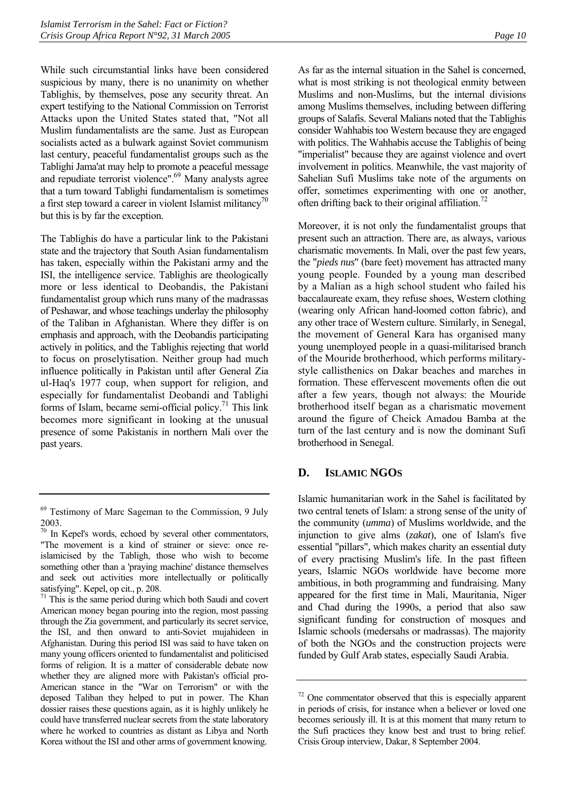While such circumstantial links have been considered suspicious by many, there is no unanimity on whether Tablighis, by themselves, pose any security threat. An expert testifying to the National Commission on Terrorist Attacks upon the United States stated that, "Not all Muslim fundamentalists are the same. Just as European socialists acted as a bulwark against Soviet communism last century, peaceful fundamentalist groups such as the Tablighi Jama'at may help to promote a peaceful message and repudiate terrorist violence".<sup>69</sup> Many analysts agree that a turn toward Tablighi fundamentalism is sometimes a first step toward a career in violent Islamist militancy<sup>[70](#page-13-2)</sup> but this is by far the exception.

The Tablighis do have a particular link to the Pakistani state and the trajectory that South Asian fundamentalism has taken, especially within the Pakistani army and the ISI, the intelligence service. Tablighis are theologically more or less identical to Deobandis, the Pakistani fundamentalist group which runs many of the madrassas of Peshawar, and whose teachings underlay the philosophy of the Taliban in Afghanistan. Where they differ is on emphasis and approach, with the Deobandis participating actively in politics, and the Tablighis rejecting that world to focus on proselytisation. Neither group had much influence politically in Pakistan until after General Zia ul-Haq's 1977 coup, when support for religion, and especially for fundamentalist Deobandi and Tablighi forms of Islam, became semi-official policy.<sup>71</sup> This link becomes more significant in looking at the unusual presence of some Pakistanis in northern Mali over the past years.

<span id="page-13-3"></span> $71$  This is the same period during which both Saudi and covert American money began pouring into the region, most passing through the Zia government, and particularly its secret service, the ISI, and then onward to anti-Soviet mujahideen in Afghanistan. During this period ISI was said to have taken on many young officers oriented to fundamentalist and politicised forms of religion. It is a matter of considerable debate now whether they are aligned more with Pakistan's official pro-American stance in the "War on Terrorism" or with the deposed Taliban they helped to put in power. The Khan dossier raises these questions again, as it is highly unlikely he could have transferred nuclear secrets from the state laboratory where he worked to countries as distant as Libya and North Korea without the ISI and other arms of government knowing.

As far as the internal situation in the Sahel is concerned, what is most striking is not theological enmity between Muslims and non-Muslims, but the internal divisions among Muslims themselves, including between differing groups of Salafis. Several Malians noted that the Tablighis consider Wahhabis too Western because they are engaged with politics. The Wahhabis accuse the Tablighis of being "imperialist" because they are against violence and overt involvement in politics. Meanwhile, the vast majority of Sahelian Sufi Muslims take note of the arguments on offer, sometimes experimenting with one or another, often drifting back to their original affiliation.<sup>[72](#page-13-4)</sup>

Moreover, it is not only the fundamentalist groups that present such an attraction. There are, as always, various charismatic movements. In Mali, over the past few years, the "*pieds nus*" (bare feet) movement has attracted many young people. Founded by a young man described by a Malian as a high school student who failed his baccalaureate exam, they refuse shoes, Western clothing (wearing only African hand-loomed cotton fabric), and any other trace of Western culture. Similarly, in Senegal, the movement of General Kara has organised many young unemployed people in a quasi-militarised branch of the Mouride brotherhood, which performs militarystyle callisthenics on Dakar beaches and marches in formation. These effervescent movements often die out after a few years, though not always: the Mouride brotherhood itself began as a charismatic movement around the figure of Cheick Amadou Bamba at the turn of the last century and is now the dominant Sufi brotherhood in Senegal.

## <span id="page-13-0"></span>**D. ISLAMIC NGOS**

Islamic humanitarian work in the Sahel is facilitated by two central tenets of Islam: a strong sense of the unity of the community (*umma*) of Muslims worldwide, and the injunction to give alms (*zakat*), one of Islam's five essential "pillars", which makes charity an essential duty of every practising Muslim's life. In the past fifteen years, Islamic NGOs worldwide have become more ambitious, in both programming and fundraising. Many appeared for the first time in Mali, Mauritania, Niger and Chad during the 1990s, a period that also saw significant funding for construction of mosques and Islamic schools (medersahs or madrassas). The majority of both the NGOs and the construction projects were funded by Gulf Arab states, especially Saudi Arabia.

<span id="page-13-1"></span><sup>69</sup> Testimony of Marc Sageman to the Commission, 9 July 2003.

<span id="page-13-2"></span><sup>70</sup> In Kepel's words, echoed by several other commentators, "The movement is a kind of strainer or sieve: once reislamicised by the Tabligh, those who wish to become something other than a 'praying machine' distance themselves and seek out activities more intellectually or politically satisfying". Kepel, op cit., p. 208.

<span id="page-13-4"></span> $72$  One commentator observed that this is especially apparent in periods of crisis, for instance when a believer or loved one becomes seriously ill. It is at this moment that many return to the Sufi practices they know best and trust to bring relief. Crisis Group interview, Dakar, 8 September 2004.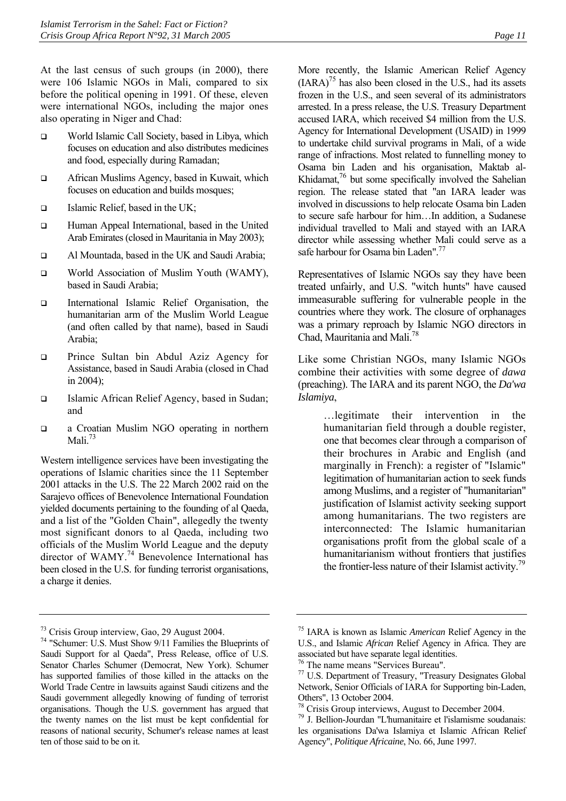At the last census of such groups (in 2000), there were 106 Islamic NGOs in Mali, compared to six before the political opening in 1991. Of these, eleven were international NGOs, including the major ones also operating in Niger and Chad:

- □ World Islamic Call Society, based in Libya, which focuses on education and also distributes medicines and food, especially during Ramadan;
- □ African Muslims Agency, based in Kuwait, which focuses on education and builds mosques;
- $\Box$  Islamic Relief, based in the UK;
- Human Appeal International, based in the United Arab Emirates (closed in Mauritania in May 2003);
- Al Mountada, based in the UK and Saudi Arabia;
- World Association of Muslim Youth (WAMY), based in Saudi Arabia;
- International Islamic Relief Organisation, the humanitarian arm of the Muslim World League (and often called by that name), based in Saudi Arabia;
- **D** Prince Sultan bin Abdul Aziz Agency for Assistance, based in Saudi Arabia (closed in Chad in 2004);
- □ Islamic African Relief Agency, based in Sudan; and
- a Croatian Muslim NGO operating in northern Mali.[73](#page-14-0)

Western intelligence services have been investigating the operations of Islamic charities since the 11 September 2001 attacks in the U.S. The 22 March 2002 raid on the Sarajevo offices of Benevolence International Foundation yielded documents pertaining to the founding of al Qaeda, and a list of the "Golden Chain", allegedly the twenty most significant donors to al Qaeda, including two officials of the Muslim World League and the deputy director of WAMY.<sup>74</sup> Benevolence International has been closed in the U.S. for funding terrorist organisations, a charge it denies.

<span id="page-14-0"></span>73 Crisis Group interview, Gao, 29 August 2004.

More recently, the Islamic American Relief Agency  $(IARA)^{75}$  has also been closed in the U.S., had its assets frozen in the U.S., and seen several of its administrators arrested. In a press release, the U.S. Treasury Department accused IARA, which received \$4 million from the U.S. Agency for International Development (USAID) in 1999 to undertake child survival programs in Mali, of a wide range of infractions. Most related to funnelling money to Osama bin Laden and his organisation, Maktab al-Khidamat,<sup>76</sup> but some specifically involved the Sahelian region. The release stated that "an IARA leader was involved in discussions to help relocate Osama bin Laden to secure safe harbour for him…In addition, a Sudanese individual travelled to Mali and stayed with an IARA director while assessing whether Mali could serve as a safe harbour for Osama bin Laden".<sup>77</sup>

Representatives of Islamic NGOs say they have been treated unfairly, and U.S. "witch hunts" have caused immeasurable suffering for vulnerable people in the countries where they work. The closure of orphanages was a primary reproach by Islamic NGO directors in Chad, Mauritania and Mali.[78](#page-14-5)

Like some Christian NGOs, many Islamic NGOs combine their activities with some degree of *dawa* (preaching). The IARA and its parent NGO, the *Da'wa Islamiya*,

> …legitimate their intervention in the humanitarian field through a double register, one that becomes clear through a comparison of their brochures in Arabic and English (and marginally in French): a register of "Islamic" legitimation of humanitarian action to seek funds among Muslims, and a register of "humanitarian" justification of Islamist activity seeking support among humanitarians. The two registers are interconnected: The Islamic humanitarian organisations profit from the global scale of a humanitarianism without frontiers that justifies the frontier-less nature of their Islamist activity.<sup>79</sup>

<span id="page-14-1"></span><sup>74 &</sup>quot;Schumer: U.S. Must Show 9/11 Families the Blueprints of Saudi Support for al Qaeda", Press Release, office of U.S. Senator Charles Schumer (Democrat, New York). Schumer has supported families of those killed in the attacks on the World Trade Centre in lawsuits against Saudi citizens and the Saudi government allegedly knowing of funding of terrorist organisations. Though the U.S. government has argued that the twenty names on the list must be kept confidential for reasons of national security, Schumer's release names at least ten of those said to be on it.

<span id="page-14-2"></span><sup>75</sup> IARA is known as Islamic *American* Relief Agency in the U.S., and Islamic *African* Relief Agency in Africa. They are associated but have separate legal identities.

<span id="page-14-3"></span><sup>&</sup>lt;sup>76</sup> The name means "Services Bureau".

<span id="page-14-4"></span><sup>77</sup> U.S. Department of Treasury, "Treasury Designates Global Network, Senior Officials of IARA for Supporting bin-Laden, Others", 13 October 2004.<br><sup>78</sup> Crisis Group interviews, August to December 2004.

<span id="page-14-5"></span>

<span id="page-14-6"></span><sup>&</sup>lt;sup>79</sup> J. Bellion-Jourdan "L'humanitaire et l'islamisme soudanais: les organisations Da'wa Islamiya et Islamic African Relief Agency", *Politique Africaine*, No. 66, June 1997.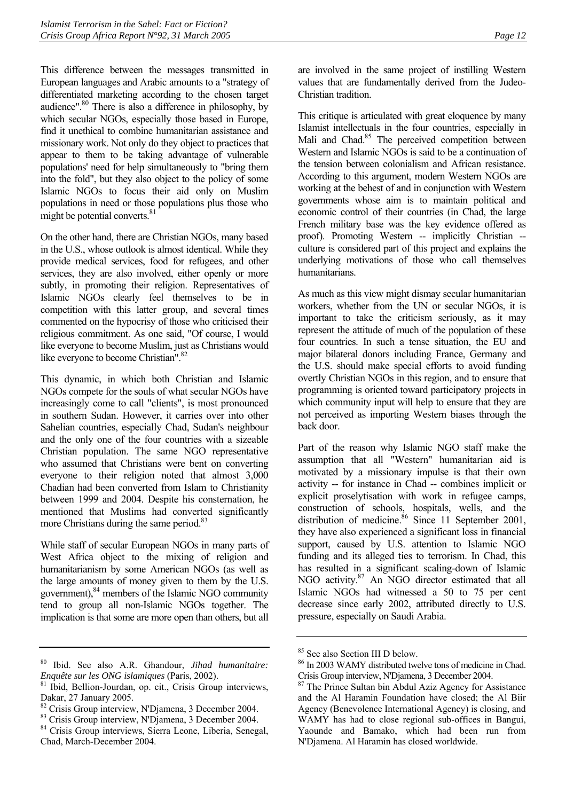This difference between the messages transmitted in European languages and Arabic amounts to a "strategy of differentiated marketing according to the chosen target audience"[.80](#page-15-0) There is also a difference in philosophy, by which secular NGOs, especially those based in Europe, find it unethical to combine humanitarian assistance and missionary work. Not only do they object to practices that appear to them to be taking advantage of vulnerable populations' need for help simultaneously to "bring them into the fold", but they also object to the policy of some Islamic NGOs to focus their aid only on Muslim populations in need or those populations plus those who might be potential converts. $81$ 

On the other hand, there are Christian NGOs, many based in the U.S., whose outlook is almost identical. While they provide medical services, food for refugees, and other services, they are also involved, either openly or more subtly, in promoting their religion. Representatives of Islamic NGOs clearly feel themselves to be in competition with this latter group, and several times commented on the hypocrisy of those who criticised their religious commitment. As one said, "Of course, I would like everyone to become Muslim, just as Christians would like everyone to become Christian".<sup>82</sup>

This dynamic, in which both Christian and Islamic NGOs compete for the souls of what secular NGOs have increasingly come to call "clients", is most pronounced in southern Sudan. However, it carries over into other Sahelian countries, especially Chad, Sudan's neighbour and the only one of the four countries with a sizeable Christian population. The same NGO representative who assumed that Christians were bent on converting everyone to their religion noted that almost 3,000 Chadian had been converted from Islam to Christianity between 1999 and 2004. Despite his consternation, he mentioned that Muslims had converted significantly more Christians during the same period.<sup>83</sup>

While staff of secular European NGOs in many parts of West Africa object to the mixing of religion and humanitarianism by some American NGOs (as well as the large amounts of money given to them by the U.S. government), <sup>84</sup> members of the Islamic NGO community tend to group all non-Islamic NGOs together. The implication is that some are more open than others, but all

are involved in the same project of instilling Western values that are fundamentally derived from the Judeo-Christian tradition.

This critique is articulated with great eloquence by many Islamist intellectuals in the four countries, especially in Mali and Chad.<sup>85</sup> The perceived competition between Western and Islamic NGOs is said to be a continuation of the tension between colonialism and African resistance. According to this argument, modern Western NGOs are working at the behest of and in conjunction with Western governments whose aim is to maintain political and economic control of their countries (in Chad, the large French military base was the key evidence offered as proof). Promoting Western -- implicitly Christian -culture is considered part of this project and explains the underlying motivations of those who call themselves humanitarians.

As much as this view might dismay secular humanitarian workers, whether from the UN or secular NGOs, it is important to take the criticism seriously, as it may represent the attitude of much of the population of these four countries. In such a tense situation, the EU and major bilateral donors including France, Germany and the U.S. should make special efforts to avoid funding overtly Christian NGOs in this region, and to ensure that programming is oriented toward participatory projects in which community input will help to ensure that they are not perceived as importing Western biases through the back door.

Part of the reason why Islamic NGO staff make the assumption that all "Western" humanitarian aid is motivated by a missionary impulse is that their own activity -- for instance in Chad -- combines implicit or explicit proselytisation with work in refugee camps, construction of schools, hospitals, wells, and the distribution of medicine.<sup>86</sup> Since 11 September 2001, they have also experienced a significant loss in financial support, caused by U.S. attention to Islamic NGO funding and its alleged ties to terrorism. In Chad, this has resulted in a significant scaling-down of Islamic NGO activity.<sup>87</sup> An NGO director estimated that all Islamic NGOs had witnessed a 50 to 75 per cent decrease since early 2002, attributed directly to U.S. pressure, especially on Saudi Arabia.

<span id="page-15-0"></span><sup>80</sup> Ibid. See also A.R. Ghandour, *Jihad humanitaire: Enquête sur les ONG islamiques* (Paris, 2002). 81 Ibid, Bellion-Jourdan, op. cit., Crisis Group interviews,

<span id="page-15-1"></span>Dakar, 27 January 2005.

<span id="page-15-2"></span> $82$  Crisis Group interview, N'Djamena, 3 December 2004.

<span id="page-15-3"></span><sup>83</sup> Crisis Group interview, N'Djamena, 3 December 2004.

<span id="page-15-4"></span><sup>84</sup> Crisis Group interviews, Sierra Leone, Liberia, Senegal, Chad, March-December 2004.

<span id="page-15-5"></span><sup>85</sup> See also Section III D below.

<span id="page-15-6"></span><sup>86</sup> In 2003 WAMY distributed twelve tons of medicine in Chad. Crisis Group interview, N'Djamena, 3 December 2004.<br><sup>87</sup> The Prince Sultan bin Abdul Aziz Agency for Assistance

<span id="page-15-7"></span>and the Al Haramin Foundation have closed; the Al Biir Agency (Benevolence International Agency) is closing, and WAMY has had to close regional sub-offices in Bangui, Yaounde and Bamako, which had been run from N'Djamena. Al Haramin has closed worldwide.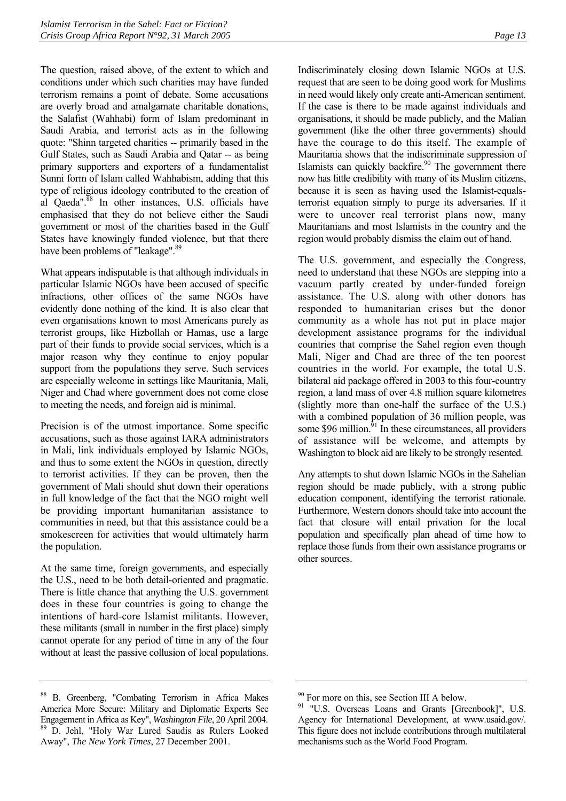The question, raised above, of the extent to which and conditions under which such charities may have funded terrorism remains a point of debate. Some accusations are overly broad and amalgamate charitable donations, the Salafist (Wahhabi) form of Islam predominant in Saudi Arabia, and terrorist acts as in the following quote: "Shinn targeted charities -- primarily based in the Gulf States, such as Saudi Arabia and Qatar -- as being primary supporters and exporters of a fundamentalist Sunni form of Islam called Wahhabism, adding that this type of religious ideology contributed to the creation of al Qaeda". $88$  In other instances, U.S. officials have emphasised that they do not believe either the Saudi government or most of the charities based in the Gulf States have knowingly funded violence, but that there have been problems of "leakage".<sup>89</sup>

What appears indisputable is that although individuals in particular Islamic NGOs have been accused of specific infractions, other offices of the same NGOs have evidently done nothing of the kind. It is also clear that even organisations known to most Americans purely as terrorist groups, like Hizbollah or Hamas, use a large part of their funds to provide social services, which is a major reason why they continue to enjoy popular support from the populations they serve. Such services are especially welcome in settings like Mauritania, Mali, Niger and Chad where government does not come close to meeting the needs, and foreign aid is minimal.

Precision is of the utmost importance. Some specific accusations, such as those against IARA administrators in Mali, link individuals employed by Islamic NGOs, and thus to some extent the NGOs in question, directly to terrorist activities. If they can be proven, then the government of Mali should shut down their operations in full knowledge of the fact that the NGO might well be providing important humanitarian assistance to communities in need, but that this assistance could be a smokescreen for activities that would ultimately harm the population.

At the same time, foreign governments, and especially the U.S., need to be both detail-oriented and pragmatic. There is little chance that anything the U.S. government does in these four countries is going to change the intentions of hard-core Islamist militants. However, these militants (small in number in the first place) simply cannot operate for any period of time in any of the four without at least the passive collusion of local populations.

Indiscriminately closing down Islamic NGOs at U.S. request that are seen to be doing good work for Muslims in need would likely only create anti-American sentiment. If the case is there to be made against individuals and organisations, it should be made publicly, and the Malian government (like the other three governments) should have the courage to do this itself. The example of Mauritania shows that the indiscriminate suppression of Islamists can quickly backfire.<sup>90</sup> The government there now has little credibility with many of its Muslim citizens, because it is seen as having used the Islamist-equalsterrorist equation simply to purge its adversaries. If it were to uncover real terrorist plans now, many Mauritanians and most Islamists in the country and the region would probably dismiss the claim out of hand.

The U.S. government, and especially the Congress, need to understand that these NGOs are stepping into a vacuum partly created by under-funded foreign assistance. The U.S. along with other donors has responded to humanitarian crises but the donor community as a whole has not put in place major development assistance programs for the individual countries that comprise the Sahel region even though Mali, Niger and Chad are three of the ten poorest countries in the world. For example, the total U.S. bilateral aid package offered in 2003 to this four-country region, a land mass of over 4.8 million square kilometres (slightly more than one-half the surface of the U.S.) with a combined population of 36 million people, was some \$96 million.<sup>91</sup> In these circumstances, all providers of assistance will be welcome, and attempts by Washington to block aid are likely to be strongly resented.

Any attempts to shut down Islamic NGOs in the Sahelian region should be made publicly, with a strong public education component, identifying the terrorist rationale. Furthermore, Western donors should take into account the fact that closure will entail privation for the local population and specifically plan ahead of time how to replace those funds from their own assistance programs or other sources.

<span id="page-16-1"></span><span id="page-16-0"></span><sup>88</sup> B. Greenberg, "Combating Terrorism in Africa Makes America More Secure: Military and Diplomatic Experts See Engagement in Africa as Key", *Washington File*, 20 April 2004. 89 D. Jehl, "Holy War Lured Saudis as Rulers Looked Away", *The New York Times*, 27 December 2001.

<span id="page-16-2"></span><sup>&</sup>lt;sup>90</sup> For more on this, see Section III A below.

<span id="page-16-3"></span><sup>&</sup>lt;sup>91</sup> "U.S. Overseas Loans and Grants [Greenbook]", U.S. Agency for International Development, at www.usaid.gov/. This figure does not include contributions through multilateral mechanisms such as the World Food Program.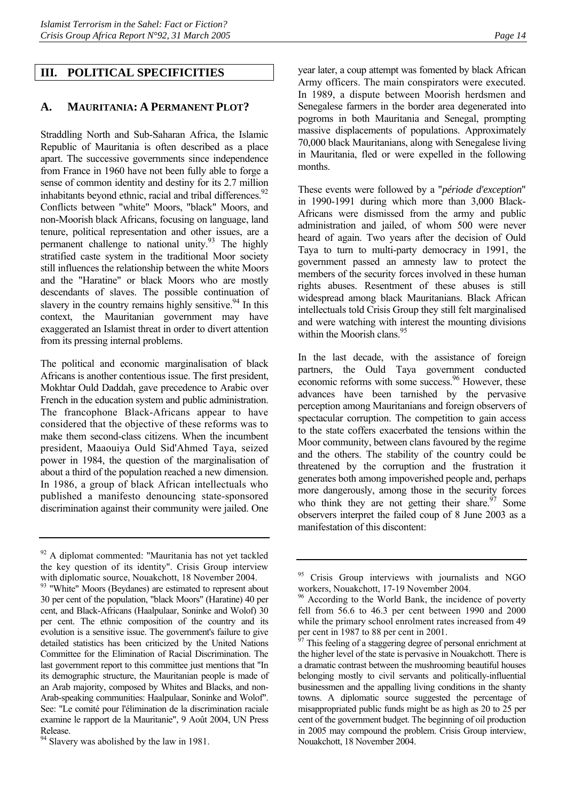## <span id="page-17-1"></span><span id="page-17-0"></span>**A. MAURITANIA: A PERMANENT PLOT?**

Straddling North and Sub-Saharan Africa, the Islamic Republic of Mauritania is often described as a place apart. The successive governments since independence from France in 1960 have not been fully able to forge a sense of common identity and destiny for its 2.7 million inhabitants beyond ethnic, racial and tribal differences. $92$ Conflicts between "white" Moors, "black" Moors, and non-Moorish black Africans, focusing on language, land tenure, political representation and other issues, are a permanent challenge to national unity. $93$  The highly stratified caste system in the traditional Moor society still influences the relationship between the white Moors and the "Haratine" or black Moors who are mostly descendants of slaves. The possible continuation of slavery in the country remains highly sensitive.<sup>94</sup> In this context, the Mauritanian government may have exaggerated an Islamist threat in order to divert attention from its pressing internal problems.

The political and economic marginalisation of black Africans is another contentious issue. The first president, Mokhtar Ould Daddah, gave precedence to Arabic over French in the education system and public administration. The francophone Black-Africans appear to have considered that the objective of these reforms was to make them second-class citizens. When the incumbent president, Maaouiya Ould Sid'Ahmed Taya, seized power in 1984, the question of the marginalisation of about a third of the population reached a new dimension. In 1986, a group of black African intellectuals who published a manifesto denouncing state-sponsored discrimination against their community were jailed. One

<span id="page-17-3"></span><sup>93</sup> "White" Moors (Beydanes) are estimated to represent about 30 per cent of the population, "black Moors" (Haratine) 40 per cent, and Black-Africans (Haalpulaar, Soninke and Wolof) 30 per cent. The ethnic composition of the country and its evolution is a sensitive issue. The government's failure to give detailed statistics has been criticized by the United Nations Committee for the Elimination of Racial Discrimination. The last government report to this committee just mentions that "In its demographic structure, the Mauritanian people is made of an Arab majority, composed by Whites and Blacks, and non-Arab-speaking communities: Haalpulaar, Soninke and Wolof". See: "Le comité pour l'élimination de la discrimination raciale examine le rapport de la Mauritanie", 9 Août 2004, UN Press Release.

year later, a coup attempt was fomented by black African Army officers. The main conspirators were executed. In 1989, a dispute between Moorish herdsmen and Senegalese farmers in the border area degenerated into pogroms in both Mauritania and Senegal, prompting massive displacements of populations. Approximately 70,000 black Mauritanians, along with Senegalese living in Mauritania, fled or were expelled in the following months.

These events were followed by a "*période d'exception*" in 1990-1991 during which more than 3,000 Black-Africans were dismissed from the army and public administration and jailed, of whom 500 were never heard of again. Two years after the decision of Ould Taya to turn to multi-party democracy in 1991, the government passed an amnesty law to protect the members of the security forces involved in these human rights abuses. Resentment of these abuses is still widespread among black Mauritanians. Black African intellectuals told Crisis Group they still felt marginalised and were watching with interest the mounting divisions within the Moorish clans.<sup>95</sup>

In the last decade, with the assistance of foreign partners, the Ould Taya government conducted economic reforms with some success.<sup>96</sup> However, these advances have been tarnished by the pervasive perception among Mauritanians and foreign observers of spectacular corruption. The competition to gain access to the state coffers exacerbated the tensions within the Moor community, between clans favoured by the regime and the others. The stability of the country could be threatened by the corruption and the frustration it generates both among impoverished people and, perhaps more dangerously, among those in the security forces who think they are not getting their share. $\frac{97}{7}$  Some observers interpret the failed coup of 8 June 2003 as a manifestation of this discontent:

<span id="page-17-2"></span><sup>&</sup>lt;sup>92</sup> A diplomat commented: "Mauritania has not yet tackled the key question of its identity". Crisis Group interview with diplomatic source, Nouakchott, 18 November 2004.

<span id="page-17-4"></span><sup>&</sup>lt;sup>94</sup> Slavery was abolished by the law in 1981.

<span id="page-17-5"></span><sup>&</sup>lt;sup>95</sup> Crisis Group interviews with journalists and NGO workers, Nouakchott, 17-19 November 2004.

<span id="page-17-6"></span><sup>&</sup>lt;sup>96</sup> According to the World Bank, the incidence of poverty fell from 56.6 to 46.3 per cent between 1990 and 2000 while the primary school enrolment rates increased from 49 per cent in 1987 to 88 per cent in 2001.

<span id="page-17-7"></span>This feeling of a staggering degree of personal enrichment at the higher level of the state is pervasive in Nouakchott. There is a dramatic contrast between the mushrooming beautiful houses belonging mostly to civil servants and politically-influential businessmen and the appalling living conditions in the shanty towns. A diplomatic source suggested the percentage of misappropriated public funds might be as high as 20 to 25 per cent of the government budget. The beginning of oil production in 2005 may compound the problem. Crisis Group interview, Nouakchott, 18 November 2004.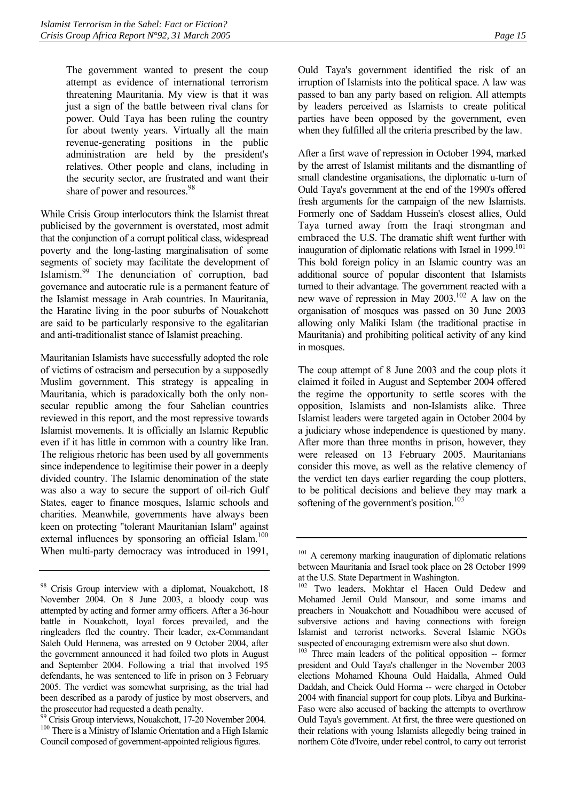The government wanted to present the coup attempt as evidence of international terrorism threatening Mauritania. My view is that it was just a sign of the battle between rival clans for power. Ould Taya has been ruling the country for about twenty years. Virtually all the main revenue-generating positions in the public administration are held by the president's relatives. Other people and clans, including in the security sector, are frustrated and want their share of power and resources.<sup>[98](#page-18-0)</sup>

While Crisis Group interlocutors think the Islamist threat publicised by the government is overstated, most admit that the conjunction of a corrupt political class, widespread poverty and the long-lasting marginalisation of some segments of society may facilitate the development of Islamism.[99](#page-18-1) The denunciation of corruption, bad governance and autocratic rule is a permanent feature of the Islamist message in Arab countries. In Mauritania, the Haratine living in the poor suburbs of Nouakchott are said to be particularly responsive to the egalitarian and anti-traditionalist stance of Islamist preaching.

Mauritanian Islamists have successfully adopted the role of victims of ostracism and persecution by a supposedly Muslim government. This strategy is appealing in Mauritania, which is paradoxically both the only nonsecular republic among the four Sahelian countries reviewed in this report, and the most repressive towards Islamist movements. It is officially an Islamic Republic even if it has little in common with a country like Iran. The religious rhetoric has been used by all governments since independence to legitimise their power in a deeply divided country. The Islamic denomination of the state was also a way to secure the support of oil-rich Gulf States, eager to finance mosques, Islamic schools and charities. Meanwhile, governments have always been keen on protecting "tolerant Mauritanian Islam" against external influences by sponsoring an official Islam.<sup>[100](#page-18-2)</sup> When multi-party democracy was introduced in 1991, Ould Taya's government identified the risk of an irruption of Islamists into the political space. A law was passed to ban any party based on religion. All attempts by leaders perceived as Islamists to create political parties have been opposed by the government, even when they fulfilled all the criteria prescribed by the law.

After a first wave of repression in October 1994, marked by the arrest of Islamist militants and the dismantling of small clandestine organisations, the diplomatic u-turn of Ould Taya's government at the end of the 1990's offered fresh arguments for the campaign of the new Islamists. Formerly one of Saddam Hussein's closest allies, Ould Taya turned away from the Iraqi strongman and embraced the U.S. The dramatic shift went further with inauguration of diplomatic relations with Israel in 1999.<sup>[101](#page-18-3)</sup> This bold foreign policy in an Islamic country was an additional source of popular discontent that Islamists turned to their advantage. The government reacted with a new wave of repression in May  $2003$ <sup>102</sup> A law on the organisation of mosques was passed on 30 June 2003 allowing only Maliki Islam (the traditional practise in Mauritania) and prohibiting political activity of any kind in mosques.

The coup attempt of 8 June 2003 and the coup plots it claimed it foiled in August and September 2004 offered the regime the opportunity to settle scores with the opposition, Islamists and non-Islamists alike. Three Islamist leaders were targeted again in October 2004 by a judiciary whose independence is questioned by many. After more than three months in prison, however, they were released on 13 February 2005. Mauritanians consider this move, as well as the relative clemency of the verdict ten days earlier regarding the coup plotters, to be political decisions and believe they may mark a softening of the government's position.<sup>103</sup>

<span id="page-18-0"></span><sup>&</sup>lt;sup>98</sup> Crisis Group interview with a diplomat, Nouakchott, 18 November 2004. On 8 June 2003, a bloody coup was attempted by acting and former army officers. After a 36-hour battle in Nouakchott, loyal forces prevailed, and the ringleaders fled the country. Their leader, ex-Commandant Saleh Ould Hennena, was arrested on 9 October 2004, after the government announced it had foiled two plots in August and September 2004. Following a trial that involved 195 defendants, he was sentenced to life in prison on 3 February 2005. The verdict was somewhat surprising, as the trial had been described as a parody of justice by most observers, and the prosecutor had requested a death penalty.

<span id="page-18-2"></span><span id="page-18-1"></span><sup>&</sup>lt;sup>99</sup> Crisis Group interviews, Nouakchott, 17-20 November 2004. <sup>100</sup> There is a Ministry of Islamic Orientation and a High Islamic Council composed of government-appointed religious figures.

<span id="page-18-3"></span><sup>&</sup>lt;sup>101</sup> A ceremony marking inauguration of diplomatic relations between Mauritania and Israel took place on 28 October 1999 at the U.S. State Department in Washington.

<span id="page-18-4"></span><sup>102</sup> Two leaders, Mokhtar el Hacen Ould Dedew and Mohamed Jemil Ould Mansour, and some imams and preachers in Nouakchott and Nouadhibou were accused of subversive actions and having connections with foreign Islamist and terrorist networks. Several Islamic NGOs suspected of encouraging extremism were also shut down.

<span id="page-18-5"></span> $103$ <sup>T</sup>Three main leaders of the political opposition -- former president and Ould Taya's challenger in the November 2003 elections Mohamed Khouna Ould Haidalla, Ahmed Ould Daddah, and Cheick Ould Horma -- were charged in October 2004 with financial support for coup plots. Libya and Burkina-Faso were also accused of backing the attempts to overthrow Ould Taya's government. At first, the three were questioned on their relations with young Islamists allegedly being trained in northern Côte d'Ivoire, under rebel control, to carry out terrorist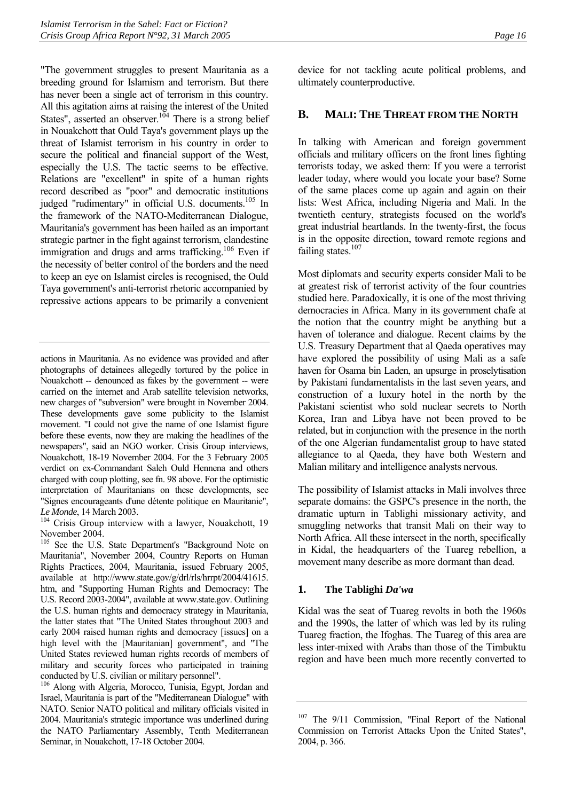"The government struggles to present Mauritania as a breeding ground for Islamism and terrorism. But there has never been a single act of terrorism in this country. All this agitation aims at raising the interest of the United States", asserted an observer.<sup>104</sup> There is a strong belief in Nouakchott that Ould Taya's government plays up the threat of Islamist terrorism in his country in order to secure the political and financial support of the West, especially the U.S. The tactic seems to be effective. Relations are "excellent" in spite of a human rights record described as "poor" and democratic institutions judged "rudimentary" in official U.S. documents.<sup>105</sup> In the framework of the NATO-Mediterranean Dialogue, Mauritania's government has been hailed as an important strategic partner in the fight against terrorism, clandestine immigration and drugs and arms trafficking.<sup>106</sup> Even if the necessity of better control of the borders and the need to keep an eye on Islamist circles is recognised, the Ould Taya government's anti-terrorist rhetoric accompanied by repressive actions appears to be primarily a convenient

actions in Mauritania. As no evidence was provided and after photographs of detainees allegedly tortured by the police in Nouakchott -- denounced as fakes by the government -- were carried on the internet and Arab satellite television networks, new charges of "subversion" were brought in November 2004. These developments gave some publicity to the Islamist movement. "I could not give the name of one Islamist figure before these events, now they are making the headlines of the newspapers", said an NGO worker. Crisis Group interviews, Nouakchott, 18-19 November 2004. For the 3 February 2005 verdict on ex-Commandant Saleh Ould Hennena and others charged with coup plotting, see fn. 98 above. For the optimistic interpretation of Mauritanians on these developments, see "Signes encourageants d'une détente politique en Mauritanie",

<span id="page-19-2"></span>*Le Monde*, 14 March 2003.<br><sup>104</sup> Crisis Group interview with a lawyer, Nouakchott, 19 November 2004.

<span id="page-19-3"></span><sup>105</sup> See the U.S. State Department's "Background Note on Mauritania", November 2004, Country Reports on Human Rights Practices, 2004, Mauritania, issued February 2005, available at http://www.state.gov/g/drl/rls/hrrpt/2004/41615. htm, and "Supporting Human Rights and Democracy: The U.S. Record 2003-2004", available at www.state.gov. Outlining the U.S. human rights and democracy strategy in Mauritania, the latter states that "The United States throughout 2003 and early 2004 raised human rights and democracy [issues] on a high level with the [Mauritanian] government", and "The United States reviewed human rights records of members of military and security forces who participated in training conducted by U.S. civilian or military personnel".

<span id="page-19-4"></span>106 Along with Algeria, Morocco, Tunisia, Egypt, Jordan and Israel, Mauritania is part of the "Mediterranean Dialogue" with NATO. Senior NATO political and military officials visited in 2004. Mauritania's strategic importance was underlined during the NATO Parliamentary Assembly, Tenth Mediterranean Seminar, in Nouakchott, 17-18 October 2004.

device for not tackling acute political problems, and ultimately counterproductive.

#### <span id="page-19-0"></span>**B. MALI: THE THREAT FROM THE NORTH**

In talking with American and foreign government officials and military officers on the front lines fighting terrorists today, we asked them: If you were a terrorist leader today, where would you locate your base? Some of the same places come up again and again on their lists: West Africa, including Nigeria and Mali. In the twentieth century, strategists focused on the world's great industrial heartlands. In the twenty-first, the focus is in the opposite direction, toward remote regions and failing states.<sup>107</sup>

Most diplomats and security experts consider Mali to be at greatest risk of terrorist activity of the four countries studied here. Paradoxically, it is one of the most thriving democracies in Africa. Many in its government chafe at the notion that the country might be anything but a haven of tolerance and dialogue. Recent claims by the U.S. Treasury Department that al Qaeda operatives may have explored the possibility of using Mali as a safe haven for Osama bin Laden, an upsurge in proselytisation by Pakistani fundamentalists in the last seven years, and construction of a luxury hotel in the north by the Pakistani scientist who sold nuclear secrets to North Korea, Iran and Libya have not been proved to be related, but in conjunction with the presence in the north of the one Algerian fundamentalist group to have stated allegiance to al Qaeda, they have both Western and Malian military and intelligence analysts nervous.

The possibility of Islamist attacks in Mali involves three separate domains: the GSPC's presence in the north, the dramatic upturn in Tablighi missionary activity, and smuggling networks that transit Mali on their way to North Africa. All these intersect in the north, specifically in Kidal, the headquarters of the Tuareg rebellion, a movement many describe as more dormant than dead.

#### <span id="page-19-1"></span>**1. The Tablighi** *Da'wa*

Kidal was the seat of Tuareg revolts in both the 1960s and the 1990s, the latter of which was led by its ruling Tuareg fraction, the Ifoghas. The Tuareg of this area are less inter-mixed with Arabs than those of the Timbuktu region and have been much more recently converted to

<span id="page-19-5"></span><sup>&</sup>lt;sup>107</sup> The 9/11 Commission, "Final Report of the National Commission on Terrorist Attacks Upon the United States", 2004, p. 366.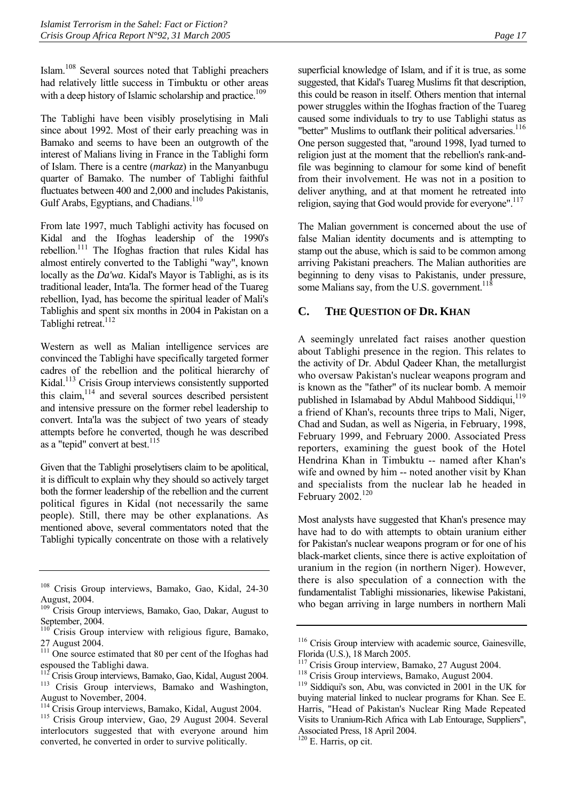Islam.[108](#page-20-1) Several sources noted that Tablighi preachers had relatively little success in Timbuktu or other areas with a deep history of Islamic scholarship and practice.<sup>109</sup>

The Tablighi have been visibly proselytising in Mali since about 1992. Most of their early preaching was in Bamako and seems to have been an outgrowth of the interest of Malians living in France in the Tablighi form of Islam. There is a centre (*markaz*) in the Manyanbugu quarter of Bamako. The number of Tablighi faithful fluctuates between 400 and 2,000 and includes Pakistanis, Gulf Arabs, Egyptians, and Chadians.<sup>[110](#page-20-3)</sup>

From late 1997, much Tablighi activity has focused on Kidal and the Ifoghas leadership of the 1990's rebellion.[111](#page-20-4) The Ifoghas fraction that rules Kidal has almost entirely converted to the Tablighi "way", known locally as the *Da'wa*. Kidal's Mayor is Tablighi, as is its traditional leader, Inta'la. The former head of the Tuareg rebellion, Iyad, has become the spiritual leader of Mali's Tablighis and spent six months in 2004 in Pakistan on a Tablighi retreat.<sup>112</sup>

Western as well as Malian intelligence services are convinced the Tablighi have specifically targeted former cadres of the rebellion and the political hierarchy of Kidal.<sup>113</sup> Crisis Group interviews consistently supported this claim, $114$  and several sources described persistent and intensive pressure on the former rebel leadership to convert. Inta'la was the subject of two years of steady attempts before he converted, though he was described as a "tepid" convert at best. $115$ 

Given that the Tablighi proselytisers claim to be apolitical, it is difficult to explain why they should so actively target both the former leadership of the rebellion and the current political figures in Kidal (not necessarily the same people). Still, there may be other explanations. As mentioned above, several commentators noted that the Tablighi typically concentrate on those with a relatively superficial knowledge of Islam, and if it is true, as some suggested, that Kidal's Tuareg Muslims fit that description, this could be reason in itself. Others mention that internal power struggles within the Ifoghas fraction of the Tuareg caused some individuals to try to use Tablighi status as "better" Muslims to outflank their political adversaries.<sup>[116](#page-20-9)</sup> One person suggested that, "around 1998, Iyad turned to religion just at the moment that the rebellion's rank-andfile was beginning to clamour for some kind of benefit from their involvement. He was not in a position to deliver anything, and at that moment he retreated into

The Malian government is concerned about the use of false Malian identity documents and is attempting to stamp out the abuse, which is said to be common among arriving Pakistani preachers. The Malian authorities are beginning to deny visas to Pakistanis, under pressure, some Malians say, from the U.S. government.<sup>118</sup>

religion, saying that God would provide for everyone".<sup>117</sup>

## <span id="page-20-0"></span>**C. THE QUESTION OF DR. KHAN**

A seemingly unrelated fact raises another question about Tablighi presence in the region. This relates to the activity of Dr. Abdul Qadeer Khan, the metallurgist who oversaw Pakistan's nuclear weapons program and is known as the "father" of its nuclear bomb. A memoir published in Islamabad by Abdul Mahbood Siddiqui.<sup>[119](#page-20-12)</sup> a friend of Khan's, recounts three trips to Mali, Niger, Chad and Sudan, as well as Nigeria, in February, 1998, February 1999, and February 2000. Associated Press reporters, examining the guest book of the Hotel Hendrina Khan in Timbuktu -- named after Khan's wife and owned by him -- noted another visit by Khan and specialists from the nuclear lab he headed in February 2002.<sup>[120](#page-20-13)</sup>

Most analysts have suggested that Khan's presence may have had to do with attempts to obtain uranium either for Pakistan's nuclear weapons program or for one of his black-market clients, since there is active exploitation of uranium in the region (in northern Niger). However, there is also speculation of a connection with the fundamentalist Tablighi missionaries, likewise Pakistani, who began arriving in large numbers in northern Mali

<span id="page-20-1"></span><sup>108</sup> Crisis Group interviews, Bamako, Gao, Kidal, 24-30 August, 2004.

<span id="page-20-2"></span><sup>&</sup>lt;sup>109</sup> Crisis Group interviews, Bamako, Gao, Dakar, August to September, 2004.

<span id="page-20-3"></span>Crisis Group interview with religious figure, Bamako, 27 August 2004.

<span id="page-20-4"></span><sup>&</sup>lt;sup>111</sup> One source estimated that 80 per cent of the Ifoghas had espoused the Tablighi dawa.

<span id="page-20-5"></span> $112$ <sup>112</sup> Crisis Group interviews, Bamako, Gao, Kidal, August 2004.<br><sup>113</sup> Crisis Group interviews, Bamako and Washington,

<span id="page-20-6"></span>August to November, 2004.

<span id="page-20-7"></span><sup>&</sup>lt;sup>114</sup> Crisis Group interviews, Bamako, Kidal, August 2004.<br><sup>115</sup> Crisis Group interview, Gao, 29 August 2004. Several

<span id="page-20-8"></span>interlocutors suggested that with everyone around him converted, he converted in order to survive politically.

<span id="page-20-9"></span><sup>&</sup>lt;sup>116</sup> Crisis Group interview with academic source, Gainesville, Florida (U.S.), 18 March 2005.<br><sup>117</sup> Crisis Group interview, Bamako, 27 August 2004.

<span id="page-20-10"></span>

<span id="page-20-12"></span><span id="page-20-11"></span>

<sup>&</sup>lt;sup>118</sup> Crisis Group interviews, Bamako, August 2004. <sup>119</sup> Siddiqui's son, Abu, was convicted in 2001 in the UK for buying material linked to nuclear programs for Khan. See E. Harris, "Head of Pakistan's Nuclear Ring Made Repeated Visits to Uranium-Rich Africa with Lab Entourage, Suppliers", Associated Press, 18 April 2004.

<span id="page-20-13"></span><sup>120</sup> E. Harris, op cit.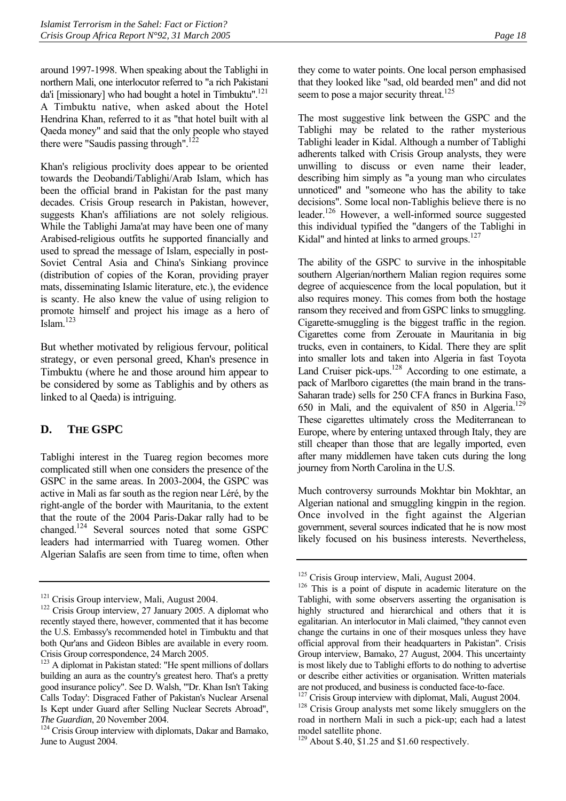around 1997-1998. When speaking about the Tablighi in northern Mali, one interlocutor referred to "a rich Pakistani da'i [missionary] who had bought a hotel in Timbuktu". $^{121}$ A Timbuktu native, when asked about the Hotel Hendrina Khan, referred to it as "that hotel built with al Qaeda money" and said that the only people who stayed there were "Saudis passing through".<sup>122</sup>

Khan's religious proclivity does appear to be oriented towards the Deobandi/Tablighi/Arab Islam, which has been the official brand in Pakistan for the past many decades. Crisis Group research in Pakistan, however, suggests Khan's affiliations are not solely religious. While the Tablighi Jama'at may have been one of many Arabised-religious outfits he supported financially and used to spread the message of Islam, especially in post-Soviet Central Asia and China's Sinkiang province (distribution of copies of the Koran, providing prayer mats, disseminating Islamic literature, etc.), the evidence is scanty. He also knew the value of using religion to promote himself and project his image as a hero of  $\int$ Islam<sup>123</sup>

But whether motivated by religious fervour, political strategy, or even personal greed, Khan's presence in Timbuktu (where he and those around him appear to be considered by some as Tablighis and by others as linked to al Qaeda) is intriguing.

## <span id="page-21-0"></span>**D. THE GSPC**

Tablighi interest in the Tuareg region becomes more complicated still when one considers the presence of the GSPC in the same areas. In 2003-2004, the GSPC was active in Mali as far south as the region near Léré, by the right-angle of the border with Mauritania, to the extent that the route of the 2004 Paris-Dakar rally had to be changed[.124](#page-21-4) Several sources noted that some GSPC leaders had intermarried with Tuareg women. Other Algerian Salafis are seen from time to time, often when they come to water points. One local person emphasised that they looked like "sad, old bearded men" and did not seem to pose a major security threat.<sup>125</sup>

The most suggestive link between the GSPC and the Tablighi may be related to the rather mysterious Tablighi leader in Kidal. Although a number of Tablighi adherents talked with Crisis Group analysts, they were unwilling to discuss or even name their leader, describing him simply as "a young man who circulates unnoticed" and "someone who has the ability to take decisions". Some local non-Tablighis believe there is no leader.<sup>126</sup> However, a well-informed source suggested this individual typified the "dangers of the Tablighi in Kidal" and hinted at links to armed groups. $127$ 

The ability of the GSPC to survive in the inhospitable southern Algerian/northern Malian region requires some degree of acquiescence from the local population, but it also requires money. This comes from both the hostage ransom they received and from GSPC links to smuggling. Cigarette-smuggling is the biggest traffic in the region. Cigarettes come from Zerouate in Mauritania in big trucks, even in containers, to Kidal. There they are split into smaller lots and taken into Algeria in fast Toyota Land Cruiser pick-ups.<sup>128</sup> According to one estimate, a pack of Marlboro cigarettes (the main brand in the trans-Saharan trade) sells for 250 CFA francs in Burkina Faso, 650 in Mali, and the equivalent of 850 in Algeria.<sup>[129](#page-21-9)</sup> These cigarettes ultimately cross the Mediterranean to Europe, where by entering untaxed through Italy, they are still cheaper than those that are legally imported, even after many middlemen have taken cuts during the long journey from North Carolina in the U.S.

Much controversy surrounds Mokhtar bin Mokhtar, an Algerian national and smuggling kingpin in the region. Once involved in the fight against the Algerian government, several sources indicated that he is now most likely focused on his business interests. Nevertheless,

<span id="page-21-2"></span><span id="page-21-1"></span>

<sup>&</sup>lt;sup>121</sup> Crisis Group interview, Mali, August 2004.<br><sup>122</sup> Crisis Group interview, 27 January 2005. A diplomat who recently stayed there, however, commented that it has become the U.S. Embassy's recommended hotel in Timbuktu and that both Qur'ans and Gideon Bibles are available in every room. Crisis Group correspondence, 24 March 2005.

<span id="page-21-3"></span><sup>&</sup>lt;sup>123</sup> A diplomat in Pakistan stated: "He spent millions of dollars building an aura as the country's greatest hero. That's a pretty good insurance policy". See D. Walsh, "'Dr. Khan Isn't Taking Calls Today': Disgraced Father of Pakistan's Nuclear Arsenal Is Kept under Guard after Selling Nuclear Secrets Abroad", *The Guardian*, 20 November 2004.<br><sup>124</sup> Crisis Group interview with diplomats, Dakar and Bamako,

<span id="page-21-4"></span>June to August 2004.

<span id="page-21-6"></span><span id="page-21-5"></span>

 $125$  Crisis Group interview, Mali, August 2004.<br> $126$  This is a point of dispute in academic literature on the Tablighi, with some observers asserting the organisation is highly structured and hierarchical and others that it is egalitarian. An interlocutor in Mali claimed, "they cannot even change the curtains in one of their mosques unless they have official approval from their headquarters in Pakistan". Crisis Group interview, Bamako, 27 August, 2004. This uncertainty is most likely due to Tablighi efforts to do nothing to advertise or describe either activities or organisation. Written materials are not produced, and business is conducted face-to-face.

<span id="page-21-7"></span> $127$  Crisis Group interview with diplomat, Mali, August 2004.  $128$  Crisis Group analysts met some likely smugglers on the

<span id="page-21-8"></span>road in northern Mali in such a pick-up; each had a latest model satellite phone.

<span id="page-21-9"></span> $129$  About \$.40, \$1.25 and \$1.60 respectively.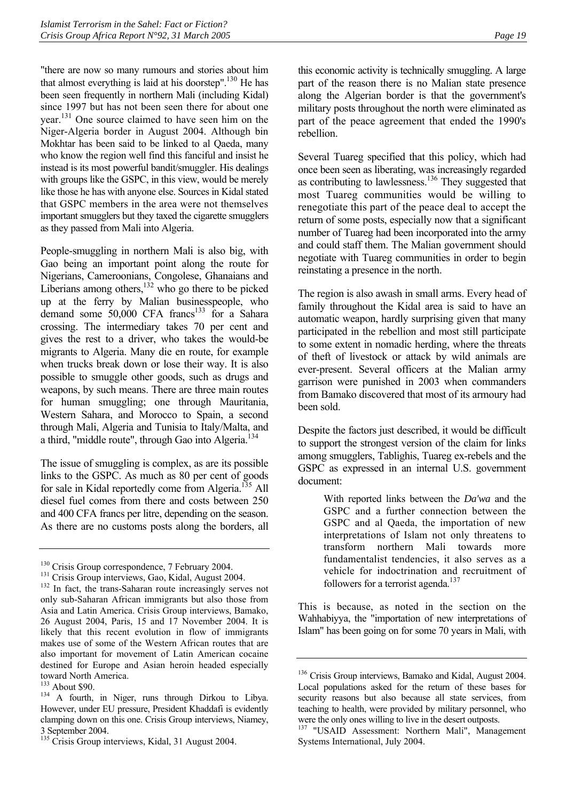"there are now so many rumours and stories about him that almost everything is laid at his doorstep".<sup>130</sup> He has been seen frequently in northern Mali (including Kidal) since 1997 but has not been seen there for about one year.[131](#page-22-1) One source claimed to have seen him on the Niger-Algeria border in August 2004. Although bin Mokhtar has been said to be linked to al Qaeda, many who know the region well find this fanciful and insist he instead is its most powerful bandit/smuggler. His dealings with groups like the GSPC, in this view, would be merely like those he has with anyone else. Sources in Kidal stated that GSPC members in the area were not themselves important smugglers but they taxed the cigarette smugglers as they passed from Mali into Algeria.

People-smuggling in northern Mali is also big, with Gao being an important point along the route for Nigerians, Cameroonians, Congolese, Ghanaians and Liberians among others, $132$  who go there to be picked up at the ferry by Malian businesspeople, who demand some 50,000 CFA francs<sup>133</sup> for a Sahara crossing. The intermediary takes 70 per cent and gives the rest to a driver, who takes the would-be migrants to Algeria. Many die en route, for example when trucks break down or lose their way. It is also possible to smuggle other goods, such as drugs and weapons, by such means. There are three main routes for human smuggling; one through Mauritania, Western Sahara, and Morocco to Spain, a second through Mali, Algeria and Tunisia to Italy/Malta, and a third, "middle route", through Gao into Algeria.<sup>134</sup>

The issue of smuggling is complex, as are its possible links to the GSPC. As much as 80 per cent of goods for sale in Kidal reportedly come from Algeria.<sup>135</sup> All diesel fuel comes from there and costs between 250 and 400 CFA francs per litre, depending on the season. As there are no customs posts along the borders, all this economic activity is technically smuggling. A large part of the reason there is no Malian state presence along the Algerian border is that the government's military posts throughout the north were eliminated as part of the peace agreement that ended the 1990's rebellion.

Several Tuareg specified that this policy, which had once been seen as liberating, was increasingly regarded as contributing to lawlessness.<sup>136</sup> They suggested that most Tuareg communities would be willing to renegotiate this part of the peace deal to accept the return of some posts, especially now that a significant number of Tuareg had been incorporated into the army and could staff them. The Malian government should negotiate with Tuareg communities in order to begin reinstating a presence in the north.

The region is also awash in small arms. Every head of family throughout the Kidal area is said to have an automatic weapon, hardly surprising given that many participated in the rebellion and most still participate to some extent in nomadic herding, where the threats of theft of livestock or attack by wild animals are ever-present. Several officers at the Malian army garrison were punished in 2003 when commanders from Bamako discovered that most of its armoury had been sold.

Despite the factors just described, it would be difficult to support the strongest version of the claim for links among smugglers, Tablighis, Tuareg ex-rebels and the GSPC as expressed in an internal U.S. government document:

> With reported links between the *Da'wa* and the GSPC and a further connection between the GSPC and al Qaeda, the importation of new interpretations of Islam not only threatens to transform northern Mali towards more fundamentalist tendencies, it also serves as a vehicle for indoctrination and recruitment of followers for a terrorist agenda.<sup>[137](#page-22-7)</sup>

This is because, as noted in the section on the Wahhabiyya, the "importation of new interpretations of Islam" has been going on for some 70 years in Mali, with

<span id="page-22-0"></span>

<span id="page-22-2"></span><span id="page-22-1"></span>

<sup>&</sup>lt;sup>130</sup> Crisis Group correspondence, 7 February 2004.<br><sup>131</sup> Crisis Group interviews, Gao, Kidal, August 2004.<br><sup>132</sup> In fact, the trans-Saharan route increasingly serves not only sub-Saharan African immigrants but also those from Asia and Latin America. Crisis Group interviews, Bamako, 26 August 2004, Paris, 15 and 17 November 2004. It is likely that this recent evolution in flow of immigrants makes use of some of the Western African routes that are also important for movement of Latin American cocaine destined for Europe and Asian heroin headed especially toward North America.<br><sup>133</sup> About \$90.

<span id="page-22-3"></span>

<span id="page-22-4"></span> $134$  A fourth, in Niger, runs through Dirkou to Libya. However, under EU pressure, President Khaddafi is evidently clamping down on this one. Crisis Group interviews, Niamey, 3 September 2004.

<span id="page-22-5"></span><sup>&</sup>lt;sup>135</sup> Crisis Group interviews, Kidal, 31 August 2004.

<span id="page-22-6"></span><sup>&</sup>lt;sup>136</sup> Crisis Group interviews, Bamako and Kidal, August 2004. Local populations asked for the return of these bases for security reasons but also because all state services, from teaching to health, were provided by military personnel, who were the only ones willing to live in the desert outposts.

<span id="page-22-7"></span><sup>&</sup>lt;sup>137</sup> "USAID Assessment: Northern Mali", Management Systems International, July 2004.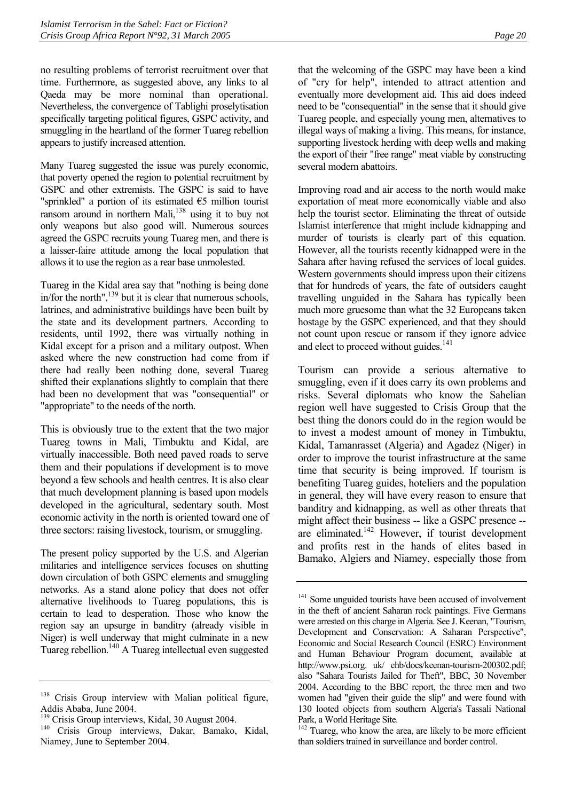no resulting problems of terrorist recruitment over that time. Furthermore, as suggested above, any links to al Qaeda may be more nominal than operational. Nevertheless, the convergence of Tablighi proselytisation specifically targeting political figures, GSPC activity, and smuggling in the heartland of the former Tuareg rebellion appears to justify increased attention.

Many Tuareg suggested the issue was purely economic, that poverty opened the region to potential recruitment by GSPC and other extremists. The GSPC is said to have "sprinkled" a portion of its estimated €5 million tourist ransom around in northern Mali,<sup>138</sup> using it to buy not only weapons but also good will. Numerous sources agreed the GSPC recruits young Tuareg men, and there is a laisser-faire attitude among the local population that allows it to use the region as a rear base unmolested.

Tuareg in the Kidal area say that "nothing is being done in/for the north", $139$  but it is clear that numerous schools, latrines, and administrative buildings have been built by the state and its development partners. According to residents, until 1992, there was virtually nothing in Kidal except for a prison and a military outpost. When asked where the new construction had come from if there had really been nothing done, several Tuareg shifted their explanations slightly to complain that there had been no development that was "consequential" or "appropriate" to the needs of the north.

This is obviously true to the extent that the two major Tuareg towns in Mali, Timbuktu and Kidal, are virtually inaccessible. Both need paved roads to serve them and their populations if development is to move beyond a few schools and health centres. It is also clear that much development planning is based upon models developed in the agricultural, sedentary south. Most economic activity in the north is oriented toward one of three sectors: raising livestock, tourism, or smuggling.

The present policy supported by the U.S. and Algerian militaries and intelligence services focuses on shutting down circulation of both GSPC elements and smuggling networks. As a stand alone policy that does not offer alternative livelihoods to Tuareg populations, this is certain to lead to desperation. Those who know the region say an upsurge in banditry (already visible in Niger) is well underway that might culminate in a new Tuareg rebellion.<sup>140</sup> A Tuareg intellectual even suggested that the welcoming of the GSPC may have been a kind of "cry for help", intended to attract attention and eventually more development aid. This aid does indeed need to be "consequential" in the sense that it should give Tuareg people, and especially young men, alternatives to illegal ways of making a living. This means, for instance, supporting livestock herding with deep wells and making the export of their "free range" meat viable by constructing several modern abattoirs.

Improving road and air access to the north would make exportation of meat more economically viable and also help the tourist sector. Eliminating the threat of outside Islamist interference that might include kidnapping and murder of tourists is clearly part of this equation. However, all the tourists recently kidnapped were in the Sahara after having refused the services of local guides. Western governments should impress upon their citizens that for hundreds of years, the fate of outsiders caught travelling unguided in the Sahara has typically been much more gruesome than what the 32 Europeans taken hostage by the GSPC experienced, and that they should not count upon rescue or ransom if they ignore advice and elect to proceed without guides.<sup>141</sup>

Tourism can provide a serious alternative to smuggling, even if it does carry its own problems and risks. Several diplomats who know the Sahelian region well have suggested to Crisis Group that the best thing the donors could do in the region would be to invest a modest amount of money in Timbuktu, Kidal, Tamanrasset (Algeria) and Agadez (Niger) in order to improve the tourist infrastructure at the same time that security is being improved. If tourism is benefiting Tuareg guides, hoteliers and the population in general, they will have every reason to ensure that banditry and kidnapping, as well as other threats that might affect their business -- like a GSPC presence - are eliminated. $142$  However, if tourist development and profits rest in the hands of elites based in Bamako, Algiers and Niamey, especially those from

<span id="page-23-0"></span><sup>&</sup>lt;sup>138</sup> Crisis Group interview with Malian political figure, Addis Ababa, June 2004.

<span id="page-23-2"></span><span id="page-23-1"></span>

 $139$  Crisis Group interviews, Kidal, 30 August 2004.<br> $140$  Crisis Group interviews, Dakar, Bamako, Kidal, Niamey, June to September 2004.

<span id="page-23-3"></span><sup>&</sup>lt;sup>141</sup> Some unguided tourists have been accused of involvement in the theft of ancient Saharan rock paintings. Five Germans were arrested on this charge in Algeria. See J. Keenan, "Tourism, Development and Conservation: A Saharan Perspective", Economic and Social Research Council (ESRC) Environment and Human Behaviour Program document, available at http://www.psi.org. uk/ ehb/docs/keenan-tourism-200302.pdf; also "Sahara Tourists Jailed for Theft", BBC, 30 November 2004. According to the BBC report, the three men and two women had "given their guide the slip" and were found with 130 looted objects from southern Algeria's Tassali National Park, a World Heritage Site.

<span id="page-23-4"></span> $142$  Tuareg, who know the area, are likely to be more efficient than soldiers trained in surveillance and border control.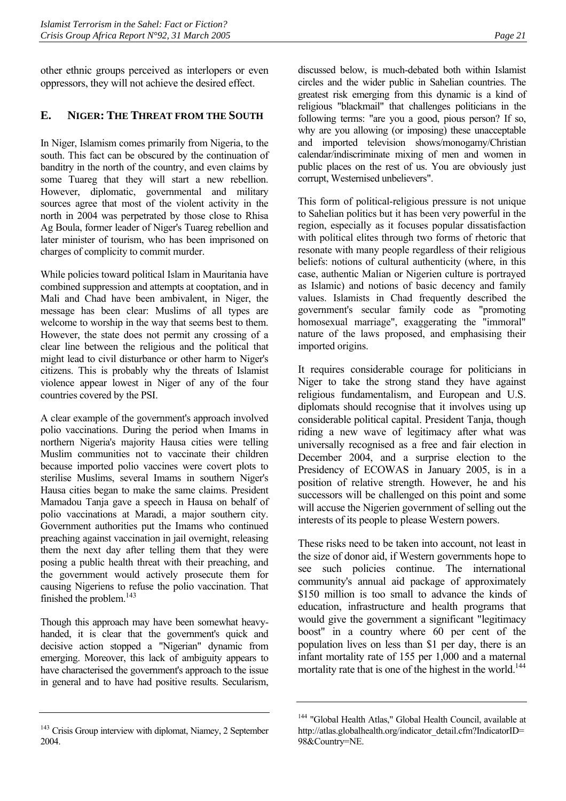other ethnic groups perceived as interlopers or even oppressors, they will not achieve the desired effect.

## <span id="page-24-0"></span>**E. NIGER: THE THREAT FROM THE SOUTH**

In Niger, Islamism comes primarily from Nigeria, to the south. This fact can be obscured by the continuation of banditry in the north of the country, and even claims by some Tuareg that they will start a new rebellion. However, diplomatic, governmental and military sources agree that most of the violent activity in the north in 2004 was perpetrated by those close to Rhisa Ag Boula, former leader of Niger's Tuareg rebellion and later minister of tourism, who has been imprisoned on charges of complicity to commit murder.

While policies toward political Islam in Mauritania have combined suppression and attempts at cooptation, and in Mali and Chad have been ambivalent, in Niger, the message has been clear: Muslims of all types are welcome to worship in the way that seems best to them. However, the state does not permit any crossing of a clear line between the religious and the political that might lead to civil disturbance or other harm to Niger's citizens. This is probably why the threats of Islamist violence appear lowest in Niger of any of the four countries covered by the PSI.

A clear example of the government's approach involved polio vaccinations. During the period when Imams in northern Nigeria's majority Hausa cities were telling Muslim communities not to vaccinate their children because imported polio vaccines were covert plots to sterilise Muslims, several Imams in southern Niger's Hausa cities began to make the same claims. President Mamadou Tanja gave a speech in Hausa on behalf of polio vaccinations at Maradi, a major southern city. Government authorities put the Imams who continued preaching against vaccination in jail overnight, releasing them the next day after telling them that they were posing a public health threat with their preaching, and the government would actively prosecute them for causing Nigeriens to refuse the polio vaccination. That finished the problem.<sup>[143](#page-24-1)</sup>

Though this approach may have been somewhat heavyhanded, it is clear that the government's quick and decisive action stopped a "Nigerian" dynamic from emerging. Moreover, this lack of ambiguity appears to have characterised the government's approach to the issue in general and to have had positive results. Secularism, discussed below, is much-debated both within Islamist circles and the wider public in Sahelian countries. The greatest risk emerging from this dynamic is a kind of religious "blackmail" that challenges politicians in the following terms: "are you a good, pious person? If so, why are you allowing (or imposing) these unacceptable and imported television shows/monogamy/Christian calendar/indiscriminate mixing of men and women in public places on the rest of us. You are obviously just corrupt, Westernised unbelievers".

This form of political-religious pressure is not unique to Sahelian politics but it has been very powerful in the region, especially as it focuses popular dissatisfaction with political elites through two forms of rhetoric that resonate with many people regardless of their religious beliefs: notions of cultural authenticity (where, in this case, authentic Malian or Nigerien culture is portrayed as Islamic) and notions of basic decency and family values. Islamists in Chad frequently described the government's secular family code as "promoting homosexual marriage", exaggerating the "immoral" nature of the laws proposed, and emphasising their imported origins.

It requires considerable courage for politicians in Niger to take the strong stand they have against religious fundamentalism, and European and U.S. diplomats should recognise that it involves using up considerable political capital. President Tanja, though riding a new wave of legitimacy after what was universally recognised as a free and fair election in December 2004, and a surprise election to the Presidency of ECOWAS in January 2005, is in a position of relative strength. However, he and his successors will be challenged on this point and some will accuse the Nigerien government of selling out the interests of its people to please Western powers.

These risks need to be taken into account, not least in the size of donor aid, if Western governments hope to see such policies continue. The international community's annual aid package of approximately \$150 million is too small to advance the kinds of education, infrastructure and health programs that would give the government a significant "legitimacy boost" in a country where 60 per cent of the population lives on less than \$1 per day, there is an infant mortality rate of 155 per 1,000 and a maternal mortality rate that is one of the highest in the world.<sup>144</sup>

<span id="page-24-1"></span><sup>&</sup>lt;sup>143</sup> Crisis Group interview with diplomat, Niamey, 2 September 2004.

<span id="page-24-2"></span><sup>&</sup>lt;sup>144</sup> "Global Health Atlas," Global Health Council, available at http://atlas.globalhealth.org/indicator\_detail.cfm?IndicatorID= 98&Country=NE.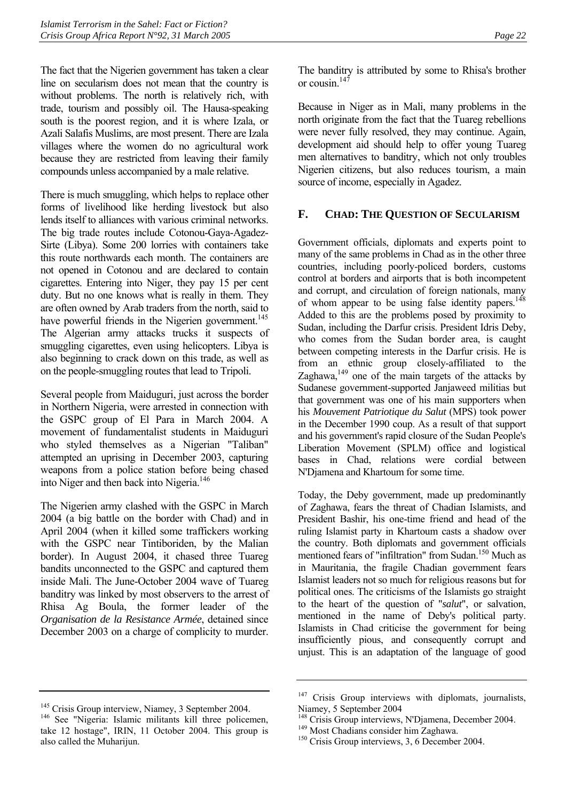The fact that the Nigerien government has taken a clear line on secularism does not mean that the country is without problems. The north is relatively rich, with trade, tourism and possibly oil. The Hausa-speaking south is the poorest region, and it is where Izala, or Azali Salafis Muslims, are most present. There are Izala villages where the women do no agricultural work because they are restricted from leaving their family compounds unless accompanied by a male relative.

There is much smuggling, which helps to replace other forms of livelihood like herding livestock but also lends itself to alliances with various criminal networks. The big trade routes include Cotonou-Gaya-Agadez-Sirte (Libya). Some 200 lorries with containers take this route northwards each month. The containers are not opened in Cotonou and are declared to contain cigarettes. Entering into Niger, they pay 15 per cent duty. But no one knows what is really in them. They are often owned by Arab traders from the north, said to have powerful friends in the Nigerien government.<sup>145</sup> The Algerian army attacks trucks it suspects of smuggling cigarettes, even using helicopters. Libya is also beginning to crack down on this trade, as well as on the people-smuggling routes that lead to Tripoli.

Several people from Maiduguri, just across the border in Northern Nigeria, were arrested in connection with the GSPC group of El Para in March 2004. A movement of fundamentalist students in Maiduguri who styled themselves as a Nigerian "Taliban" attempted an uprising in December 2003, capturing weapons from a police station before being chased into Niger and then back into Nigeria.<sup>[146](#page-25-2)</sup>

The Nigerien army clashed with the GSPC in March 2004 (a big battle on the border with Chad) and in April 2004 (when it killed some traffickers working with the GSPC near Tintiboriden, by the Malian border). In August 2004, it chased three Tuareg bandits unconnected to the GSPC and captured them inside Mali. The June-October 2004 wave of Tuareg banditry was linked by most observers to the arrest of Rhisa Ag Boula, the former leader of the *Organisation de la Resistance Armée*, detained since December 2003 on a charge of complicity to murder.

The banditry is attributed by some to Rhisa's brother or cousin  $147$ 

Because in Niger as in Mali, many problems in the north originate from the fact that the Tuareg rebellions were never fully resolved, they may continue. Again, development aid should help to offer young Tuareg men alternatives to banditry, which not only troubles Nigerien citizens, but also reduces tourism, a main source of income, especially in Agadez.

## <span id="page-25-0"></span>**F. CHAD: THE QUESTION OF SECULARISM**

Government officials, diplomats and experts point to many of the same problems in Chad as in the other three countries, including poorly-policed borders, customs control at borders and airports that is both incompetent and corrupt, and circulation of foreign nationals, many of whom appear to be using false identity papers.<sup>[148](#page-25-4)</sup> Added to this are the problems posed by proximity to Sudan, including the Darfur crisis. President Idris Deby, who comes from the Sudan border area, is caught between competing interests in the Darfur crisis. He is from an ethnic group closely-affiliated to the Zaghawa, $149$  one of the main targets of the attacks by Sudanese government-supported Janjaweed militias but that government was one of his main supporters when his *Mouvement Patriotique du Salut* (MPS) took power in the December 1990 coup. As a result of that support and his government's rapid closure of the Sudan People's Liberation Movement (SPLM) office and logistical bases in Chad, relations were cordial between N'Djamena and Khartoum for some time.

Today, the Deby government, made up predominantly of Zaghawa, fears the threat of Chadian Islamists, and President Bashir, his one-time friend and head of the ruling Islamist party in Khartoum casts a shadow over the country. Both diplomats and government officials mentioned fears of "infiltration" from Sudan.<sup>150</sup> Much as in Mauritania, the fragile Chadian government fears Islamist leaders not so much for religious reasons but for political ones. The criticisms of the Islamists go straight to the heart of the question of "*salut*", or salvation, mentioned in the name of Deby's political party. Islamists in Chad criticise the government for being insufficiently pious, and consequently corrupt and unjust. This is an adaptation of the language of good

<span id="page-25-2"></span><span id="page-25-1"></span>

<sup>&</sup>lt;sup>145</sup> Crisis Group interview, Niamey, 3 September 2004.<br><sup>146</sup> See "Nigeria: Islamic militants kill three policemen, take 12 hostage", IRIN, 11 October 2004. This group is also called the Muharijun.

<span id="page-25-3"></span><sup>&</sup>lt;sup>147</sup> Crisis Group interviews with diplomats, journalists, Niamey, 5 September 2004

<span id="page-25-4"></span><sup>&</sup>lt;sup>148</sup> Crisis Group interviews, N'Djamena, December 2004.<br><sup>149</sup> Most Chadians consider him Zaghawa.<br><sup>150</sup> Crisis Group interviews, 3, 6 December 2004.

<span id="page-25-5"></span>

<span id="page-25-6"></span>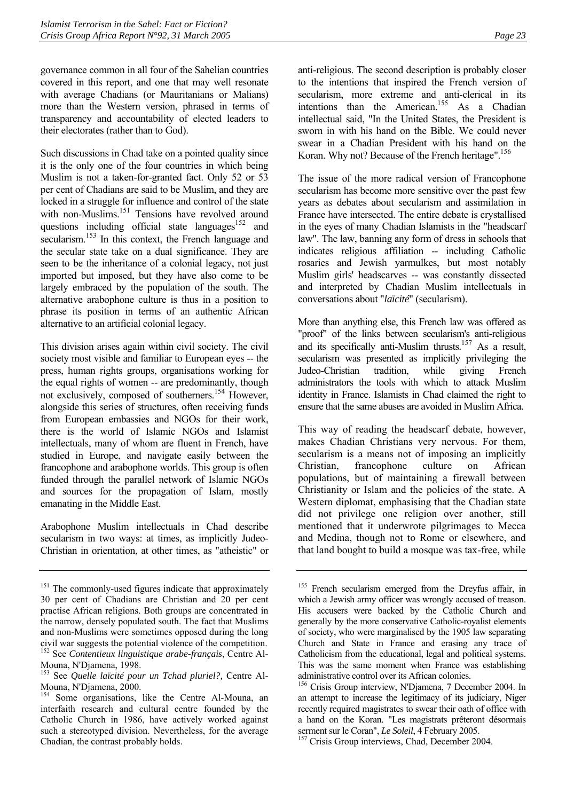governance common in all four of the Sahelian countries covered in this report, and one that may well resonate with average Chadians (or Mauritanians or Malians) more than the Western version, phrased in terms of transparency and accountability of elected leaders to their electorates (rather than to God).

Such discussions in Chad take on a pointed quality since it is the only one of the four countries in which being Muslim is not a taken-for-granted fact. Only 52 or 53 per cent of Chadians are said to be Muslim, and they are locked in a struggle for influence and control of the state with non-Muslims.<sup>151</sup> Tensions have revolved around questions including official state languages<sup>152</sup> and secularism.<sup>153</sup> In this context, the French language and the secular state take on a dual significance. They are seen to be the inheritance of a colonial legacy, not just imported but imposed, but they have also come to be largely embraced by the population of the south. The alternative arabophone culture is thus in a position to phrase its position in terms of an authentic African alternative to an artificial colonial legacy.

This division arises again within civil society. The civil society most visible and familiar to European eyes -- the press, human rights groups, organisations working for the equal rights of women -- are predominantly, though not exclusively, composed of southerners.[154](#page-26-3) However, alongside this series of structures, often receiving funds from European embassies and NGOs for their work, there is the world of Islamic NGOs and Islamist intellectuals, many of whom are fluent in French, have studied in Europe, and navigate easily between the francophone and arabophone worlds. This group is often funded through the parallel network of Islamic NGOs and sources for the propagation of Islam, mostly emanating in the Middle East.

Arabophone Muslim intellectuals in Chad describe secularism in two ways: at times, as implicitly Judeo-Christian in orientation, at other times, as "atheistic" or anti-religious. The second description is probably closer to the intentions that inspired the French version of secularism, more extreme and anti-clerical in its intentions than the American.[155](#page-26-4) As a Chadian intellectual said, "In the United States, the President is sworn in with his hand on the Bible. We could never swear in a Chadian President with his hand on the Koran. Why not? Because of the French heritage".<sup>156</sup>

The issue of the more radical version of Francophone secularism has become more sensitive over the past few years as debates about secularism and assimilation in France have intersected. The entire debate is crystallised in the eyes of many Chadian Islamists in the "headscarf law". The law, banning any form of dress in schools that indicates religious affiliation -- including Catholic rosaries and Jewish yarmulkes, but most notably Muslim girls' headscarves -- was constantly dissected and interpreted by Chadian Muslim intellectuals in conversations about "*laïcité*" (secularism).

More than anything else, this French law was offered as "proof" of the links between secularism's anti-religious and its specifically anti-Muslim thrusts.<sup>157</sup> As a result, secularism was presented as implicitly privileging the Judeo-Christian tradition, while giving French administrators the tools with which to attack Muslim identity in France. Islamists in Chad claimed the right to ensure that the same abuses are avoided in Muslim Africa.

This way of reading the headscarf debate, however, makes Chadian Christians very nervous. For them, secularism is a means not of imposing an implicitly Christian, francophone culture on African populations, but of maintaining a firewall between Christianity or Islam and the policies of the state. A Western diplomat, emphasising that the Chadian state did not privilege one religion over another, still mentioned that it underwrote pilgrimages to Mecca and Medina, though not to Rome or elsewhere, and that land bought to build a mosque was tax-free, while

<span id="page-26-0"></span><sup>&</sup>lt;sup>151</sup> The commonly-used figures indicate that approximately 30 per cent of Chadians are Christian and 20 per cent practise African religions. Both groups are concentrated in the narrow, densely populated south. The fact that Muslims and non-Muslims were sometimes opposed during the long civil war suggests the potential violence of the competition. 152 See *Contentieux linguistique arabe-français*, Centre Al-

<span id="page-26-1"></span>Mouna, N'Djamena, 1998. 153 See *Quelle laïcité pour un Tchad pluriel?,* Centre Al-

<span id="page-26-2"></span>Mouna, N'Djamena, 2000.

<span id="page-26-3"></span><sup>&</sup>lt;sup>154</sup> Some organisations, like the Centre Al-Mouna, an interfaith research and cultural centre founded by the Catholic Church in 1986, have actively worked against such a stereotyped division. Nevertheless, for the average Chadian, the contrast probably holds.

<span id="page-26-4"></span><sup>&</sup>lt;sup>155</sup> French secularism emerged from the Dreyfus affair, in which a Jewish army officer was wrongly accused of treason. His accusers were backed by the Catholic Church and generally by the more conservative Catholic-royalist elements of society, who were marginalised by the 1905 law separating Church and State in France and erasing any trace of Catholicism from the educational, legal and political systems. This was the same moment when France was establishing administrative control over its African colonies.

<span id="page-26-5"></span><sup>156</sup> Crisis Group interview, N'Djamena, 7 December 2004. In an attempt to increase the legitimacy of its judiciary, Niger recently required magistrates to swear their oath of office with a hand on the Koran. "Les magistrats prêteront désormais serment sur le Coran", *Le Soleil*, 4 February 2005.<br><sup>157</sup> Crisis Group interviews, Chad, December 2004.

<span id="page-26-6"></span>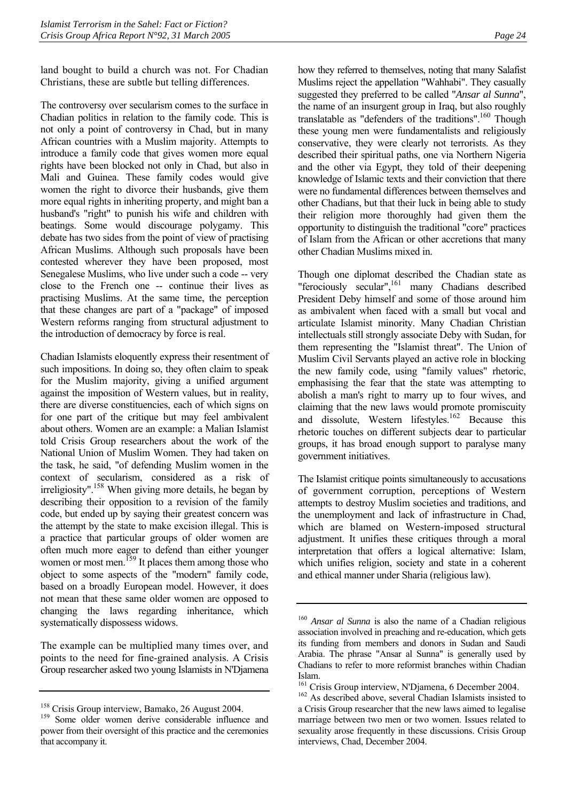land bought to build a church was not. For Chadian Christians, these are subtle but telling differences.

The controversy over secularism comes to the surface in Chadian politics in relation to the family code. This is not only a point of controversy in Chad, but in many African countries with a Muslim majority. Attempts to introduce a family code that gives women more equal rights have been blocked not only in Chad, but also in Mali and Guinea. These family codes would give women the right to divorce their husbands, give them more equal rights in inheriting property, and might ban a husband's "right" to punish his wife and children with beatings. Some would discourage polygamy. This debate has two sides from the point of view of practising African Muslims. Although such proposals have been contested wherever they have been proposed, most Senegalese Muslims, who live under such a code -- very close to the French one -- continue their lives as practising Muslims. At the same time, the perception that these changes are part of a "package" of imposed Western reforms ranging from structural adjustment to the introduction of democracy by force is real.

Chadian Islamists eloquently express their resentment of such impositions. In doing so, they often claim to speak for the Muslim majority, giving a unified argument against the imposition of Western values, but in reality, there are diverse constituencies, each of which signs on for one part of the critique but may feel ambivalent about others. Women are an example: a Malian Islamist told Crisis Group researchers about the work of the National Union of Muslim Women. They had taken on the task, he said, "of defending Muslim women in the context of secularism, considered as a risk of irreligiosity"[.158](#page-27-0) When giving more details, he began by describing their opposition to a revision of the family code, but ended up by saying their greatest concern was the attempt by the state to make excision illegal. This is a practice that particular groups of older women are often much more eager to defend than either younger women or most men.<sup>159</sup> It places them among those who object to some aspects of the "modern" family code, based on a broadly European model. However, it does not mean that these same older women are opposed to changing the laws regarding inheritance, which systematically dispossess widows.

The example can be multiplied many times over, and points to the need for fine-grained analysis. A Crisis Group researcher asked two young Islamists in N'Djamena how they referred to themselves, noting that many Salafist Muslims reject the appellation "Wahhabi". They casually suggested they preferred to be called "*Ansar al Sunna*", the name of an insurgent group in Iraq, but also roughly translatable as "defenders of the traditions".<sup>160</sup> Though these young men were fundamentalists and religiously conservative, they were clearly not terrorists. As they described their spiritual paths, one via Northern Nigeria and the other via Egypt, they told of their deepening knowledge of Islamic texts and their conviction that there were no fundamental differences between themselves and other Chadians, but that their luck in being able to study their religion more thoroughly had given them the opportunity to distinguish the traditional "core" practices of Islam from the African or other accretions that many other Chadian Muslims mixed in.

Though one diplomat described the Chadian state as "ferociously secular",[161](#page-27-3) many Chadians described President Deby himself and some of those around him as ambivalent when faced with a small but vocal and articulate Islamist minority. Many Chadian Christian intellectuals still strongly associate Deby with Sudan, for them representing the "Islamist threat". The Union of Muslim Civil Servants played an active role in blocking the new family code, using "family values" rhetoric, emphasising the fear that the state was attempting to abolish a man's right to marry up to four wives, and claiming that the new laws would promote promiscuity and dissolute, Western lifestyles.[162](#page-27-4) Because this rhetoric touches on different subjects dear to particular groups, it has broad enough support to paralyse many government initiatives.

The Islamist critique points simultaneously to accusations of government corruption, perceptions of Western attempts to destroy Muslim societies and traditions, and the unemployment and lack of infrastructure in Chad, which are blamed on Western-imposed structural adjustment. It unifies these critiques through a moral interpretation that offers a logical alternative: Islam, which unifies religion, society and state in a coherent and ethical manner under Sharia (religious law).

<span id="page-27-1"></span><span id="page-27-0"></span>

<sup>&</sup>lt;sup>158</sup> Crisis Group interview, Bamako, 26 August 2004.<br><sup>159</sup> Some older women derive considerable influence and power from their oversight of this practice and the ceremonies that accompany it.

<span id="page-27-2"></span><sup>160</sup> *Ansar al Sunna* is also the name of a Chadian religious association involved in preaching and re-education, which gets its funding from members and donors in Sudan and Saudi Arabia. The phrase "Ansar al Sunna" is generally used by Chadians to refer to more reformist branches within Chadian Islam.

<span id="page-27-4"></span><span id="page-27-3"></span>

<sup>&</sup>lt;sup>161</sup> Crisis Group interview, N'Djamena, 6 December 2004.<br><sup>162</sup> As described above, several Chadian Islamists insisted to a Crisis Group researcher that the new laws aimed to legalise marriage between two men or two women. Issues related to sexuality arose frequently in these discussions. Crisis Group interviews, Chad, December 2004.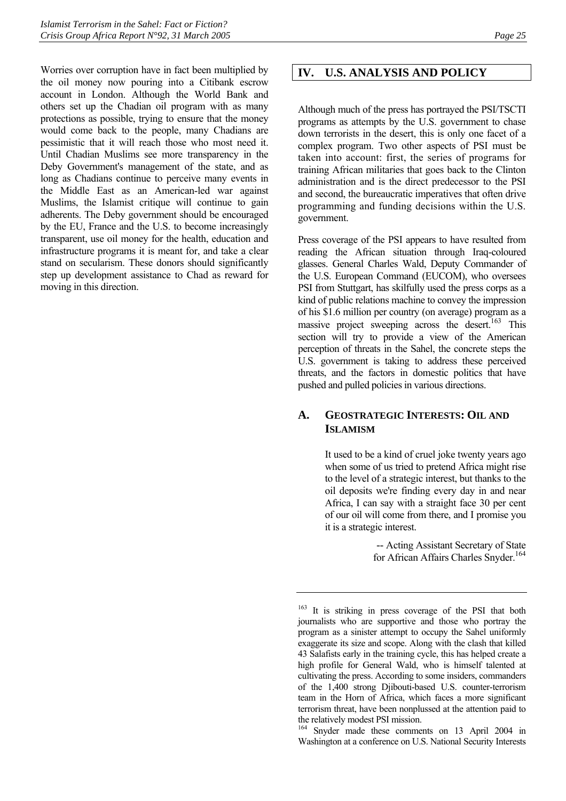Worries over corruption have in fact been multiplied by the oil money now pouring into a Citibank escrow account in London. Although the World Bank and others set up the Chadian oil program with as many protections as possible, trying to ensure that the money would come back to the people, many Chadians are pessimistic that it will reach those who most need it. Until Chadian Muslims see more transparency in the Deby Government's management of the state, and as long as Chadians continue to perceive many events in the Middle East as an American-led war against Muslims, the Islamist critique will continue to gain adherents. The Deby government should be encouraged by the EU, France and the U.S. to become increasingly transparent, use oil money for the health, education and infrastructure programs it is meant for, and take a clear stand on secularism. These donors should significantly step up development assistance to Chad as reward for moving in this direction.

## <span id="page-28-0"></span>**IV. U.S. ANALYSIS AND POLICY**

Although much of the press has portrayed the PSI/TSCTI programs as attempts by the U.S. government to chase down terrorists in the desert, this is only one facet of a complex program. Two other aspects of PSI must be taken into account: first, the series of programs for training African militaries that goes back to the Clinton administration and is the direct predecessor to the PSI and second, the bureaucratic imperatives that often drive programming and funding decisions within the U.S. government.

Press coverage of the PSI appears to have resulted from reading the African situation through Iraq-coloured glasses. General Charles Wald, Deputy Commander of the U.S. European Command (EUCOM), who oversees PSI from Stuttgart, has skilfully used the press corps as a kind of public relations machine to convey the impression of his \$1.6 million per country (on average) program as a massive project sweeping across the desert.<sup>163</sup> This section will try to provide a view of the American perception of threats in the Sahel, the concrete steps the U.S. government is taking to address these perceived threats, and the factors in domestic politics that have pushed and pulled policies in various directions.

## <span id="page-28-1"></span>**A. GEOSTRATEGIC INTERESTS: OIL AND ISLAMISM**

It used to be a kind of cruel joke twenty years ago when some of us tried to pretend Africa might rise to the level of a strategic interest, but thanks to the oil deposits we're finding every day in and near Africa, I can say with a straight face 30 per cent of our oil will come from there, and I promise you it is a strategic interest.

> -- Acting Assistant Secretary of State for African Affairs Charles Snyder.<sup>164</sup>

<span id="page-28-3"></span>164 Snyder made these comments on 13 April 2004 in Washington at a conference on U.S. National Security Interests

<span id="page-28-2"></span><sup>&</sup>lt;sup>163</sup> It is striking in press coverage of the PSI that both journalists who are supportive and those who portray the program as a sinister attempt to occupy the Sahel uniformly exaggerate its size and scope. Along with the clash that killed 43 Salafists early in the training cycle, this has helped create a high profile for General Wald, who is himself talented at cultivating the press. According to some insiders, commanders of the 1,400 strong Djibouti-based U.S. counter-terrorism team in the Horn of Africa, which faces a more significant terrorism threat, have been nonplussed at the attention paid to the relatively modest PSI mission.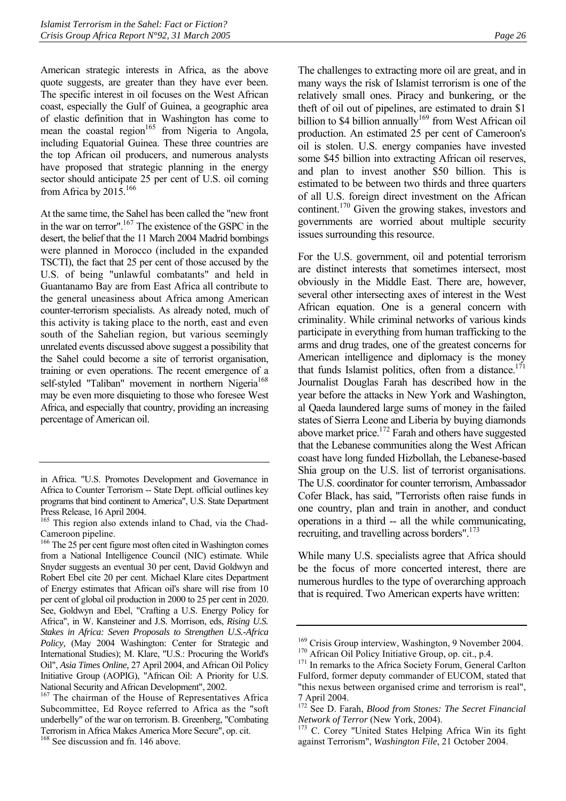American strategic interests in Africa, as the above quote suggests, are greater than they have ever been. The specific interest in oil focuses on the West African coast, especially the Gulf of Guinea, a geographic area of elastic definition that in Washington has come to mean the coastal region<sup>165</sup> from Nigeria to Angola, including Equatorial Guinea. These three countries are the top African oil producers, and numerous analysts have proposed that strategic planning in the energy sector should anticipate 25 per cent of U.S. oil coming from Africa by 2015.<sup>166</sup>

At the same time, the Sahel has been called the "new front in the war on terror".[167](#page-29-2) The existence of the GSPC in the desert, the belief that the 11 March 2004 Madrid bombings were planned in Morocco (included in the expanded TSCTI), the fact that 25 per cent of those accused by the U.S. of being "unlawful combatants" and held in Guantanamo Bay are from East Africa all contribute to the general uneasiness about Africa among American counter-terrorism specialists. As already noted, much of this activity is taking place to the north, east and even south of the Sahelian region, but various seemingly unrelated events discussed above suggest a possibility that the Sahel could become a site of terrorist organisation, training or even operations. The recent emergence of a self-styled "Taliban" movement in northern Nigeria<sup>168</sup> may be even more disquieting to those who foresee West Africa, and especially that country, providing an increasing percentage of American oil.

The challenges to extracting more oil are great, and in many ways the risk of Islamist terrorism is one of the relatively small ones. Piracy and bunkering, or the theft of oil out of pipelines, are estimated to drain \$1 billion to \$4 billion annually<sup>169</sup> from West African oil production. An estimated 25 per cent of Cameroon's oil is stolen. U.S. energy companies have invested some \$45 billion into extracting African oil reserves, and plan to invest another \$50 billion. This is estimated to be between two thirds and three quarters of all U.S. foreign direct investment on the African continent[.170](#page-29-5) Given the growing stakes, investors and governments are worried about multiple security issues surrounding this resource.

For the U.S. government, oil and potential terrorism are distinct interests that sometimes intersect, most obviously in the Middle East. There are, however, several other intersecting axes of interest in the West African equation. One is a general concern with criminality. While criminal networks of various kinds participate in everything from human trafficking to the arms and drug trades, one of the greatest concerns for American intelligence and diplomacy is the money that funds Islamist politics, often from a distance.<sup>[171](#page-29-6)</sup> Journalist Douglas Farah has described how in the year before the attacks in New York and Washington, al Qaeda laundered large sums of money in the failed states of Sierra Leone and Liberia by buying diamonds above market price.<sup>172</sup> Farah and others have suggested that the Lebanese communities along the West African coast have long funded Hizbollah, the Lebanese-based Shia group on the U.S. list of terrorist organisations. The U.S. coordinator for counter terrorism, Ambassador Cofer Black, has said, "Terrorists often raise funds in one country, plan and train in another, and conduct operations in a third -- all the while communicating, recruiting, and travelling across borders".[173](#page-29-8)

While many U.S. specialists agree that Africa should be the focus of more concerted interest, there are numerous hurdles to the type of overarching approach that is required. Two American experts have written:

in Africa. "U.S. Promotes Development and Governance in Africa to Counter Terrorism -- State Dept. official outlines key programs that bind continent to America", U.S. State Department Press Release, 16 April 2004.

<span id="page-29-0"></span><sup>&</sup>lt;sup>165</sup> This region also extends inland to Chad, via the Chad-Cameroon pipeline.

<span id="page-29-1"></span><sup>&</sup>lt;sup>166</sup> The 25 per cent figure most often cited in Washington comes from a National Intelligence Council (NIC) estimate. While Snyder suggests an eventual 30 per cent, David Goldwyn and Robert Ebel cite 20 per cent. Michael Klare cites Department of Energy estimates that African oil's share will rise from 10 per cent of global oil production in 2000 to 25 per cent in 2020. See, Goldwyn and Ebel, "Crafting a U.S. Energy Policy for Africa", in W. Kansteiner and J.S. Morrison, eds, *Rising U.S. Stakes in Africa: Seven Proposals to Strengthen U.S.-Africa Policy,* (May 2004 Washington: Center for Strategic and International Studies); M. Klare, "U.S.: Procuring the World's Oil", *Asia Times Online,* 27 April 2004, and African Oil Policy Initiative Group (AOPIG), "African Oil: A Priority for U.S. National Security and African Development", 2002.

<span id="page-29-2"></span><sup>&</sup>lt;sup>167</sup> The chairman of the House of Representatives Africa Subcommittee, Ed Royce referred to Africa as the "soft underbelly" of the war on terrorism. B. Greenberg, "Combating Terrorism in Africa Makes America More Secure", op. cit.

<span id="page-29-3"></span><sup>&</sup>lt;sup>168</sup> See discussion and fn. 146 above.

<span id="page-29-4"></span><sup>&</sup>lt;sup>169</sup> Crisis Group interview, Washington, 9 November 2004.<br><sup>170</sup> African Oil Policy Initiative Group, op. cit., p.4.<br><sup>171</sup> In remarks to the Africa Society Forum, General Carlton

<span id="page-29-5"></span>

<span id="page-29-6"></span>Fulford, former deputy commander of EUCOM, stated that "this nexus between organised crime and terrorism is real", 7 April 2004.

<span id="page-29-7"></span><sup>172</sup> See D. Farah, *Blood from Stones: The Secret Financial Network of Terror* (New York, 2004). 173 C. Corey "United States Helping Africa Win its fight

<span id="page-29-8"></span>against Terrorism", *Washington File*, 21 October 2004.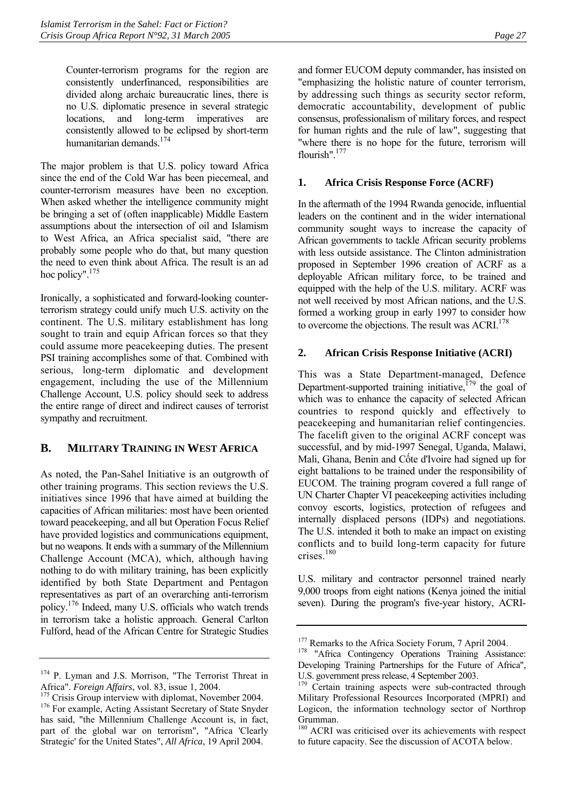Counter-terrorism programs for the region are consistently underfinanced, responsibilities are divided along archaic bureaucratic lines, there is no U.S. diplomatic presence in several strategic locations, and long-term imperatives are consistently allowed to be eclipsed by short-term humanitarian demands[.174](#page-30-3)

The major problem is that U.S. policy toward Africa since the end of the Cold War has been piecemeal, and counter-terrorism measures have been no exception. When asked whether the intelligence community might be bringing a set of (often inapplicable) Middle Eastern assumptions about the intersection of oil and Islamism to West Africa, an Africa specialist said, "there are probably some people who do that, but many question the need to even think about Africa. The result is an ad hoc policy".<sup>175</sup>

Ironically, a sophisticated and forward-looking counterterrorism strategy could unify much U.S. activity on the continent. The U.S. military establishment has long sought to train and equip African forces so that they could assume more peacekeeping duties. The present PSI training accomplishes some of that. Combined with serious, long-term diplomatic and development engagement, including the use of the Millennium Challenge Account, U.S. policy should seek to address the entire range of direct and indirect causes of terrorist sympathy and recruitment.

## <span id="page-30-0"></span>**B. MILITARY TRAINING IN WEST AFRICA**

As noted, the Pan-Sahel Initiative is an outgrowth of other training programs. This section reviews the U.S. initiatives since 1996 that have aimed at building the capacities of African militaries: most have been oriented toward peacekeeping, and all but Operation Focus Relief have provided logistics and communications equipment, but no weapons. It ends with a summary of the Millennium Challenge Account (MCA), which, although having nothing to do with military training, has been explicitly identified by both State Department and Pentagon representatives as part of an overarching anti-terrorism policy[.176](#page-30-5) Indeed, many U.S. officials who watch trends in terrorism take a holistic approach. General Carlton Fulford, head of the African Centre for Strategic Studies

<span id="page-30-3"></span><sup>174</sup> P. Lyman and J.S. Morrison, "The Terrorist Threat in

and former EUCOM deputy commander, has insisted on "emphasizing the holistic nature of counter terrorism, by addressing such things as security sector reform, democratic accountability, development of public consensus, professionalism of military forces, and respect for human rights and the rule of law", suggesting that "where there is no hope for the future, terrorism will flourish".[177](#page-30-6) 

#### **1. Africa Crisis Response Force (ACRF)**

<span id="page-30-1"></span>In the aftermath of the 1994 Rwanda genocide, influential leaders on the continent and in the wider international community sought ways to increase the capacity of African governments to tackle African security problems with less outside assistance. The Clinton administration proposed in September 1996 creation of ACRF as a deployable African military force, to be trained and equipped with the help of the U.S. military. ACRF was not well received by most African nations, and the U.S. formed a working group in early 1997 to consider how to overcome the objections. The result was  $\text{ACRI}$ <sup>178</sup>

## <span id="page-30-2"></span>**2. African Crisis Response Initiative (ACRI)**

This was a State Department-managed, Defence Department-supported training initiative,  $^{179}$  the goal of which was to enhance the capacity of selected African countries to respond quickly and effectively to peacekeeping and humanitarian relief contingencies. The facelift given to the original ACRF concept was successful, and by mid-1997 Senegal, Uganda, Malawi, Mali, Ghana, Benin and Cốte d'Ivoire had signed up for eight battalions to be trained under the responsibility of EUCOM. The training program covered a full range of UN Charter Chapter VI peacekeeping activities including convoy escorts, logistics, protection of refugees and internally displaced persons (IDPs) and negotiations. The U.S. intended it both to make an impact on existing conflicts and to build long-term capacity for future crises.[180](#page-30-9)

U.S. military and contractor personnel trained nearly 9,000 troops from eight nations (Kenya joined the initial seven). During the program's five-year history, ACRI-

<span id="page-30-5"></span><span id="page-30-4"></span>Africa". *Foreign Affairs*, vol. 83, issue 1, 2004.<br><sup>175</sup> Crisis Group interview with diplomat, November 2004.<br><sup>176</sup> For example, Acting Assistant Secretary of State Snyder has said, "the Millennium Challenge Account is, in fact, part of the global war on terrorism", "Africa 'Clearly Strategic' for the United States", *All Africa*, 19 April 2004.

<span id="page-30-7"></span><span id="page-30-6"></span><sup>&</sup>lt;sup>177</sup> Remarks to the Africa Society Forum, 7 April 2004.<br><sup>178</sup> "Africa Contingency Operations Training Assistance: Developing Training Partnerships for the Future of Africa", U.S. government press release, 4 September 2003.

<span id="page-30-8"></span><sup>&</sup>lt;sup>179</sup> Certain training aspects were sub-contracted through Military Professional Resources Incorporated (MPRI) and Logicon, the information technology sector of Northrop Grumman.

<span id="page-30-9"></span><sup>&</sup>lt;sup>180</sup> ACRI was criticised over its achievements with respect to future capacity. See the discussion of ACOTA below.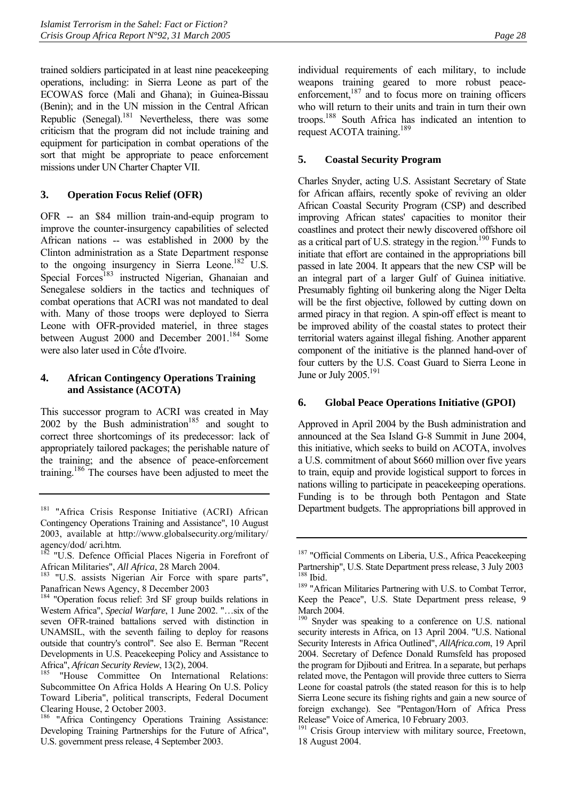trained soldiers participated in at least nine peacekeeping operations, including: in Sierra Leone as part of the ECOWAS force (Mali and Ghana); in Guinea-Bissau (Benin); and in the UN mission in the Central African Republic (Senegal). $^{181}$  Nevertheless, there was some criticism that the program did not include training and equipment for participation in combat operations of the sort that might be appropriate to peace enforcement missions under UN Charter Chapter VII.

## **3. Operation Focus Relief (OFR)**

<span id="page-31-0"></span>OFR -- an \$84 million train-and-equip program to improve the counter-insurgency capabilities of selected African nations -- was established in 2000 by the Clinton administration as a State Department response to the ongoing insurgency in Sierra Leone.<sup>182</sup> U.S. Special Forces<sup>183</sup> instructed Nigerian, Ghanaian and Senegalese soldiers in the tactics and techniques of combat operations that ACRI was not mandated to deal with. Many of those troops were deployed to Sierra Leone with OFR-provided materiel, in three stages between August 2000 and December 2001.<sup>184</sup> Some were also later used in Cốte d'Ivoire.

#### <span id="page-31-1"></span>**4. African Contingency Operations Training and Assistance (ACOTA)**

This successor program to ACRI was created in May 2002 by the Bush administration<sup>185</sup> and sought to correct three shortcomings of its predecessor: lack of appropriately tailored packages; the perishable nature of the training; and the absence of peace-enforcement training.[186](#page-31-9) The courses have been adjusted to meet the

individual requirements of each military, to include weapons training geared to more robust peaceenforcement, $187$  and to focus more on training officers who will return to their units and train in turn their own troops[.188](#page-31-11) South Africa has indicated an intention to request ACOTA training.<sup>189</sup>

## **5. Coastal Security Program**

<span id="page-31-2"></span>Charles Snyder, acting U.S. Assistant Secretary of State for African affairs, recently spoke of reviving an older African Coastal Security Program (CSP) and described improving African states' capacities to monitor their coastlines and protect their newly discovered offshore oil as a critical part of U.S. strategy in the region.<sup>190</sup> Funds to initiate that effort are contained in the appropriations bill passed in late 2004. It appears that the new CSP will be an integral part of a larger Gulf of Guinea initiative. Presumably fighting oil bunkering along the Niger Delta will be the first objective, followed by cutting down on armed piracy in that region. A spin-off effect is meant to be improved ability of the coastal states to protect their territorial waters against illegal fishing. Another apparent component of the initiative is the planned hand-over of four cutters by the U.S. Coast Guard to Sierra Leone in June or July 2005.<sup>[191](#page-31-14)</sup>

#### **6. Global Peace Operations Initiative (GPOI)**

<span id="page-31-3"></span>Approved in April 2004 by the Bush administration and announced at the Sea Island G-8 Summit in June 2004, this initiative, which seeks to build on ACOTA, involves a U.S. commitment of about \$660 million over five years to train, equip and provide logistical support to forces in nations willing to participate in peacekeeping operations. Funding is to be through both Pentagon and State Department budgets. The appropriations bill approved in

<span id="page-31-4"></span><sup>&</sup>lt;sup>181</sup> "Africa Crisis Response Initiative (ACRI) African Contingency Operations Training and Assistance", 10 August 2003, available at http://www.globalsecurity.org/military/ agency/dod/ acri.htm.

<span id="page-31-5"></span> $182$  "U.S. Defence Official Places Nigeria in Forefront of African Militaries", All Africa, 28 March 2004.

<span id="page-31-6"></span><sup>&</sup>lt;sup>183</sup> "U.S. assists Nigerian Air Force with spare parts", Panafrican News Agency, 8 December 2003

<span id="page-31-7"></span><sup>&</sup>lt;sup>184</sup> "Operation focus relief: 3rd SF group builds relations in Western Africa", *Special Warfare*, 1 June 2002. "…six of the seven OFR-trained battalions served with distinction in UNAMSIL, with the seventh failing to deploy for reasons outside that country's control". See also E. Berman "Recent Developments in U.S. Peacekeeping Policy and Assistance to Africa", *African Security Review*, 13(2), 2004.<br><sup>185</sup> "House Committee On International Relations:

<span id="page-31-8"></span>Subcommittee On Africa Holds A Hearing On U.S. Policy Toward Liberia", political transcripts, Federal Document Clearing House, 2 October 2003.

<span id="page-31-9"></span><sup>&</sup>lt;sup>186</sup> "Africa Contingency Operations Training Assistance: Developing Training Partnerships for the Future of Africa", U.S. government press release, 4 September 2003.

<span id="page-31-10"></span><sup>&</sup>lt;sup>187</sup> "Official Comments on Liberia, U.S., Africa Peacekeeping Partnership", U.S. State Department press release, 3 July 2003

<span id="page-31-12"></span><span id="page-31-11"></span><sup>&</sup>lt;sup>189</sup> "African Militaries Partnering with U.S. to Combat Terror, Keep the Peace", U.S. State Department press release, 9 March 2004.

<span id="page-31-13"></span><sup>&</sup>lt;sup>190</sup> Snyder was speaking to a conference on U.S. national security interests in Africa, on 13 April 2004. "U.S. National Security Interests in Africa Outlined", *AllAfrica.com*, 19 April 2004. Secretary of Defence Donald Rumsfeld has proposed the program for Djibouti and Eritrea. In a separate, but perhaps related move, the Pentagon will provide three cutters to Sierra Leone for coastal patrols (the stated reason for this is to help Sierra Leone secure its fishing rights and gain a new source of foreign exchange). See "Pentagon/Horn of Africa Press Release" Voice of America, 10 February 2003.

<span id="page-31-14"></span><sup>&</sup>lt;sup>191</sup> Crisis Group interview with military source, Freetown, 18 August 2004.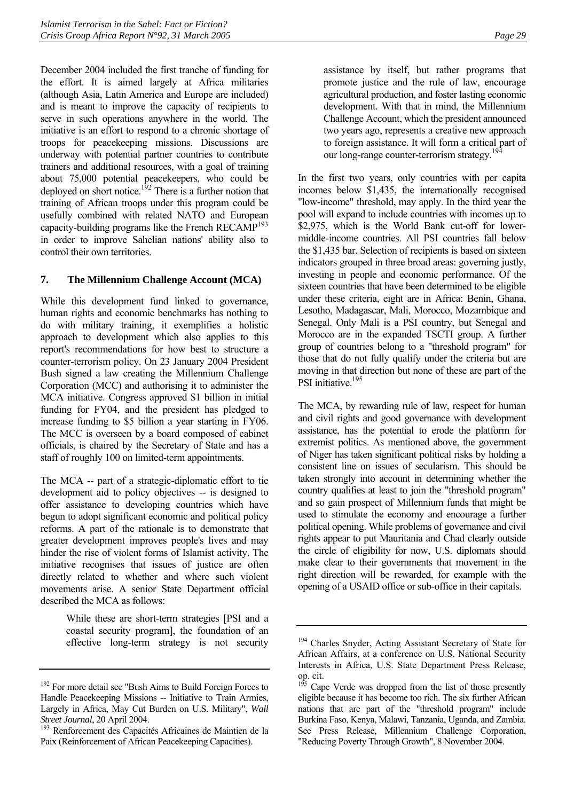December 2004 included the first tranche of funding for the effort. It is aimed largely at Africa militaries (although Asia, Latin America and Europe are included) and is meant to improve the capacity of recipients to serve in such operations anywhere in the world. The initiative is an effort to respond to a chronic shortage of troops for peacekeeping missions. Discussions are underway with potential partner countries to contribute trainers and additional resources, with a goal of training about 75,000 potential peacekeepers, who could be deployed on short notice.<sup>192</sup> There is a further notion that training of African troops under this program could be usefully combined with related NATO and European capacity-building programs like the French RECAMP<sup>193</sup> in order to improve Sahelian nations' ability also to control their own territories.

#### <span id="page-32-0"></span>**7. The Millennium Challenge Account (MCA)**

While this development fund linked to governance, human rights and economic benchmarks has nothing to do with military training, it exemplifies a holistic approach to development which also applies to this report's recommendations for how best to structure a counter-terrorism policy. On 23 January 2004 President Bush signed a law creating the Millennium Challenge Corporation (MCC) and authorising it to administer the MCA initiative. Congress approved \$1 billion in initial funding for FY04, and the president has pledged to increase funding to \$5 billion a year starting in FY06. The MCC is overseen by a board composed of cabinet officials, is chaired by the Secretary of State and has a staff of roughly 100 on limited-term appointments.

The MCA -- part of a strategic-diplomatic effort to tie development aid to policy objectives -- is designed to offer assistance to developing countries which have begun to adopt significant economic and political policy reforms. A part of the rationale is to demonstrate that greater development improves people's lives and may hinder the rise of violent forms of Islamist activity. The initiative recognises that issues of justice are often directly related to whether and where such violent movements arise. A senior State Department official described the MCA as follows:

> While these are short-term strategies [PSI and a coastal security program], the foundation of an effective long-term strategy is not security

assistance by itself, but rather programs that promote justice and the rule of law, encourage agricultural production, and foster lasting economic development. With that in mind, the Millennium Challenge Account, which the president announced two years ago, represents a creative new approach to foreign assistance. It will form a critical part of our long-range counter-terrorism strategy.<sup>194</sup>

In the first two years, only countries with per capita incomes below \$1,435, the internationally recognised "low-income" threshold, may apply. In the third year the pool will expand to include countries with incomes up to \$2,975, which is the World Bank cut-off for lowermiddle-income countries. All PSI countries fall below the \$1,435 bar. Selection of recipients is based on sixteen indicators grouped in three broad areas: governing justly, investing in people and economic performance. Of the sixteen countries that have been determined to be eligible under these criteria, eight are in Africa: Benin, Ghana, Lesotho, Madagascar, Mali, Morocco, Mozambique and Senegal. Only Mali is a PSI country, but Senegal and Morocco are in the expanded TSCTI group. A further group of countries belong to a "threshold program" for those that do not fully qualify under the criteria but are moving in that direction but none of these are part of the PSI initiative.<sup>195</sup>

The MCA, by rewarding rule of law, respect for human and civil rights and good governance with development assistance, has the potential to erode the platform for extremist politics. As mentioned above, the government of Niger has taken significant political risks by holding a consistent line on issues of secularism. This should be taken strongly into account in determining whether the country qualifies at least to join the "threshold program" and so gain prospect of Millennium funds that might be used to stimulate the economy and encourage a further political opening. While problems of governance and civil rights appear to put Mauritania and Chad clearly outside the circle of eligibility for now, U.S. diplomats should make clear to their governments that movement in the right direction will be rewarded, for example with the opening of a USAID office or sub-office in their capitals.

<span id="page-32-1"></span> $192$  For more detail see "Bush Aims to Build Foreign Forces to Handle Peacekeeping Missions -- Initiative to Train Armies, Largely in Africa, May Cut Burden on U.S. Military", *Wall Street Journal*, 20 April 2004. 193 Renforcement des Capacités Africaines de Maintien de la

<span id="page-32-2"></span>Paix (Reinforcement of African Peacekeeping Capacities).

<span id="page-32-3"></span><sup>&</sup>lt;sup>194</sup> Charles Snyder, Acting Assistant Secretary of State for African Affairs, at a conference on U.S. National Security Interests in Africa, U.S. State Department Press Release, op. cit.

<span id="page-32-4"></span><sup>&</sup>lt;sup>195</sup> Cape Verde was dropped from the list of those presently eligible because it has become too rich. The six further African nations that are part of the "threshold program" include Burkina Faso, Kenya, Malawi, Tanzania, Uganda, and Zambia. See Press Release, Millennium Challenge Corporation, "Reducing Poverty Through Growth", 8 November 2004.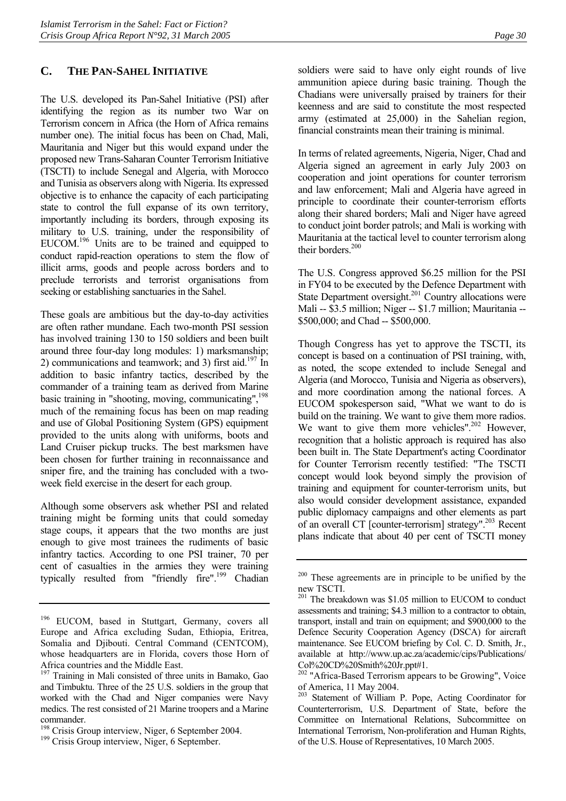#### <span id="page-33-0"></span>**C. THE PAN-SAHEL INITIATIVE**

The U.S. developed its Pan-Sahel Initiative (PSI) after identifying the region as its number two War on Terrorism concern in Africa (the Horn of Africa remains number one). The initial focus has been on Chad, Mali, Mauritania and Niger but this would expand under the proposed new Trans-Saharan Counter Terrorism Initiative (TSCTI) to include Senegal and Algeria, with Morocco and Tunisia as observers along with Nigeria. Its expressed objective is to enhance the capacity of each participating state to control the full expanse of its own territory, importantly including its borders, through exposing its military to U.S. training, under the responsibility of EUCOM[.196](#page-33-1) Units are to be trained and equipped to conduct rapid-reaction operations to stem the flow of illicit arms, goods and people across borders and to preclude terrorists and terrorist organisations from seeking or establishing sanctuaries in the Sahel.

These goals are ambitious but the day-to-day activities are often rather mundane. Each two-month PSI session has involved training 130 to 150 soldiers and been built around three four-day long modules: 1) marksmanship; 2) communications and teamwork; and 3) first aid.<sup>197</sup> In addition to basic infantry tactics, described by the commander of a training team as derived from Marine basic training in "shooting, moving, communicating".<sup>198</sup> much of the remaining focus has been on map reading and use of Global Positioning System (GPS) equipment provided to the units along with uniforms, boots and Land Cruiser pickup trucks. The best marksmen have been chosen for further training in reconnaissance and sniper fire, and the training has concluded with a twoweek field exercise in the desert for each group.

Although some observers ask whether PSI and related training might be forming units that could someday stage coups, it appears that the two months are just enough to give most trainees the rudiments of basic infantry tactics. According to one PSI trainer, 70 per cent of casualties in the armies they were training typically resulted from "friendly fire".<sup>199</sup> Chadian soldiers were said to have only eight rounds of live ammunition apiece during basic training. Though the Chadians were universally praised by trainers for their keenness and are said to constitute the most respected army (estimated at 25,000) in the Sahelian region, financial constraints mean their training is minimal.

In terms of related agreements, Nigeria, Niger, Chad and Algeria signed an agreement in early July 2003 on cooperation and joint operations for counter terrorism and law enforcement; Mali and Algeria have agreed in principle to coordinate their counter-terrorism efforts along their shared borders; Mali and Niger have agreed to conduct joint border patrols; and Mali is working with Mauritania at the tactical level to counter terrorism along their borders.<sup>200</sup>

The U.S. Congress approved \$6.25 million for the PSI in FY04 to be executed by the Defence Department with State Department oversight.<sup>201</sup> Country allocations were Mali -- \$3.5 million; Niger -- \$1.7 million; Mauritania -- \$500,000; and Chad -- \$500,000.

Though Congress has yet to approve the TSCTI, its concept is based on a continuation of PSI training, with, as noted, the scope extended to include Senegal and Algeria (and Morocco, Tunisia and Nigeria as observers), and more coordination among the national forces. A EUCOM spokesperson said, "What we want to do is build on the training. We want to give them more radios. We want to give them more vehicles".<sup>202</sup> However, recognition that a holistic approach is required has also been built in. The State Department's acting Coordinator for Counter Terrorism recently testified: "The TSCTI concept would look beyond simply the provision of training and equipment for counter-terrorism units, but also would consider development assistance, expanded public diplomacy campaigns and other elements as part of an overall CT [counter-terrorism] strategy".<sup>203</sup> Recent plans indicate that about 40 per cent of TSCTI money

<span id="page-33-1"></span><sup>&</sup>lt;sup>196</sup> EUCOM, based in Stuttgart, Germany, covers all Europe and Africa excluding Sudan, Ethiopia, Eritrea, Somalia and Diibouti. Central Command (CENTCOM), whose headquarters are in Florida, covers those Horn of Africa countries and the Middle East.

<span id="page-33-2"></span><sup>&</sup>lt;sup>197</sup> Training in Mali consisted of three units in Bamako, Gao and Timbuktu. Three of the 25 U.S. soldiers in the group that worked with the Chad and Niger companies were Navy medics. The rest consisted of 21 Marine troopers and a Marine commander.

<span id="page-33-3"></span><sup>&</sup>lt;sup>198</sup> Crisis Group interview, Niger, 6 September 2004.<br><sup>199</sup> Crisis Group interview, Niger, 6 September.

<span id="page-33-4"></span>

<span id="page-33-5"></span><sup>&</sup>lt;sup>200</sup> These agreements are in principle to be unified by the new TSCTI.

<span id="page-33-6"></span><sup>&</sup>lt;sup>201</sup> The breakdown was \$1.05 million to EUCOM to conduct assessments and training; \$4.3 million to a contractor to obtain, transport, install and train on equipment; and \$900,000 to the Defence Security Cooperation Agency (DSCA) for aircraft maintenance. See EUCOM briefing by Col. C. D. Smith, Jr., available at http://www.up.ac.za/academic/cips/Publications/ Col%20CD%20Smith%20Jr.ppt#1.

<span id="page-33-7"></span><sup>&</sup>lt;sup>202</sup> "Africa-Based Terrorism appears to be Growing", Voice of America, 11 May 2004.

<span id="page-33-8"></span><sup>203</sup> Statement of William P. Pope, Acting Coordinator for Counterterrorism, U.S. Department of State, before the Committee on International Relations, Subcommittee on International Terrorism, Non-proliferation and Human Rights, of the U.S. House of Representatives, 10 March 2005.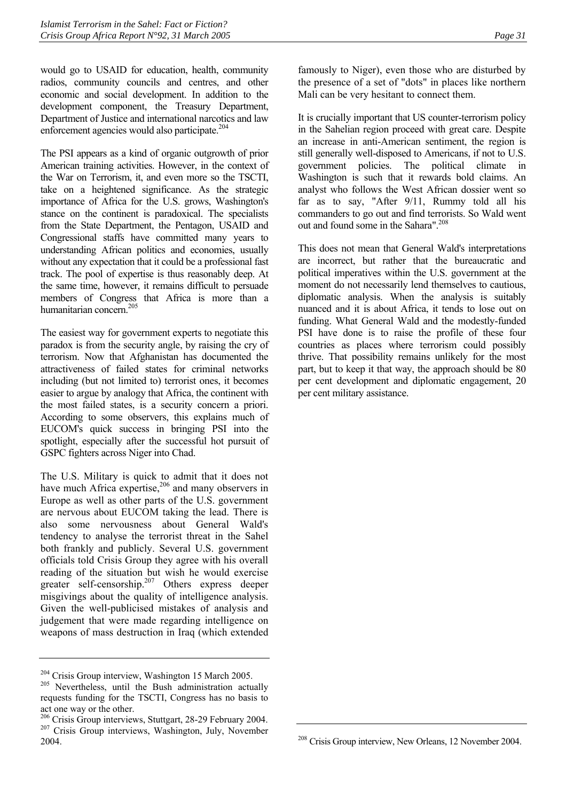would go to USAID for education, health, community radios, community councils and centres, and other economic and social development. In addition to the development component, the Treasury Department, Department of Justice and international narcotics and law enforcement agencies would also participate.<sup>[204](#page-34-0)</sup>

The PSI appears as a kind of organic outgrowth of prior American training activities. However, in the context of the War on Terrorism, it, and even more so the TSCTI, take on a heightened significance. As the strategic importance of Africa for the U.S. grows, Washington's stance on the continent is paradoxical. The specialists from the State Department, the Pentagon, USAID and Congressional staffs have committed many years to understanding African politics and economies, usually without any expectation that it could be a professional fast track. The pool of expertise is thus reasonably deep. At the same time, however, it remains difficult to persuade members of Congress that Africa is more than a humanitarian concern.<sup>205</sup>

The easiest way for government experts to negotiate this paradox is from the security angle, by raising the cry of terrorism. Now that Afghanistan has documented the attractiveness of failed states for criminal networks including (but not limited to) terrorist ones, it becomes easier to argue by analogy that Africa, the continent with the most failed states, is a security concern a priori. According to some observers, this explains much of EUCOM's quick success in bringing PSI into the spotlight, especially after the successful hot pursuit of GSPC fighters across Niger into Chad.

The U.S. Military is quick to admit that it does not have much Africa expertise,<sup>206</sup> and many observers in Europe as well as other parts of the U.S. government are nervous about EUCOM taking the lead. There is also some nervousness about General Wald's tendency to analyse the terrorist threat in the Sahel both frankly and publicly. Several U.S. government officials told Crisis Group they agree with his overall reading of the situation but wish he would exercise greater self-censorship.<sup>207</sup> Others express deeper misgivings about the quality of intelligence analysis. Given the well-publicised mistakes of analysis and judgement that were made regarding intelligence on weapons of mass destruction in Iraq (which extended

famously to Niger), even those who are disturbed by the presence of a set of "dots" in places like northern Mali can be very hesitant to connect them.

It is crucially important that US counter-terrorism policy in the Sahelian region proceed with great care. Despite an increase in anti-American sentiment, the region is still generally well-disposed to Americans, if not to U.S. government policies. The political climate in Washington is such that it rewards bold claims. An analyst who follows the West African dossier went so far as to say, "After 9/11, Rummy told all his commanders to go out and find terrorists. So Wald went out and found some in the Sahara".<sup>208</sup>

This does not mean that General Wald's interpretations are incorrect, but rather that the bureaucratic and political imperatives within the U.S. government at the moment do not necessarily lend themselves to cautious, diplomatic analysis. When the analysis is suitably nuanced and it is about Africa, it tends to lose out on funding. What General Wald and the modestly-funded PSI have done is to raise the profile of these four countries as places where terrorism could possibly thrive. That possibility remains unlikely for the most part, but to keep it that way, the approach should be 80 per cent development and diplomatic engagement, 20 per cent military assistance.

<span id="page-34-0"></span> $204$  Crisis Group interview, Washington 15 March 2005.<br>
<sup>205</sup> Nevertheless, until the Bush administration actually

<span id="page-34-1"></span>requests funding for the TSCTI, Congress has no basis to act one way or the other.

<span id="page-34-3"></span><span id="page-34-2"></span><sup>&</sup>lt;sup>206</sup> Crisis Group interviews, Stuttgart, 28-29 February 2004.<br><sup>207</sup> Crisis Group interviews, Washington, July, November 2004.

<span id="page-34-4"></span><sup>&</sup>lt;sup>208</sup> Crisis Group interview, New Orleans, 12 November 2004.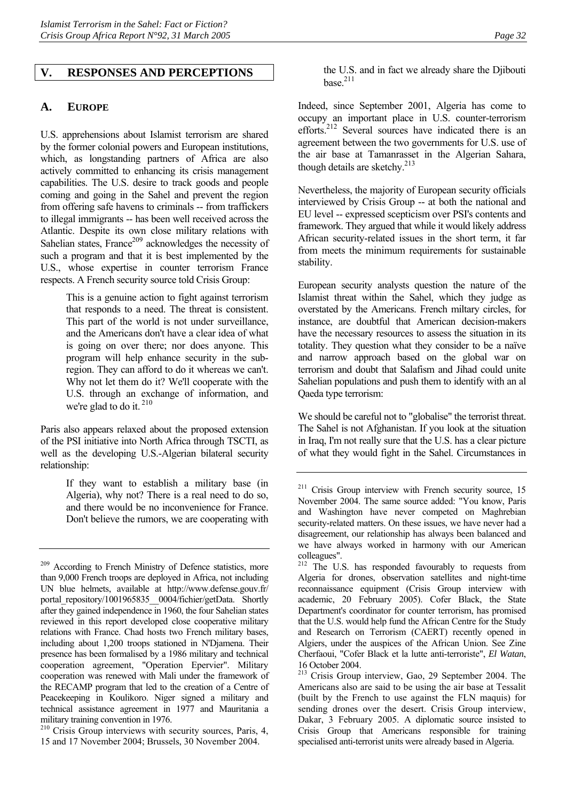#### <span id="page-35-0"></span>**V. RESPONSES AND PERCEPTIONS**

#### <span id="page-35-1"></span>**A. EUROPE**

U.S. apprehensions about Islamist terrorism are shared by the former colonial powers and European institutions, which, as longstanding partners of Africa are also actively committed to enhancing its crisis management capabilities. The U.S. desire to track goods and people coming and going in the Sahel and prevent the region from offering safe havens to criminals -- from traffickers to illegal immigrants -- has been well received across the Atlantic. Despite its own close military relations with Sahelian states, France<sup>209</sup> acknowledges the necessity of such a program and that it is best implemented by the U.S., whose expertise in counter terrorism France respects. A French security source told Crisis Group:

> This is a genuine action to fight against terrorism that responds to a need. The threat is consistent. This part of the world is not under surveillance, and the Americans don't have a clear idea of what is going on over there; nor does anyone. This program will help enhance security in the subregion. They can afford to do it whereas we can't. Why not let them do it? We'll cooperate with the U.S. through an exchange of information, and we're glad to do it.<sup>210</sup>

Paris also appears relaxed about the proposed extension of the PSI initiative into North Africa through TSCTI, as well as the developing U.S.-Algerian bilateral security relationship:

> If they want to establish a military base (in Algeria), why not? There is a real need to do so, and there would be no inconvenience for France. Don't believe the rumors, we are cooperating with

<span id="page-35-3"></span><sup>210</sup> Crisis Group interviews with security sources, Paris, 4, 15 and 17 November 2004; Brussels, 30 November 2004.

the U.S. and in fact we already share the Djibouti  $base<sup>211</sup>$ 

Indeed, since September 2001, Algeria has come to occupy an important place in U.S. counter-terrorism efforts.<sup>212</sup> Several sources have indicated there is an agreement between the two governments for U.S. use of the air base at Tamanrasset in the Algerian Sahara, though details are sketchy. $213$ 

Nevertheless, the majority of European security officials interviewed by Crisis Group -- at both the national and EU level -- expressed scepticism over PSI's contents and framework. They argued that while it would likely address African security-related issues in the short term, it far from meets the minimum requirements for sustainable stability.

European security analysts question the nature of the Islamist threat within the Sahel, which they judge as overstated by the Americans. French miltary circles, for instance, are doubtful that American decision-makers have the necessary resources to assess the situation in its totality. They question what they consider to be a naïve and narrow approach based on the global war on terrorism and doubt that Salafism and Jihad could unite Sahelian populations and push them to identify with an al Qaeda type terrorism:

We should be careful not to "globalise" the terrorist threat. The Sahel is not Afghanistan. If you look at the situation in Iraq, I'm not really sure that the U.S. has a clear picture of what they would fight in the Sahel. Circumstances in

<span id="page-35-2"></span><sup>&</sup>lt;sup>209</sup> According to French Ministry of Defence statistics, more than 9,000 French troops are deployed in Africa, not including UN blue helmets, available at http://www.defense.gouv.fr/ portal\_repository/1001965835\_0004/fichier/getData. Shortly after they gained independence in 1960, the four Sahelian states reviewed in this report developed close cooperative military relations with France. Chad hosts two French military bases, including about 1,200 troops stationed in N'Djamena. Their presence has been formalised by a 1986 military and technical cooperation agreement, "Operation Epervier". Military cooperation was renewed with Mali under the framework of the RECAMP program that led to the creation of a Centre of Peacekeeping in Koulikoro. Niger signed a military and technical assistance agreement in 1977 and Mauritania a military training convention in 1976.

<span id="page-35-4"></span><sup>&</sup>lt;sup>211</sup> Crisis Group interview with French security source, 15 November 2004. The same source added: "You know, Paris and Washington have never competed on Maghrebian security-related matters. On these issues, we have never had a disagreement, our relationship has always been balanced and we have always worked in harmony with our American colleagues".

<span id="page-35-5"></span><sup>&</sup>lt;sup>212</sup> The U.S. has responded favourably to requests from Algeria for drones, observation satellites and night-time reconnaissance equipment (Crisis Group interview with academic, 20 February 2005). Cofer Black, the State Department's coordinator for counter terrorism, has promised that the U.S. would help fund the African Centre for the Study and Research on Terrorism (CAERT) recently opened in Algiers, under the auspices of the African Union. See Zine Cherfaoui, "Cofer Black et la lutte anti-terroriste", *El Watan*, 16 October 2004.

<span id="page-35-6"></span><sup>213</sup> Crisis Group interview, Gao, 29 September 2004. The Americans also are said to be using the air base at Tessalit (built by the French to use against the FLN maquis) for sending drones over the desert. Crisis Group interview, Dakar, 3 February 2005. A diplomatic source insisted to Crisis Group that Americans responsible for training specialised anti-terrorist units were already based in Algeria.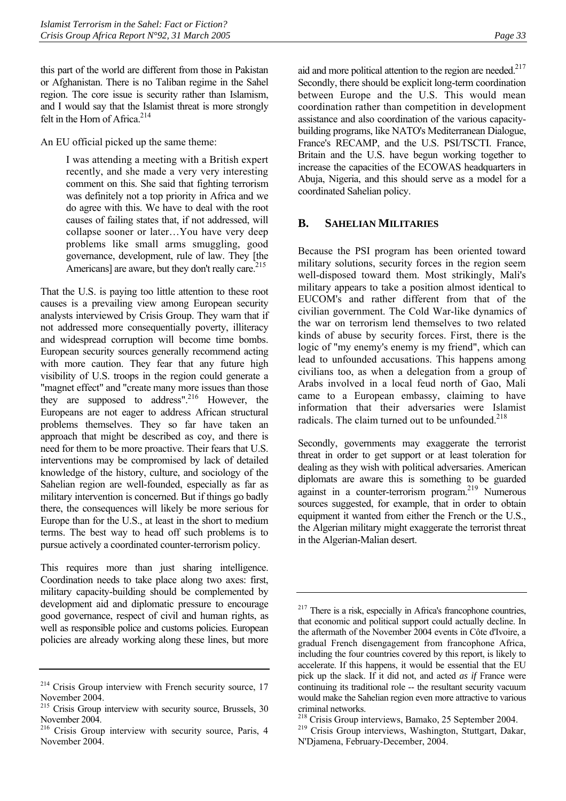this part of the world are different from those in Pakistan or Afghanistan. There is no Taliban regime in the Sahel region. The core issue is security rather than Islamism, and I would say that the Islamist threat is more strongly felt in the Horn of Africa.<sup>214</sup>

An EU official picked up the same theme:

I was attending a meeting with a British expert recently, and she made a very very interesting comment on this. She said that fighting terrorism was definitely not a top priority in Africa and we do agree with this. We have to deal with the root causes of failing states that, if not addressed, will collapse sooner or later…You have very deep problems like small arms smuggling, good governance, development, rule of law. They [the Americans] are aware, but they don't really care.  $215$ 

That the U.S. is paying too little attention to these root causes is a prevailing view among European security analysts interviewed by Crisis Group. They warn that if not addressed more consequentially poverty, illiteracy and widespread corruption will become time bombs. European security sources generally recommend acting with more caution. They fear that any future high visibility of U.S. troops in the region could generate a "magnet effect" and "create many more issues than those they are supposed to address".[216](#page-36-3) However, the Europeans are not eager to address African structural problems themselves. They so far have taken an approach that might be described as coy, and there is need for them to be more proactive. Their fears that U.S. interventions may be compromised by lack of detailed knowledge of the history, culture, and sociology of the Sahelian region are well-founded, especially as far as military intervention is concerned. But if things go badly there, the consequences will likely be more serious for Europe than for the U.S., at least in the short to medium terms. The best way to head off such problems is to pursue actively a coordinated counter-terrorism policy.

This requires more than just sharing intelligence. Coordination needs to take place along two axes: first, military capacity-building should be complemented by development aid and diplomatic pressure to encourage good governance, respect of civil and human rights, as well as responsible police and customs policies. European policies are already working along these lines, but more aid and more political attention to the region are needed. $217$ Secondly, there should be explicit long-term coordination between Europe and the U.S. This would mean coordination rather than competition in development assistance and also coordination of the various capacitybuilding programs, like NATO's Mediterranean Dialogue, France's RECAMP, and the U.S. PSI/TSCTI. France, Britain and the U.S. have begun working together to increase the capacities of the ECOWAS headquarters in Abuja, Nigeria, and this should serve as a model for a coordinated Sahelian policy.

## <span id="page-36-0"></span>**B. SAHELIAN MILITARIES**

Because the PSI program has been oriented toward military solutions, security forces in the region seem well-disposed toward them. Most strikingly, Mali's military appears to take a position almost identical to EUCOM's and rather different from that of the civilian government. The Cold War-like dynamics of the war on terrorism lend themselves to two related kinds of abuse by security forces. First, there is the logic of "my enemy's enemy is my friend", which can lead to unfounded accusations. This happens among civilians too, as when a delegation from a group of Arabs involved in a local feud north of Gao, Mali came to a European embassy, claiming to have information that their adversaries were Islamist radicals. The claim turned out to be unfounded. $218$ 

Secondly, governments may exaggerate the terrorist threat in order to get support or at least toleration for dealing as they wish with political adversaries. American diplomats are aware this is something to be guarded against in a counter-terrorism program.[219](#page-36-6) Numerous sources suggested, for example, that in order to obtain equipment it wanted from either the French or the U.S., the Algerian military might exaggerate the terrorist threat in the Algerian-Malian desert.

<span id="page-36-1"></span><sup>&</sup>lt;sup>214</sup> Crisis Group interview with French security source, 17 November 2004.

<span id="page-36-2"></span><sup>&</sup>lt;sup>215</sup> Crisis Group interview with security source, Brussels, 30 November 2004.

<span id="page-36-3"></span><sup>216</sup> Crisis Group interview with security source, Paris, 4 November 2004.

<span id="page-36-4"></span><sup>217</sup> There is a risk, especially in Africa's francophone countries, that economic and political support could actually decline. In the aftermath of the November 2004 events in Côte d'Ivoire, a gradual French disengagement from francophone Africa, including the four countries covered by this report, is likely to accelerate. If this happens, it would be essential that the EU pick up the slack. If it did not, and acted *as if* France were continuing its traditional role -- the resultant security vacuum would make the Sahelian region even more attractive to various criminal networks.

<span id="page-36-5"></span><sup>&</sup>lt;sup>218</sup> Crisis Group interviews, Bamako, 25 September 2004.<br><sup>219</sup> Crisis Group interviews, Washington, Stuttgart, Dakar,

<span id="page-36-6"></span>N'Djamena, February-December, 2004.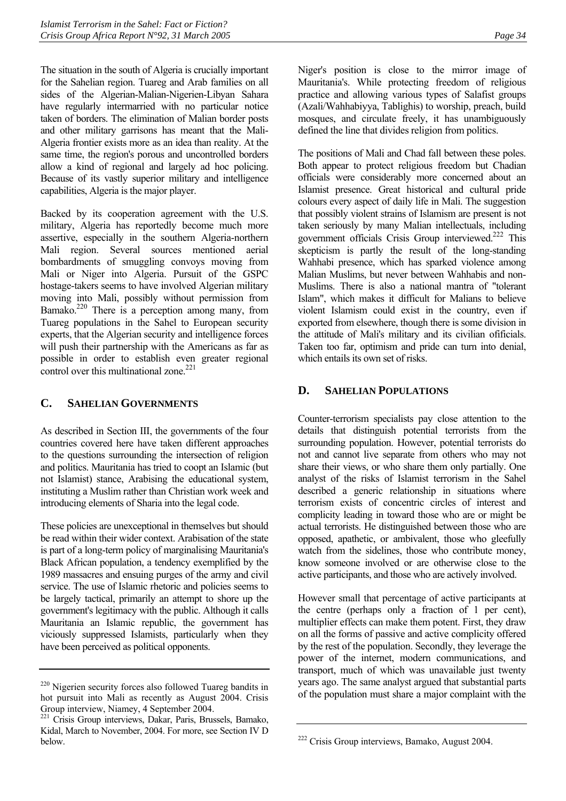The situation in the south of Algeria is crucially important for the Sahelian region. Tuareg and Arab families on all sides of the Algerian-Malian-Nigerien-Libyan Sahara have regularly intermarried with no particular notice taken of borders. The elimination of Malian border posts and other military garrisons has meant that the Mali-Algeria frontier exists more as an idea than reality. At the same time, the region's porous and uncontrolled borders allow a kind of regional and largely ad hoc policing. Because of its vastly superior military and intelligence capabilities, Algeria is the major player.

Backed by its cooperation agreement with the U.S. military, Algeria has reportedly become much more assertive, especially in the southern Algeria-northern Mali region. Several sources mentioned aerial bombardments of smuggling convoys moving from Mali or Niger into Algeria. Pursuit of the GSPC hostage-takers seems to have involved Algerian military moving into Mali, possibly without permission from Bamako.<sup>220</sup> There is a perception among many, from Tuareg populations in the Sahel to European security experts, that the Algerian security and intelligence forces will push their partnership with the Americans as far as possible in order to establish even greater regional control over this multinational zone.<sup>221</sup>

## <span id="page-37-0"></span>**C. SAHELIAN GOVERNMENTS**

As described in Section III, the governments of the four countries covered here have taken different approaches to the questions surrounding the intersection of religion and politics. Mauritania has tried to coopt an Islamic (but not Islamist) stance, Arabising the educational system, instituting a Muslim rather than Christian work week and introducing elements of Sharia into the legal code.

These policies are unexceptional in themselves but should be read within their wider context. Arabisation of the state is part of a long-term policy of marginalising Mauritania's Black African population, a tendency exemplified by the 1989 massacres and ensuing purges of the army and civil service. The use of Islamic rhetoric and policies seems to be largely tactical, primarily an attempt to shore up the government's legitimacy with the public. Although it calls Mauritania an Islamic republic, the government has viciously suppressed Islamists, particularly when they have been perceived as political opponents.

Niger's position is close to the mirror image of Mauritania's. While protecting freedom of religious practice and allowing various types of Salafist groups (Azali/Wahhabiyya, Tablighis) to worship, preach, build mosques, and circulate freely, it has unambiguously defined the line that divides religion from politics.

The positions of Mali and Chad fall between these poles. Both appear to protect religious freedom but Chadian officials were considerably more concerned about an Islamist presence. Great historical and cultural pride colours every aspect of daily life in Mali. The suggestion that possibly violent strains of Islamism are present is not taken seriously by many Malian intellectuals, including government officials Crisis Group interviewed.<sup>222</sup> This skepticism is partly the result of the long-standing Wahhabi presence, which has sparked violence among Malian Muslims, but never between Wahhabis and non-Muslims. There is also a national mantra of "tolerant Islam", which makes it difficult for Malians to believe violent Islamism could exist in the country, even if exported from elsewhere, though there is some division in the attitude of Mali's military and its civilian ofificials. Taken too far, optimism and pride can turn into denial, which entails its own set of risks.

## <span id="page-37-1"></span>**D. SAHELIAN POPULATIONS**

Counter-terrorism specialists pay close attention to the details that distinguish potential terrorists from the surrounding population. However, potential terrorists do not and cannot live separate from others who may not share their views, or who share them only partially. One analyst of the risks of Islamist terrorism in the Sahel described a generic relationship in situations where terrorism exists of concentric circles of interest and complicity leading in toward those who are or might be actual terrorists. He distinguished between those who are opposed, apathetic, or ambivalent, those who gleefully watch from the sidelines, those who contribute money, know someone involved or are otherwise close to the active participants, and those who are actively involved.

However small that percentage of active participants at the centre (perhaps only a fraction of 1 per cent), multiplier effects can make them potent. First, they draw on all the forms of passive and active complicity offered by the rest of the population. Secondly, they leverage the power of the internet, modern communications, and transport, much of which was unavailable just twenty years ago. The same analyst argued that substantial parts of the population must share a major complaint with the

<span id="page-37-2"></span><sup>&</sup>lt;sup>220</sup> Nigerien security forces also followed Tuareg bandits in hot pursuit into Mali as recently as August 2004. Crisis Group interview, Niamey, 4 September 2004.

<span id="page-37-3"></span><sup>221</sup> Crisis Group interviews, Dakar, Paris, Brussels, Bamako, Kidal, March to November, 2004. For more, see Section IV D below.

<span id="page-37-4"></span><sup>&</sup>lt;sup>222</sup> Crisis Group interviews, Bamako, August 2004.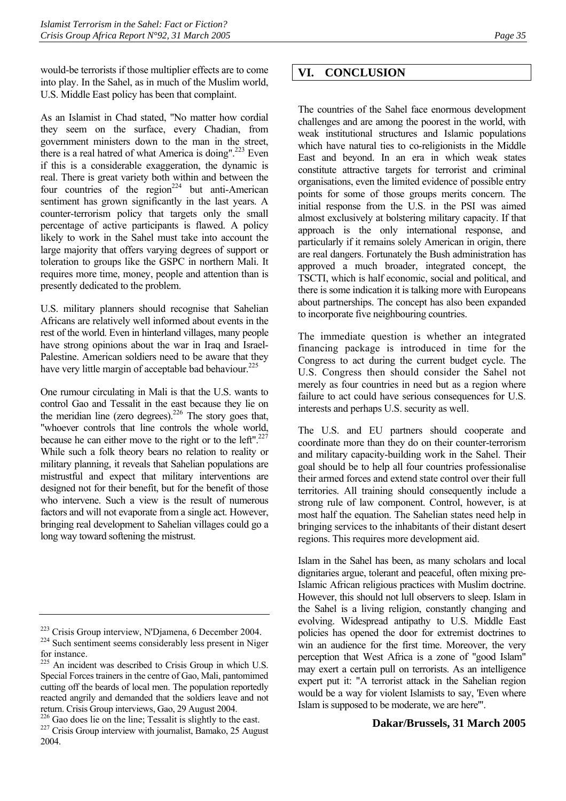would-be terrorists if those multiplier effects are to come into play. In the Sahel, as in much of the Muslim world, U.S. Middle East policy has been that complaint.

As an Islamist in Chad stated, "No matter how cordial they seem on the surface, every Chadian, from government ministers down to the man in the street, there is a real hatred of what America is doing".<sup>223</sup> Even if this is a considerable exaggeration, the dynamic is real. There is great variety both within and between the four countries of the region<sup>224</sup> but anti-American sentiment has grown significantly in the last years. A counter-terrorism policy that targets only the small percentage of active participants is flawed. A policy likely to work in the Sahel must take into account the large majority that offers varying degrees of support or toleration to groups like the GSPC in northern Mali. It requires more time, money, people and attention than is presently dedicated to the problem.

U.S. military planners should recognise that Sahelian Africans are relatively well informed about events in the rest of the world. Even in hinterland villages, many people have strong opinions about the war in Iraq and Israel-Palestine. American soldiers need to be aware that they have very little margin of acceptable bad behaviour.<sup>225</sup>

One rumour circulating in Mali is that the U.S. wants to control Gao and Tessalit in the east because they lie on the meridian line (zero degrees).<sup>226</sup> The story goes that, "whoever controls that line controls the whole world, because he can either move to the right or to the left".<sup>227</sup> While such a folk theory bears no relation to reality or military planning, it reveals that Sahelian populations are mistrustful and expect that military interventions are designed not for their benefit, but for the benefit of those who intervene. Such a view is the result of numerous factors and will not evaporate from a single act. However, bringing real development to Sahelian villages could go a long way toward softening the mistrust.

<span id="page-38-2"></span>for instance.

# <span id="page-38-0"></span>**VI. CONCLUSION**

The countries of the Sahel face enormous development challenges and are among the poorest in the world, with weak institutional structures and Islamic populations which have natural ties to co-religionists in the Middle East and beyond. In an era in which weak states constitute attractive targets for terrorist and criminal organisations, even the limited evidence of possible entry points for some of those groups merits concern. The initial response from the U.S. in the PSI was aimed almost exclusively at bolstering military capacity. If that approach is the only international response, and particularly if it remains solely American in origin, there are real dangers. Fortunately the Bush administration has approved a much broader, integrated concept, the TSCTI, which is half economic, social and political, and there is some indication it is talking more with Europeans about partnerships. The concept has also been expanded to incorporate five neighbouring countries.

The immediate question is whether an integrated financing package is introduced in time for the Congress to act during the current budget cycle. The U.S. Congress then should consider the Sahel not merely as four countries in need but as a region where failure to act could have serious consequences for U.S. interests and perhaps U.S. security as well.

The U.S. and EU partners should cooperate and coordinate more than they do on their counter-terrorism and military capacity-building work in the Sahel. Their goal should be to help all four countries professionalise their armed forces and extend state control over their full territories. All training should consequently include a strong rule of law component. Control, however, is at most half the equation. The Sahelian states need help in bringing services to the inhabitants of their distant desert regions. This requires more development aid.

Islam in the Sahel has been, as many scholars and local dignitaries argue, tolerant and peaceful, often mixing pre-Islamic African religious practices with Muslim doctrine. However, this should not lull observers to sleep. Islam in the Sahel is a living religion, constantly changing and evolving. Widespread antipathy to U.S. Middle East policies has opened the door for extremist doctrines to win an audience for the first time. Moreover, the very perception that West Africa is a zone of "good Islam" may exert a certain pull on terrorists. As an intelligence expert put it: "A terrorist attack in the Sahelian region would be a way for violent Islamists to say, 'Even where Islam is supposed to be moderate, we are here'".

## **Dakar/Brussels, 31 March 2005**

<span id="page-38-1"></span> $223$  Crisis Group interview, N'Djamena, 6 December 2004.<br> $224$  Such sentiment seems considerably less present in Niger

<span id="page-38-3"></span><sup>225</sup> An incident was described to Crisis Group in which U.S. Special Forces trainers in the centre of Gao, Mali, pantomimed cutting off the beards of local men. The population reportedly reacted angrily and demanded that the soldiers leave and not return. Crisis Group interviews, Gao, 29 August 2004.

<span id="page-38-5"></span><span id="page-38-4"></span> $226$  Gao does lie on the line; Tessalit is slightly to the east.  $227$  Crisis Group interview with journalist, Bamako, 25 August 2004.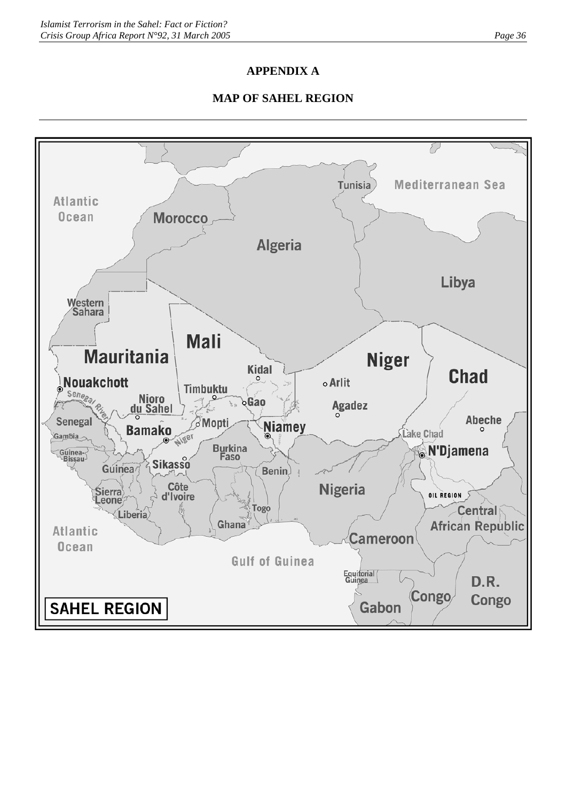## **APPENDIX A**

## **MAP OF SAHEL REGION**

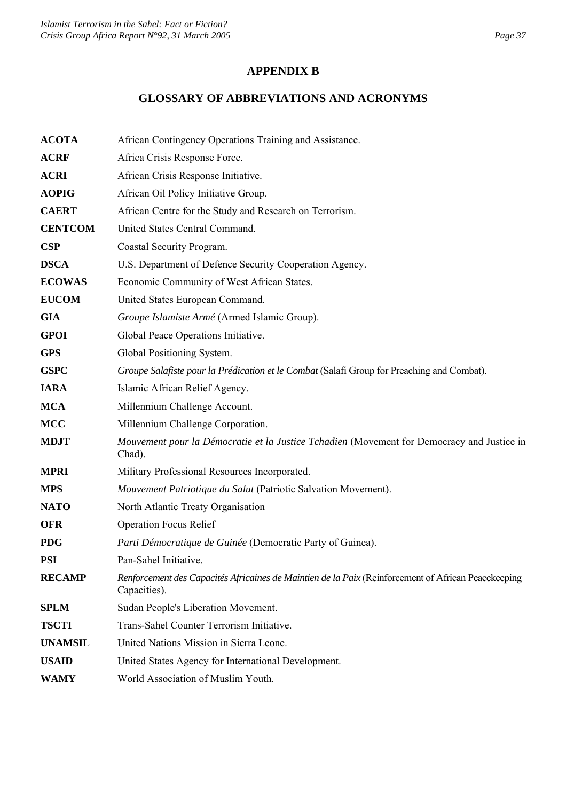## **APPENDIX B**

# **GLOSSARY OF ABBREVIATIONS AND ACRONYMS**

| <b>ACOTA</b>   | African Contingency Operations Training and Assistance.                                                             |
|----------------|---------------------------------------------------------------------------------------------------------------------|
| <b>ACRF</b>    | Africa Crisis Response Force.                                                                                       |
| <b>ACRI</b>    | African Crisis Response Initiative.                                                                                 |
| <b>AOPIG</b>   | African Oil Policy Initiative Group.                                                                                |
| <b>CAERT</b>   | African Centre for the Study and Research on Terrorism.                                                             |
| <b>CENTCOM</b> | United States Central Command.                                                                                      |
| CSP            | Coastal Security Program.                                                                                           |
| <b>DSCA</b>    | U.S. Department of Defence Security Cooperation Agency.                                                             |
| <b>ECOWAS</b>  | Economic Community of West African States.                                                                          |
| <b>EUCOM</b>   | United States European Command.                                                                                     |
| <b>GIA</b>     | Groupe Islamiste Armé (Armed Islamic Group).                                                                        |
| <b>GPOI</b>    | Global Peace Operations Initiative.                                                                                 |
| <b>GPS</b>     | Global Positioning System.                                                                                          |
| <b>GSPC</b>    | Groupe Salafiste pour la Prédication et le Combat (Salafi Group for Preaching and Combat).                          |
| <b>IARA</b>    | Islamic African Relief Agency.                                                                                      |
| <b>MCA</b>     | Millennium Challenge Account.                                                                                       |
| <b>MCC</b>     | Millennium Challenge Corporation.                                                                                   |
| <b>MDJT</b>    | Mouvement pour la Démocratie et la Justice Tchadien (Movement for Democracy and Justice in<br>Chad).                |
| <b>MPRI</b>    | Military Professional Resources Incorporated.                                                                       |
| <b>MPS</b>     | Mouvement Patriotique du Salut (Patriotic Salvation Movement).                                                      |
| <b>NATO</b>    | North Atlantic Treaty Organisation                                                                                  |
| <b>OFR</b>     | <b>Operation Focus Relief</b>                                                                                       |
| <b>PDG</b>     | Parti Démocratique de Guinée (Democratic Party of Guinea).                                                          |
| <b>PSI</b>     | Pan-Sahel Initiative.                                                                                               |
| <b>RECAMP</b>  | Renforcement des Capacités Africaines de Maintien de la Paix (Reinforcement of African Peacekeeping<br>Capacities). |
| <b>SPLM</b>    | Sudan People's Liberation Movement.                                                                                 |
| <b>TSCTI</b>   | Trans-Sahel Counter Terrorism Initiative.                                                                           |
| <b>UNAMSIL</b> | United Nations Mission in Sierra Leone.                                                                             |
| <b>USAID</b>   | United States Agency for International Development.                                                                 |
| <b>WAMY</b>    | World Association of Muslim Youth.                                                                                  |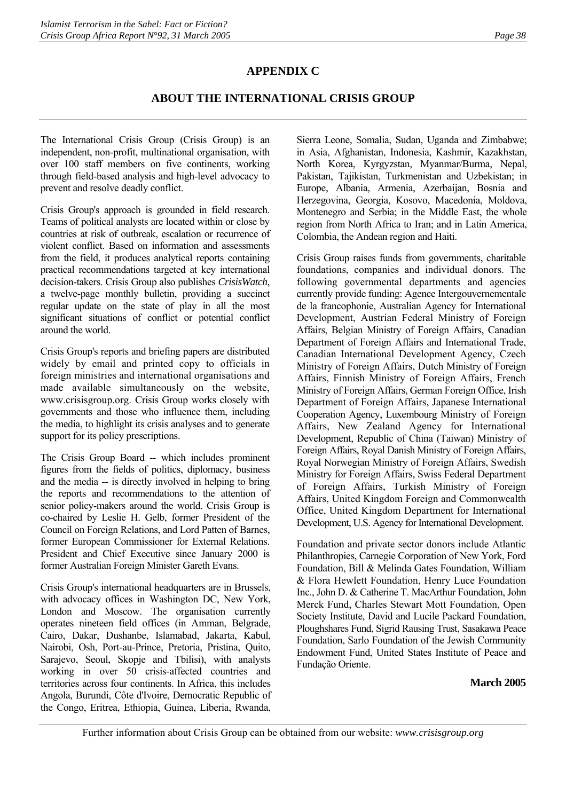## **APPENDIX C**

## **ABOUT THE INTERNATIONAL CRISIS GROUP**

The International Crisis Group (Crisis Group) is an independent, non-profit, multinational organisation, with over 100 staff members on five continents, working through field-based analysis and high-level advocacy to prevent and resolve deadly conflict.

Crisis Group's approach is grounded in field research. Teams of political analysts are located within or close by countries at risk of outbreak, escalation or recurrence of violent conflict. Based on information and assessments from the field, it produces analytical reports containing practical recommendations targeted at key international decision-takers. Crisis Group also publishes *CrisisWatch*, a twelve-page monthly bulletin, providing a succinct regular update on the state of play in all the most significant situations of conflict or potential conflict around the world.

Crisis Group's reports and briefing papers are distributed widely by email and printed copy to officials in foreign ministries and international organisations and made available simultaneously on the website, www.crisisgroup.org. Crisis Group works closely with governments and those who influence them, including the media, to highlight its crisis analyses and to generate support for its policy prescriptions.

The Crisis Group Board -- which includes prominent figures from the fields of politics, diplomacy, business and the media -- is directly involved in helping to bring the reports and recommendations to the attention of senior policy-makers around the world. Crisis Group is co-chaired by Leslie H. Gelb, former President of the Council on Foreign Relations, and Lord Patten of Barnes, former European Commissioner for External Relations. President and Chief Executive since January 2000 is former Australian Foreign Minister Gareth Evans.

Crisis Group's international headquarters are in Brussels, with advocacy offices in Washington DC, New York, London and Moscow. The organisation currently operates nineteen field offices (in Amman, Belgrade, Cairo, Dakar, Dushanbe, Islamabad, Jakarta, Kabul, Nairobi, Osh, Port-au-Prince, Pretoria, Pristina, Quito, Sarajevo, Seoul, Skopje and Tbilisi), with analysts working in over 50 crisis-affected countries and territories across four continents. In Africa, this includes Angola, Burundi, Côte d'Ivoire, Democratic Republic of the Congo, Eritrea, Ethiopia, Guinea, Liberia, Rwanda,

Sierra Leone, Somalia, Sudan, Uganda and Zimbabwe; in Asia, Afghanistan, Indonesia, Kashmir, Kazakhstan, North Korea, Kyrgyzstan, Myanmar/Burma, Nepal, Pakistan, Tajikistan, Turkmenistan and Uzbekistan; in Europe, Albania, Armenia, Azerbaijan, Bosnia and Herzegovina, Georgia, Kosovo, Macedonia, Moldova, Montenegro and Serbia; in the Middle East, the whole region from North Africa to Iran; and in Latin America, Colombia, the Andean region and Haiti.

Crisis Group raises funds from governments, charitable foundations, companies and individual donors. The following governmental departments and agencies currently provide funding: Agence Intergouvernementale de la francophonie, Australian Agency for International Development, Austrian Federal Ministry of Foreign Affairs, Belgian Ministry of Foreign Affairs, Canadian Department of Foreign Affairs and International Trade, Canadian International Development Agency, Czech Ministry of Foreign Affairs, Dutch Ministry of Foreign Affairs, Finnish Ministry of Foreign Affairs, French Ministry of Foreign Affairs, German Foreign Office, Irish Department of Foreign Affairs, Japanese International Cooperation Agency, Luxembourg Ministry of Foreign Affairs, New Zealand Agency for International Development, Republic of China (Taiwan) Ministry of Foreign Affairs, Royal Danish Ministry of Foreign Affairs, Royal Norwegian Ministry of Foreign Affairs, Swedish Ministry for Foreign Affairs, Swiss Federal Department of Foreign Affairs, Turkish Ministry of Foreign Affairs, United Kingdom Foreign and Commonwealth Office, United Kingdom Department for International Development, U.S. Agency for International Development.

Foundation and private sector donors include Atlantic Philanthropies, Carnegie Corporation of New York, Ford Foundation, Bill & Melinda Gates Foundation, William & Flora Hewlett Foundation, Henry Luce Foundation Inc., John D. & Catherine T. MacArthur Foundation, John Merck Fund, Charles Stewart Mott Foundation, Open Society Institute, David and Lucile Packard Foundation, Ploughshares Fund, Sigrid Rausing Trust, Sasakawa Peace Foundation, Sarlo Foundation of the Jewish Community Endowment Fund, United States Institute of Peace and Fundação Oriente.

#### **March 2005**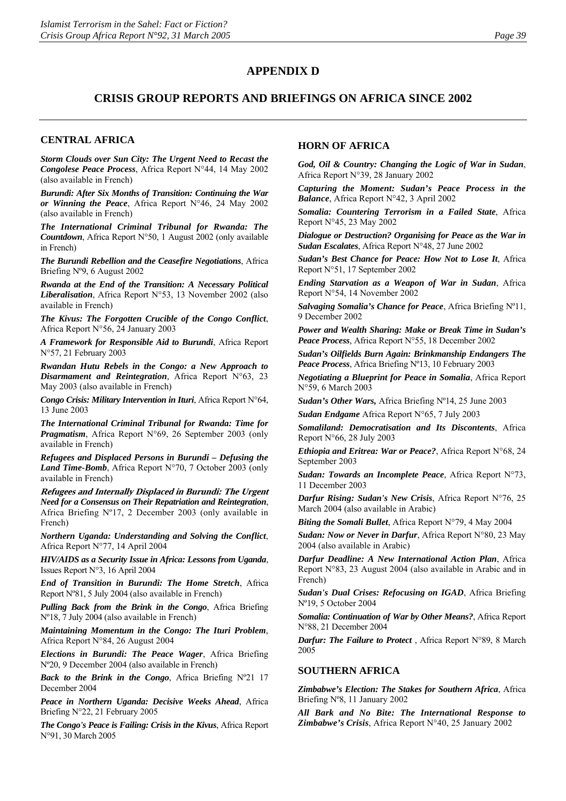#### **APPENDIX D**

#### **CRISIS GROUP REPORTS AND BRIEFINGS ON AFRICA SINCE 2002**

#### **CENTRAL AFRICA**

*Storm Clouds over Sun City: The Urgent Need to Recast the Congolese Peace Process*, Africa Report N°44, 14 May 2002 (also available in French)

*Burundi: After Six Months of Transition: Continuing the War or Winning the Peace*, Africa Report N°46, 24 May 2002 (also available in French)

*The International Criminal Tribunal for Rwanda: The Countdown*, Africa Report N°50, 1 August 2002 (only available in French)

*The Burundi Rebellion and the Ceasefire Negotiations*, Africa Briefing Nº9, 6 August 2002

*Rwanda at the End of the Transition: A Necessary Political Liberalisation*, Africa Report N°53, 13 November 2002 (also available in French)

*The Kivus: The Forgotten Crucible of the Congo Conflict*, Africa Report N°56, 24 January 2003

*A Framework for Responsible Aid to Burundi*, Africa Report N°57, 21 February 2003

*Rwandan Hutu Rebels in the Congo: a New Approach to Disarmament and Reintegration,* Africa Report N°63, 23 May 2003 (also available in French)

*Congo Crisis: Military Intervention in Ituri*, Africa Report N°64, 13 June 2003

*The International Criminal Tribunal for Rwanda: Time for Pragmatism*, Africa Report N°69, 26 September 2003 (only available in French)

*Refugees and Displaced Persons in Burundi – Defusing the Land Time-Bomb*, Africa Report N°70, 7 October 2003 (only available in French)

**Refugees and Internally Displaced in Burundi: The Urgent** *Need for a Consensus on Their Repatriation and Reintegration*, Africa Briefing Nº17, 2 December 2003 (only available in French)

*Northern Uganda: Understanding and Solving the Conflict*, Africa Report N°77, 14 April 2004

*HIV/AIDS as a Security Issue in Africa: Lessons from Uganda*, Issues Report N°3, 16 April 2004

*End of Transition in Burundi: The Home Stretch*, Africa Report Nº81, 5 July 2004 (also available in French)

*Pulling Back from the Brink in the Congo*, Africa Briefing Nº18, 7 July 2004 (also available in French)

*Maintaining Momentum in the Congo: The Ituri Problem*, Africa Report N°84, 26 August 2004

*Elections in Burundi: The Peace Wager*, Africa Briefing Nº20, 9 December 2004 (also available in French)

*Back to the Brink in the Congo*, Africa Briefing Nº21 17 December 2004

*Peace in Northern Uganda: Decisive Weeks Ahead*, Africa Briefing N°22, 21 February 2005

*The Congo's Peace is Failing: Crisis in the Kivus*, Africa Report N°91, 30 March 2005

#### **HORN OF AFRICA**

*God, Oil & Country: Changing the Logic of War in Sudan*, Africa Report N°39, 28 January 2002

*Capturing the Moment: Sudan's Peace Process in the Balance*, Africa Report N°42, 3 April 2002

*Somalia: Countering Terrorism in a Failed State*, Africa Report N°45, 23 May 2002

*Dialogue or Destruction? Organising for Peace as the War in Sudan Escalates*, Africa Report N°48, 27 June 2002

*Sudan's Best Chance for Peace: How Not to Lose It*, Africa Report N°51, 17 September 2002

*Ending Starvation as a Weapon of War in Sudan*, Africa Report N°54, 14 November 2002

*Salvaging Somalia's Chance for Peace*, Africa Briefing Nº11, 9 December 2002

*Power and Wealth Sharing: Make or Break Time in Sudan's Peace Process,* Africa Report N°55, 18 December 2002

*Sudan's Oilfields Burn Again: Brinkmanship Endangers The Peace Process*, Africa Briefing Nº13, 10 February 2003

*Negotiating a Blueprint for Peace in Somalia*, Africa Report N°59, 6 March 2003

*Sudan's Other Wars,* Africa Briefing Nº14, 25 June 2003

*Sudan Endgame* Africa Report N°65, 7 July 2003

*Somaliland: Democratisation and Its Discontents*, Africa Report N°66, 28 July 2003

*Ethiopia and Eritrea: War or Peace?*, Africa Report N°68, 24 September 2003

*Sudan: Towards an Incomplete Peace*, Africa Report N°73, 11 December 2003

*Darfur Rising: Sudan's New Crisis*, Africa Report N°76, 25 March 2004 (also available in Arabic)

*Biting the Somali Bullet*, Africa Report N°79, 4 May 2004

*Sudan: Now or Never in Darfur*, Africa Report N°80, 23 May 2004 (also available in Arabic)

*Darfur Deadline: A New International Action Plan*, Africa Report N°83, 23 August 2004 (also available in Arabic and in French)

*Sudan's Dual Crises: Refocusing on IGAD*, Africa Briefing Nº19, 5 October 2004

*Somalia: Continuation of War by Other Means?*, Africa Report N°88, 21 December 2004

*Darfur: The Failure to Protect* , Africa Report N°89, 8 March 2005

#### **SOUTHERN AFRICA**

*Zimbabwe's Election: The Stakes for Southern Africa*, Africa Briefing Nº8, 11 January 2002

*All Bark and No Bite: The International Response to Zimbabwe's Crisis*, Africa Report N°40, 25 January 2002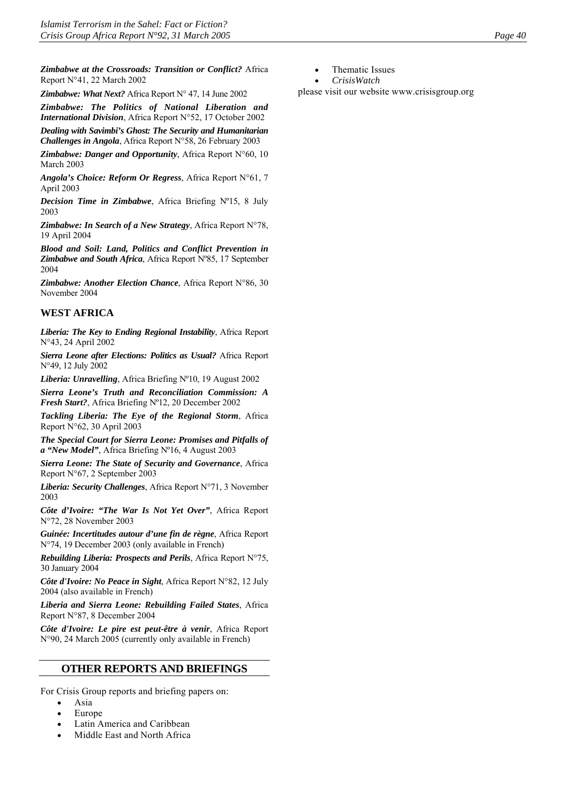*Zimbabwe at the Crossroads: Transition or Conflict?* Africa Report N°41, 22 March 2002

*Zimbabwe: What Next?* Africa Report N° 47, 14 June 2002

*Zimbabwe: The Politics of National Liberation and International Division*, Africa Report N°52, 17 October 2002

*Dealing with Savimbi's Ghost: The Security and Humanitarian Challenges in Angola*, Africa Report N°58, 26 February 2003

*Zimbabwe: Danger and Opportunity*, Africa Report N°60, 10 March 2003

*Angola's Choice: Reform Or Regress*, Africa Report N°61, 7 April 2003

*Decision Time in Zimbabwe*, Africa Briefing Nº15, 8 July 2003

*Zimbabwe: In Search of a New Strategy*, Africa Report N°78, 19 April 2004

*Blood and Soil: Land, Politics and Conflict Prevention in Zimbabwe and South Africa*, Africa Report Nº85, 17 September 2004

*Zimbabwe: Another Election Chance*, Africa Report N°86, 30 November 2004

#### **WEST AFRICA**

*Liberia: The Key to Ending Regional Instability*, Africa Report N°43, 24 April 2002

*Sierra Leone after Elections: Politics as Usual?* Africa Report N°49, 12 July 2002

*Liberia: Unravelling*, Africa Briefing Nº10, 19 August 2002

*Sierra Leone's Truth and Reconciliation Commission: A Fresh Start?*, Africa Briefing Nº12, 20 December 2002

*Tackling Liberia: The Eye of the Regional Storm*, Africa Report N°62, 30 April 2003

*The Special Court for Sierra Leone: Promises and Pitfalls of a "New Model"*, Africa Briefing Nº16, 4 August 2003

*Sierra Leone: The State of Security and Governance*, Africa Report N°67, 2 September 2003

*Liberia: Security Challenges*, Africa Report N°71, 3 November 2003

*Côte d'Ivoire: "The War Is Not Yet Over"*, Africa Report N°72, 28 November 2003

*Guinée: Incertitudes autour d'une fin de règne*, Africa Report N°74, 19 December 2003 (only available in French)

*Rebuilding Liberia: Prospects and Perils*, Africa Report N°75, 30 January 2004

*Côte d'Ivoire: No Peace in Sight*, Africa Report N°82, 12 July 2004 (also available in French)

*Liberia and Sierra Leone: Rebuilding Failed States*, Africa Report N°87, 8 December 2004

*Côte d'Ivoire: Le pire est peut-être à venir*, Africa Report N°90, 24 March 2005 (currently only available in French)

#### **OTHER REPORTS AND BRIEFINGS**

For Crisis Group reports and briefing papers on:

- Asia
- Europe
- Latin America and Caribbean
- Middle East and North Africa
- Thematic Issues
- *CrisisWatch*

please visit our website [www.crisisgroup.org](http://www.crisisgroup.org/)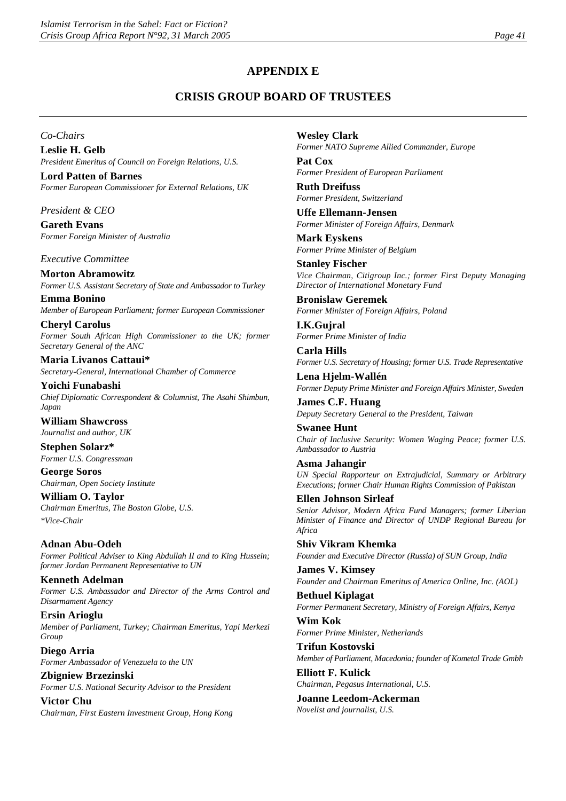## **APPENDIX E**

## **CRISIS GROUP BOARD OF TRUSTEES**

*Co-Chairs* 

**Leslie H. Gelb**  *President Emeritus of Council on Foreign Relations, U.S.* 

**Lord Patten of Barnes**  *Former European Commissioner for External Relations, UK* 

*President & CEO* 

**Gareth Evans**  *Former Foreign Minister of Australia* 

*Executive Committee* 

**Morton Abramowitz**  *Former U.S. Assistant Secretary of State and Ambassador to Turkey* 

**Emma Bonino**  *Member of European Parliament; former European Commissioner* 

**Cheryl Carolus**  *Former South African High Commissioner to the UK; former Secretary General of the ANC* 

**Maria Livanos Cattaui\***  *Secretary-General, International Chamber of Commerce* 

**Yoichi Funabashi**  *Chief Diplomatic Correspondent & Columnist, The Asahi Shimbun, Japan* 

**William Shawcross**  *Journalist and author, UK* 

**Stephen Solarz\***  *Former U.S. Congressman* 

**George Soros**  *Chairman, Open Society Institute* 

**William O. Taylor**  *Chairman Emeritus, The Boston Globe, U.S. \*Vice-Chair* 

**Adnan Abu-Odeh**  *Former Political Adviser to King Abdullah II and to King Hussein; former Jordan Permanent Representative to UN* 

**Kenneth Adelman**  *Former U.S. Ambassador and Director of the Arms Control and Disarmament Agency* 

**Ersin Arioglu**  *Member of Parliament, Turkey; Chairman Emeritus, Yapi Merkezi Group* 

**Diego Arria**  *Former Ambassador of Venezuela to the UN* 

**Zbigniew Brzezinski**  *Former U.S. National Security Advisor to the President* 

**Victor Chu**  *Chairman, First Eastern Investment Group, Hong Kong*  **Wesley Clark**  *Former NATO Supreme Allied Commander, Europe* 

**Pat Cox**  *Former President of European Parliament* 

**Ruth Dreifuss**  *Former President, Switzerland* 

**Uffe Ellemann-Jensen**  *Former Minister of Foreign Affairs, Denmark* 

**Mark Eyskens**  *Former Prime Minister of Belgium* 

**Stanley Fischer**  *Vice Chairman, Citigroup Inc.; former First Deputy Managing Director of International Monetary Fund* 

**Bronislaw Geremek**  *Former Minister of Foreign Affairs, Poland* 

**I.K.Gujral**  *Former Prime Minister of India* 

**Carla Hills**  *Former U.S. Secretary of Housing; former U.S. Trade Representative* 

**Lena Hjelm-Wallén**  *Former Deputy Prime Minister and Foreign Affairs Minister, Sweden* 

**James C.F. Huang**  *Deputy Secretary General to the President, Taiwan* 

**Swanee Hunt**  *Chair of Inclusive Security: Women Waging Peace; former U.S. Ambassador to Austria* 

**Asma Jahangir**  *UN Special Rapporteur on Extrajudicial, Summary or Arbitrary Executions; former Chair Human Rights Commission of Pakistan* 

**Ellen Johnson Sirleaf**  *Senior Advisor, Modern Africa Fund Managers; former Liberian Minister of Finance and Director of UNDP Regional Bureau for Africa* 

**Shiv Vikram Khemka**  *Founder and Executive Director (Russia) of SUN Group, India* 

**James V. Kimsey**  *Founder and Chairman Emeritus of America Online, Inc. (AOL)* 

**Bethuel Kiplagat**  *Former Permanent Secretary, Ministry of Foreign Affairs, Kenya* 

**Wim Kok**  *Former Prime Minister, Netherlands* 

**Trifun Kostovski**  *Member of Parliament, Macedonia; founder of Kometal Trade Gmbh* 

**Elliott F. Kulick**  *Chairman, Pegasus International, U.S.* 

**Joanne Leedom-Ackerman**  *Novelist and journalist, U.S.*